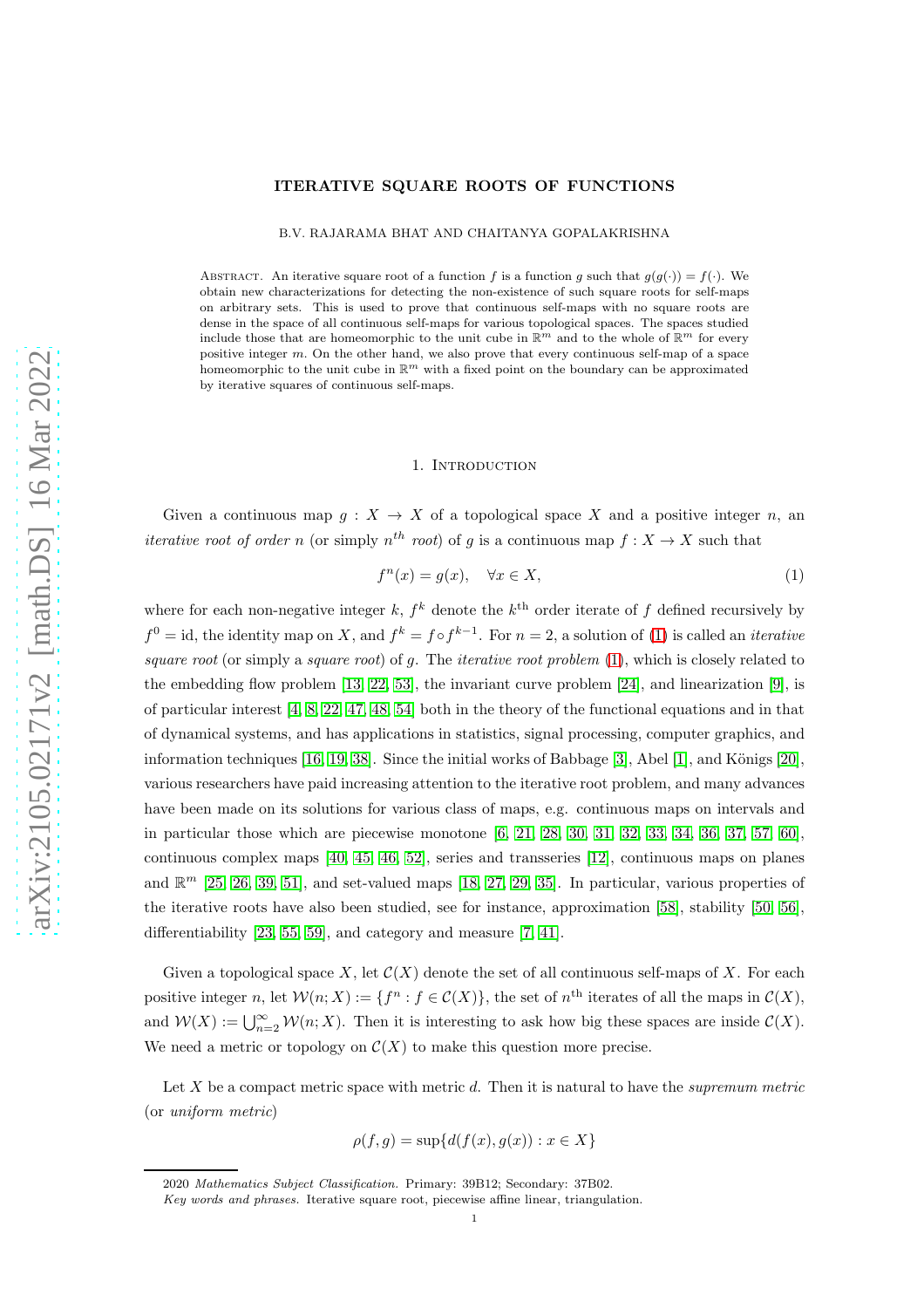## ITERATIVE SQUARE ROOTS OF FUNCTIONS

B.V. RAJARAMA BHAT AND CHAITANYA GOPALAKRISHNA

ABSTRACT. An iterative square root of a function f is a function g such that  $g(g(\cdot)) = f(\cdot)$ . We obtain new characterizations for detecting the non-existence of such square roots for self-maps on arbitrary sets. This is used to prove that continuous self-maps with no square roots are dense in the space of all continuous self-maps for various topological spaces. The spaces studied include those that are homeomorphic to the unit cube in  $\mathbb{R}^m$  and to the whole of  $\mathbb{R}^m$  for every positive integer  $m$ . On the other hand, we also prove that every continuous self-map of a space homeomorphic to the unit cube in  $\mathbb{R}^m$  with a fixed point on the boundary can be approximated by iterative squares of continuous self-maps.

### 1. Introduction

Given a continuous map  $g: X \to X$  of a topological space X and a positive integer n, an *iterative root of order n* (or simply  $n^{th}$  *root*) of g is a continuous map  $f: X \to X$  such that

<span id="page-0-0"></span>
$$
f^{n}(x) = g(x), \quad \forall x \in X,
$$
\n<sup>(1)</sup>

where for each non-negative integer k,  $f^k$  denote the  $k^{\text{th}}$  order iterate of f defined recursively by  $f^0 = id$ , the identity map on X, and  $f^k = f \circ f^{k-1}$ . For  $n = 2$ , a solution of [\(1\)](#page-0-0) is called an *iterative* square root (or simply a square root) of g. The *iterative root problem*  $(1)$ , which is closely related to the embedding flow problem [\[13,](#page-23-0) [22,](#page-23-1) [53\]](#page-24-0), the invariant curve problem [\[24\]](#page-23-2), and linearization [\[9\]](#page-23-3), is of particular interest [\[4,](#page-22-0) [8,](#page-23-4) [22,](#page-23-1) [47,](#page-23-5) [48,](#page-23-6) [54\]](#page-24-1) both in the theory of the functional equations and in that of dynamical systems, and has applications in statistics, signal processing, computer graphics, and information techniques  $[16, 19, 38]$  $[16, 19, 38]$  $[16, 19, 38]$ . Since the initial works of Babbage  $[3]$ , Abel  $[1]$ , and Königs  $[20]$ , various researchers have paid increasing attention to the iterative root problem, and many advances have been made on its solutions for various class of maps, e.g. continuous maps on intervals and in particular those which are piecewise monotone  $[6, 21, 28, 30, 31, 32, 33, 34, 36, 37, 57, 60]$  $[6, 21, 28, 30, 31, 32, 33, 34, 36, 37, 57, 60]$  $[6, 21, 28, 30, 31, 32, 33, 34, 36, 37, 57, 60]$  $[6, 21, 28, 30, 31, 32, 33, 34, 36, 37, 57, 60]$  $[6, 21, 28, 30, 31, 32, 33, 34, 36, 37, 57, 60]$  $[6, 21, 28, 30, 31, 32, 33, 34, 36, 37, 57, 60]$  $[6, 21, 28, 30, 31, 32, 33, 34, 36, 37, 57, 60]$  $[6, 21, 28, 30, 31, 32, 33, 34, 36, 37, 57, 60]$  $[6, 21, 28, 30, 31, 32, 33, 34, 36, 37, 57, 60]$  $[6, 21, 28, 30, 31, 32, 33, 34, 36, 37, 57, 60]$  $[6, 21, 28, 30, 31, 32, 33, 34, 36, 37, 57, 60]$  $[6, 21, 28, 30, 31, 32, 33, 34, 36, 37, 57, 60]$ , continuous complex maps [\[40,](#page-23-21) [45,](#page-23-22) [46,](#page-23-23) [52\]](#page-24-4), series and transseries [\[12\]](#page-23-24), continuous maps on planes and  $\mathbb{R}^m$  [\[25,](#page-23-25) [26,](#page-23-26) [39,](#page-23-27) [51\]](#page-24-5), and set-valued maps [\[18,](#page-23-28) [27,](#page-23-29) [29,](#page-23-30) [35\]](#page-23-31). In particular, various properties of the iterative roots have also been studied, see for instance, approximation [\[58\]](#page-24-6), stability [\[50,](#page-23-32) [56\]](#page-24-7), differentiability [\[23,](#page-23-33) [55,](#page-24-8) [59\]](#page-24-9), and category and measure [\[7,](#page-23-34) [41\]](#page-23-35).

Given a topological space X, let  $\mathcal{C}(X)$  denote the set of all continuous self-maps of X. For each positive integer n, let  $\mathcal{W}(n;X) := \{f^n : f \in \mathcal{C}(X)\}\)$ , the set of  $n^{\text{th}}$  iterates of all the maps in  $\mathcal{C}(X)$ , and  $W(X) := \bigcup_{n=2}^{\infty} W(n; X)$ . Then it is interesting to ask how big these spaces are inside  $C(X)$ . We need a metric or topology on  $\mathcal{C}(X)$  to make this question more precise.

Let  $X$  be a compact metric space with metric  $d$ . Then it is natural to have the *supremum metric* (or uniform metric)

$$
\rho(f,g) = \sup \{ d(f(x), g(x)) : x \in X \}
$$

<sup>2020</sup> Mathematics Subject Classification. Primary: 39B12; Secondary: 37B02.

Key words and phrases. Iterative square root, piecewise affine linear, triangulation.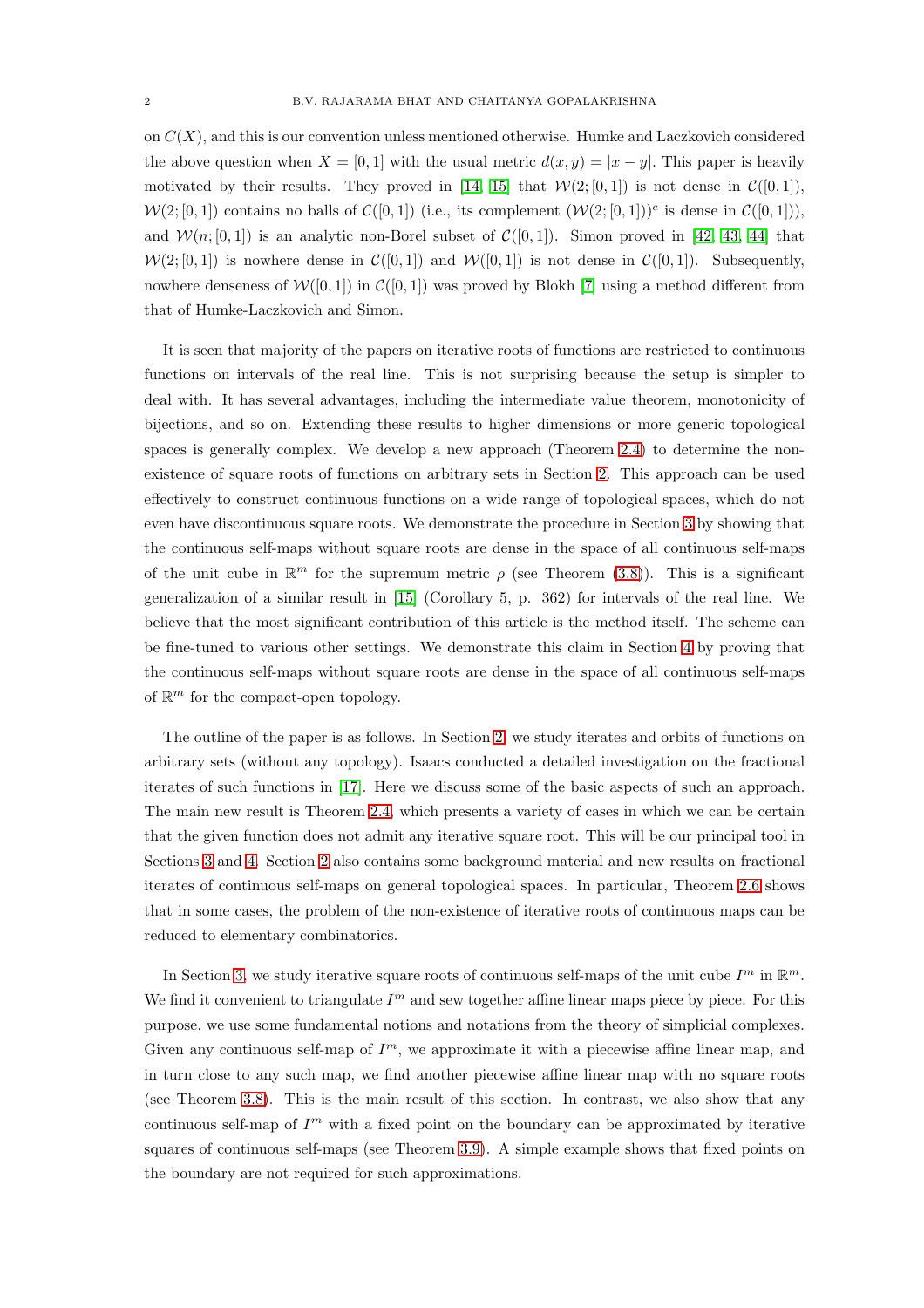on  $C(X)$ , and this is our convention unless mentioned otherwise. Humke and Laczkovich considered the above question when  $X = [0, 1]$  with the usual metric  $d(x, y) = |x - y|$ . This paper is heavily motivated by their results. They proved in [\[14,](#page-23-36) [15\]](#page-23-37) that  $W(2; [0, 1])$  is not dense in  $\mathcal{C}([0, 1])$ ,  $W(2; [0, 1])$  contains no balls of  $C([0, 1])$  (i.e., its complement  $(W(2; [0, 1]))^c$  is dense in  $C([0, 1]))$ , and  $\mathcal{W}(n;[0,1])$  is an analytic non-Borel subset of  $\mathcal{C}([0,1])$ . Simon proved in [\[42,](#page-23-38) [43,](#page-23-39) [44\]](#page-23-40) that  $W(2; [0, 1])$  is nowhere dense in  $\mathcal{C}([0, 1])$  and  $W([0, 1])$  is not dense in  $\mathcal{C}([0, 1])$ . Subsequently, nowhere denseness of  $W([0,1])$  in  $\mathcal{C}([0,1])$  was proved by Blokh [\[7\]](#page-23-34) using a method different from that of Humke-Laczkovich and Simon.

It is seen that majority of the papers on iterative roots of functions are restricted to continuous functions on intervals of the real line. This is not surprising because the setup is simpler to deal with. It has several advantages, including the intermediate value theorem, monotonicity of bijections, and so on. Extending these results to higher dimensions or more generic topological spaces is generally complex. We develop a new approach (Theorem [2.4\)](#page-5-0) to determine the nonexistence of square roots of functions on arbitrary sets in Section [2.](#page-2-0) This approach can be used effectively to construct continuous functions on a wide range of topological spaces, which do not even have discontinuous square roots. We demonstrate the procedure in Section [3](#page-7-0) by showing that the continuous self-maps without square roots are dense in the space of all continuous self-maps of the unit cube in  $\mathbb{R}^m$  for the supremum metric  $\rho$  (see Theorem [\(3.8\)](#page-12-0)). This is a significant generalization of a similar result in [\[15\]](#page-23-37) (Corollary 5, p. 362) for intervals of the real line. We believe that the most significant contribution of this article is the method itself. The scheme can be fine-tuned to various other settings. We demonstrate this claim in Section [4](#page-17-0) by proving that the continuous self-maps without square roots are dense in the space of all continuous self-maps of  $\mathbb{R}^m$  for the compact-open topology.

The outline of the paper is as follows. In Section [2,](#page-2-0) we study iterates and orbits of functions on arbitrary sets (without any topology). Isaacs conducted a detailed investigation on the fractional iterates of such functions in [\[17\]](#page-23-41). Here we discuss some of the basic aspects of such an approach. The main new result is Theorem [2.4,](#page-5-0) which presents a variety of cases in which we can be certain that the given function does not admit any iterative square root. This will be our principal tool in Sections [3](#page-7-0) and [4.](#page-17-0) Section [2](#page-2-0) also contains some background material and new results on fractional iterates of continuous self-maps on general topological spaces. In particular, Theorem [2.6](#page-7-1) shows that in some cases, the problem of the non-existence of iterative roots of continuous maps can be reduced to elementary combinatorics.

In Section [3,](#page-7-0) we study iterative square roots of continuous self-maps of the unit cube  $I^m$  in  $\mathbb{R}^m$ . We find it convenient to triangulate  $I<sup>m</sup>$  and sew together affine linear maps piece by piece. For this purpose, we use some fundamental notions and notations from the theory of simplicial complexes. Given any continuous self-map of  $I<sup>m</sup>$ , we approximate it with a piecewise affine linear map, and in turn close to any such map, we find another piecewise affine linear map with no square roots (see Theorem [3.8\)](#page-12-0). This is the main result of this section. In contrast, we also show that any continuous self-map of  $I<sup>m</sup>$  with a fixed point on the boundary can be approximated by iterative squares of continuous self-maps (see Theorem [3.9\)](#page-14-0). A simple example shows that fixed points on the boundary are not required for such approximations.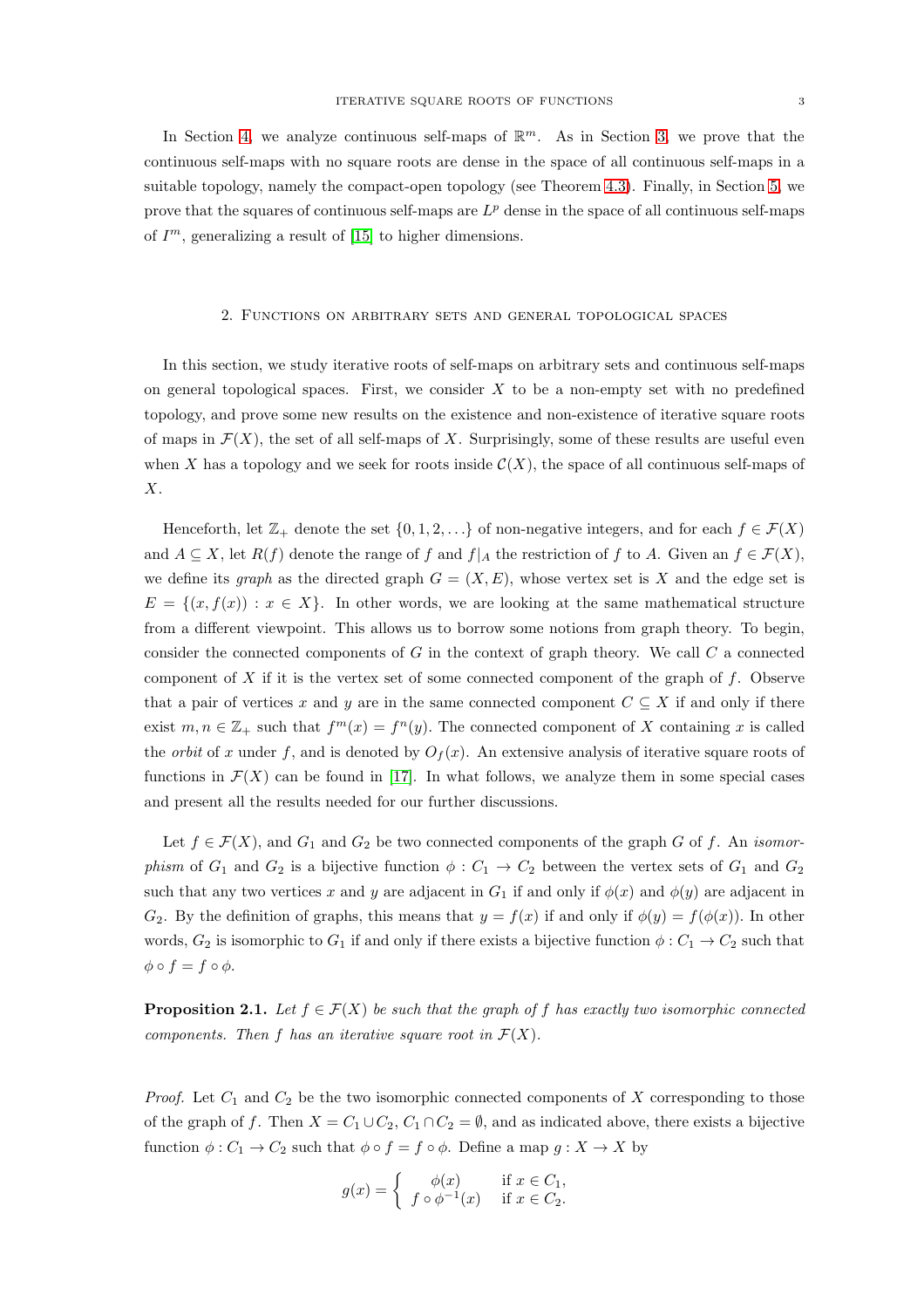In Section [4,](#page-17-0) we analyze continuous self-maps of  $\mathbb{R}^m$ . As in Section [3,](#page-7-0) we prove that the continuous self-maps with no square roots are dense in the space of all continuous self-maps in a suitable topology, namely the compact-open topology (see Theorem [4.3\)](#page-19-0). Finally, in Section [5,](#page-21-0) we prove that the squares of continuous self-maps are  $L^p$  dense in the space of all continuous self-maps of  $I<sup>m</sup>$ , generalizing a result of [\[15\]](#page-23-37) to higher dimensions.

## <span id="page-2-0"></span>2. Functions on arbitrary sets and general topological spaces

In this section, we study iterative roots of self-maps on arbitrary sets and continuous self-maps on general topological spaces. First, we consider  $X$  to be a non-empty set with no predefined topology, and prove some new results on the existence and non-existence of iterative square roots of maps in  $\mathcal{F}(X)$ , the set of all self-maps of X. Surprisingly, some of these results are useful even when X has a topology and we seek for roots inside  $\mathcal{C}(X)$ , the space of all continuous self-maps of  $X$ .

Henceforth, let  $\mathbb{Z}_+$  denote the set  $\{0, 1, 2, \ldots\}$  of non-negative integers, and for each  $f \in \mathcal{F}(X)$ and  $A \subseteq X$ , let  $R(f)$  denote the range of f and  $f|_A$  the restriction of f to A. Given an  $f \in \mathcal{F}(X)$ , we define its *graph* as the directed graph  $G = (X, E)$ , whose vertex set is X and the edge set is  $E = \{(x, f(x)) : x \in X\}$ . In other words, we are looking at the same mathematical structure from a different viewpoint. This allows us to borrow some notions from graph theory. To begin, consider the connected components of  $G$  in the context of graph theory. We call  $C$  a connected component of X if it is the vertex set of some connected component of the graph of  $f$ . Observe that a pair of vertices x and y are in the same connected component  $C \subseteq X$  if and only if there exist  $m, n \in \mathbb{Z}_+$  such that  $f^m(x) = f^n(y)$ . The connected component of X containing x is called the *orbit* of x under f, and is denoted by  $O_f(x)$ . An extensive analysis of iterative square roots of functions in  $\mathcal{F}(X)$  can be found in [\[17\]](#page-23-41). In what follows, we analyze them in some special cases and present all the results needed for our further discussions.

Let  $f \in \mathcal{F}(X)$ , and  $G_1$  and  $G_2$  be two connected components of the graph G of f. An *isomor*phism of  $G_1$  and  $G_2$  is a bijective function  $\phi : C_1 \to C_2$  between the vertex sets of  $G_1$  and  $G_2$ such that any two vertices x and y are adjacent in  $G_1$  if and only if  $\phi(x)$  and  $\phi(y)$  are adjacent in  $G_2$ . By the definition of graphs, this means that  $y = f(x)$  if and only if  $\phi(y) = f(\phi(x))$ . In other words,  $G_2$  is isomorphic to  $G_1$  if and only if there exists a bijective function  $\phi : C_1 \to C_2$  such that  $\phi \circ f = f \circ \phi.$ 

<span id="page-2-1"></span>**Proposition 2.1.** Let  $f \in \mathcal{F}(X)$  be such that the graph of f has exactly two isomorphic connected components. Then f has an iterative square root in  $\mathcal{F}(X)$ .

*Proof.* Let  $C_1$  and  $C_2$  be the two isomorphic connected components of X corresponding to those of the graph of f. Then  $X = C_1 \cup C_2$ ,  $C_1 \cap C_2 = \emptyset$ , and as indicated above, there exists a bijective function  $\phi : C_1 \to C_2$  such that  $\phi \circ f = f \circ \phi$ . Define a map  $g : X \to X$  by

$$
g(x) = \begin{cases} \phi(x) & \text{if } x \in C_1, \\ f \circ \phi^{-1}(x) & \text{if } x \in C_2. \end{cases}
$$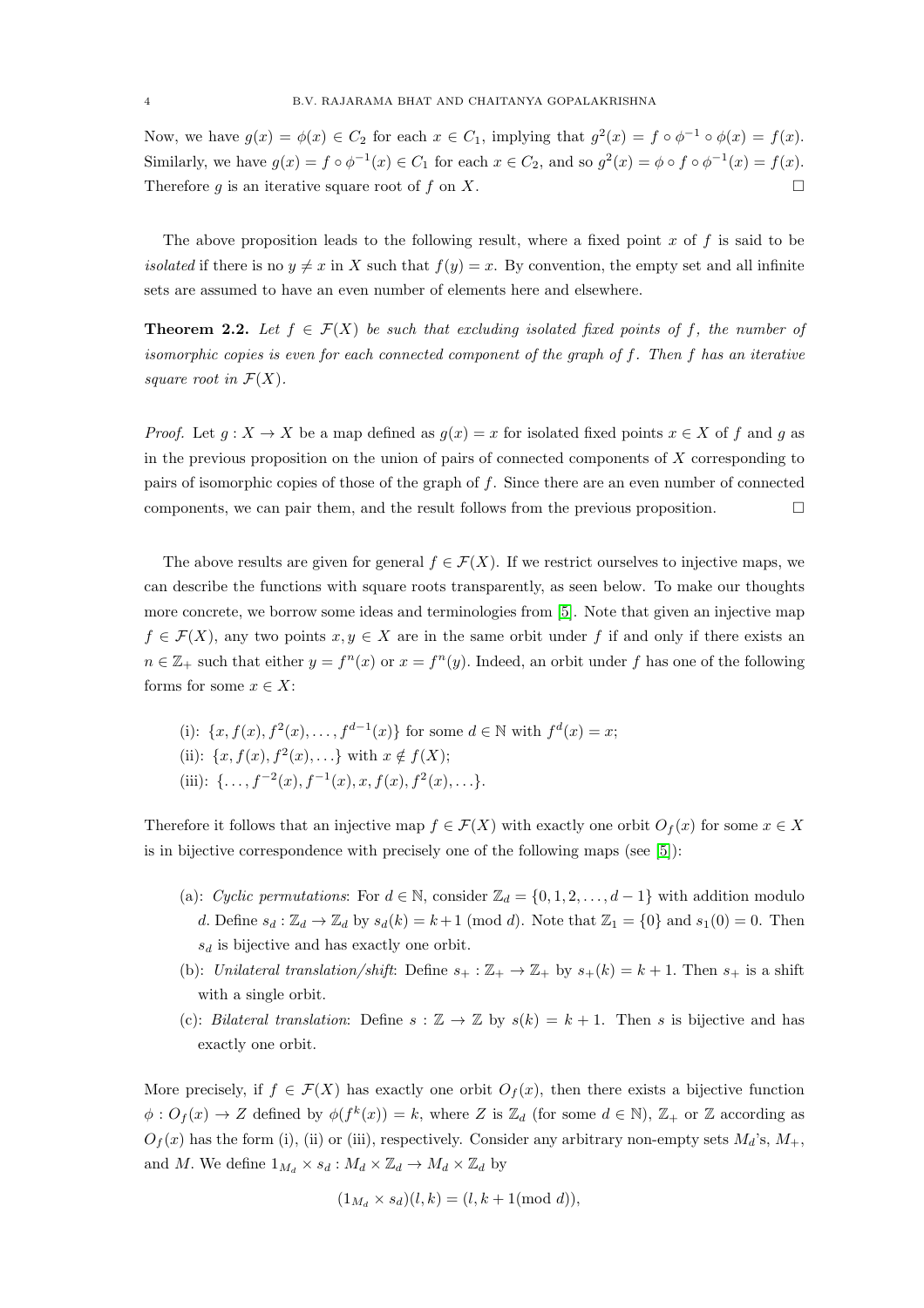Now, we have  $g(x) = \phi(x) \in C_2$  for each  $x \in C_1$ , implying that  $g^2(x) = f \circ \phi^{-1} \circ \phi(x) = f(x)$ . Similarly, we have  $g(x) = f \circ \phi^{-1}(x) \in C_1$  for each  $x \in C_2$ , and so  $g^2(x) = \phi \circ f \circ \phi^{-1}(x) = f(x)$ . Therefore q is an iterative square root of f on X.

The above proposition leads to the following result, where a fixed point  $x$  of  $f$  is said to be *isolated* if there is no  $y \neq x$  in X such that  $f(y) = x$ . By convention, the empty set and all infinite sets are assumed to have an even number of elements here and elsewhere.

**Theorem 2.2.** Let  $f \in \mathcal{F}(X)$  be such that excluding isolated fixed points of f, the number of isomorphic copies is even for each connected component of the graph of f. Then f has an iterative square root in  $\mathcal{F}(X)$ .

*Proof.* Let  $g: X \to X$  be a map defined as  $g(x) = x$  for isolated fixed points  $x \in X$  of f and g as in the previous proposition on the union of pairs of connected components of  $X$  corresponding to pairs of isomorphic copies of those of the graph of f. Since there are an even number of connected components, we can pair them, and the result follows from the previous proposition.  $\Box$ 

The above results are given for general  $f \in \mathcal{F}(X)$ . If we restrict ourselves to injective maps, we can describe the functions with square roots transparently, as seen below. To make our thoughts more concrete, we borrow some ideas and terminologies from [\[5\]](#page-22-3). Note that given an injective map  $f \in \mathcal{F}(X)$ , any two points  $x, y \in X$  are in the same orbit under f if and only if there exists an  $n \in \mathbb{Z}_+$  such that either  $y = f^n(x)$  or  $x = f^n(y)$ . Indeed, an orbit under f has one of the following forms for some  $x \in X$ :

(i):  $\{x, f(x), f^{2}(x), \ldots, f^{d-1}(x)\}$  for some  $d \in \mathbb{N}$  with  $f^{d}(x) = x$ ; (ii):  $\{x, f(x), f^{2}(x), \ldots\}$  with  $x \notin f(X)$ ; (iii):  $\{\ldots, f^{-2}(x), f^{-1}(x), x, f(x), f^{2}(x), \ldots\}.$ 

Therefore it follows that an injective map  $f \in \mathcal{F}(X)$  with exactly one orbit  $O_f(x)$  for some  $x \in X$ is in bijective correspondence with precisely one of the following maps (see [\[5\]](#page-22-3)):

- (a): Cyclic permutations: For  $d \in \mathbb{N}$ , consider  $\mathbb{Z}_d = \{0, 1, 2, \ldots, d 1\}$  with addition modulo d. Define  $s_d : \mathbb{Z}_d \to \mathbb{Z}_d$  by  $s_d(k) = k+1 \pmod{d}$ . Note that  $\mathbb{Z}_1 = \{0\}$  and  $s_1(0) = 0$ . Then  $s_d$  is bijective and has exactly one orbit.
- (b): Unilateral translation/shift: Define  $s_+ : \mathbb{Z}_+ \to \mathbb{Z}_+$  by  $s_+(k) = k+1$ . Then  $s_+$  is a shift with a single orbit.
- (c): Bilateral translation: Define  $s : \mathbb{Z} \to \mathbb{Z}$  by  $s(k) = k + 1$ . Then s is bijective and has exactly one orbit.

More precisely, if  $f \in \mathcal{F}(X)$  has exactly one orbit  $O_f(x)$ , then there exists a bijective function  $\phi: O_f(x) \to Z$  defined by  $\phi(f^k(x)) = k$ , where Z is  $\mathbb{Z}_d$  (for some  $d \in \mathbb{N}$ ),  $\mathbb{Z}_+$  or Z according as  $O_f(x)$  has the form (i), (ii) or (iii), respectively. Consider any arbitrary non-empty sets  $M_d$ 's,  $M_+$ , and M. We define  $1_{M_d} \times s_d : M_d \times \mathbb{Z}_d \to M_d \times \mathbb{Z}_d$  by

$$
(1_{M_d} \times s_d)(l,k) = (l, k+1 \text{ (mod } d)),
$$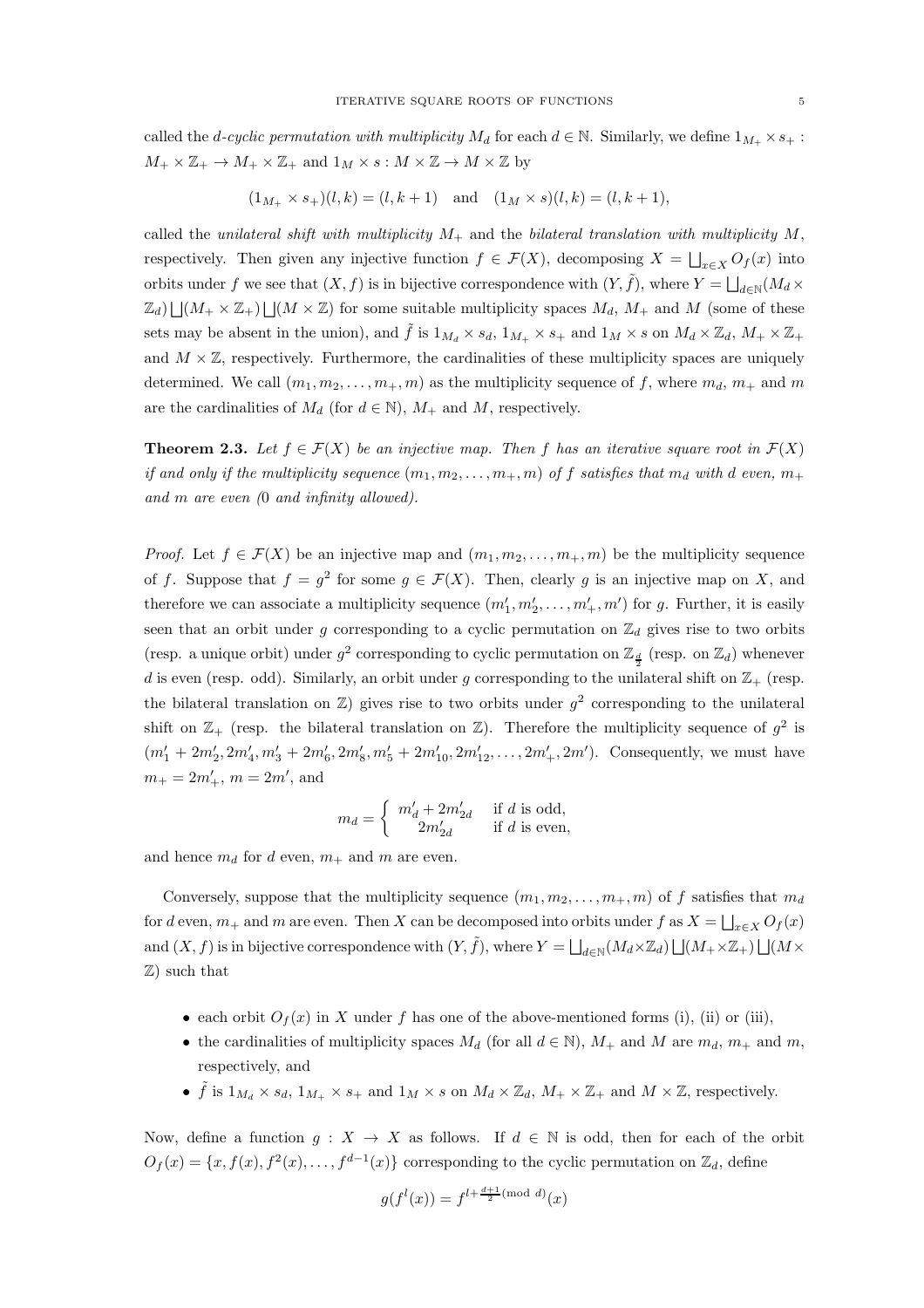called the d-cyclic permutation with multiplicity  $M_d$  for each  $d \in \mathbb{N}$ . Similarly, we define  $1_{M_+} \times s_+$ :  $M_+ \times \mathbb{Z}_+ \to M_+ \times \mathbb{Z}_+$  and  $1_M \times s : M \times \mathbb{Z} \to M \times \mathbb{Z}$  by

$$
(1_{M_+} \times s_+)(l,k) = (l, k+1)
$$
 and  $(1_M \times s)(l,k) = (l, k+1)$ ,

called the unilateral shift with multiplicity  $M_+$  and the bilateral translation with multiplicity  $M$ , respectively. Then given any injective function  $f \in \mathcal{F}(X)$ , decomposing  $X = \bigsqcup_{x \in X} O_f(x)$  into orbits under f we see that  $(X, f)$  is in bijective correspondence with  $(Y, \tilde{f})$ , where  $Y = \bigsqcup_{d \in \mathbb{N}} (M_d \times$  $\mathbb{Z}_d$ )  $\bigcup (M_+ \times \mathbb{Z}_+) \bigcup (M \times \mathbb{Z})$  for some suitable multiplicity spaces  $M_d$ ,  $M_+$  and M (some of these sets may be absent in the union), and  $\tilde{f}$  is  $1_{M_d} \times s_d$ ,  $1_{M_+} \times s_+$  and  $1_M \times s$  on  $M_d \times \mathbb{Z}_d$ ,  $M_+ \times \mathbb{Z}_+$ and  $M \times \mathbb{Z}$ , respectively. Furthermore, the cardinalities of these multiplicity spaces are uniquely determined. We call  $(m_1, m_2, \ldots, m_+, m)$  as the multiplicity sequence of f, where  $m_d, m_+$  and m are the cardinalities of  $M_d$  (for  $d \in \mathbb{N}$ ),  $M_+$  and  $M$ , respectively.

**Theorem 2.3.** Let  $f \in \mathcal{F}(X)$  be an injective map. Then f has an iterative square root in  $\mathcal{F}(X)$ if and only if the multiplicity sequence  $(m_1, m_2, \ldots, m_+, m)$  of f satisfies that  $m_d$  with d even,  $m_+$ and m are even (0 and infinity allowed).

*Proof.* Let  $f \in \mathcal{F}(X)$  be an injective map and  $(m_1, m_2, \ldots, m_+, m)$  be the multiplicity sequence of f. Suppose that  $f = g^2$  for some  $g \in \mathcal{F}(X)$ . Then, clearly g is an injective map on X, and therefore we can associate a multiplicity sequence  $(m'_1, m'_2, \ldots, m'_+, m')$  for g. Further, it is easily seen that an orbit under g corresponding to a cyclic permutation on  $\mathbb{Z}_d$  gives rise to two orbits (resp. a unique orbit) under  $g^2$  corresponding to cyclic permutation on  $\mathbb{Z}_{\frac{d}{2}}$  (resp. on  $\mathbb{Z}_d$ ) whenever d is even (resp. odd). Similarly, an orbit under g corresponding to the unilateral shift on  $\mathbb{Z}_+$  (resp. the bilateral translation on  $\mathbb{Z}$ ) gives rise to two orbits under  $g^2$  corresponding to the unilateral shift on  $\mathbb{Z}_+$  (resp. the bilateral translation on  $\mathbb{Z}$ ). Therefore the multiplicity sequence of  $g^2$  is  $(m'_1 + 2m'_2, 2m'_4, m'_3 + 2m'_6, 2m'_8, m'_5 + 2m'_{10}, 2m'_{12}, \ldots, 2m'_+, 2m')$ . Consequently, we must have  $m_+ = 2m'_+, m = 2m'$ , and

$$
m_d = \begin{cases} m'_d + 2m'_{2d} & \text{if } d \text{ is odd,} \\ 2m'_{2d} & \text{if } d \text{ is even,} \end{cases}
$$

and hence  $m_d$  for d even,  $m_+$  and m are even.

Conversely, suppose that the multiplicity sequence  $(m_1, m_2, \ldots, m_+, m)$  of f satisfies that  $m_d$ for d even,  $m_+$  and m are even. Then X can be decomposed into orbits under f as  $X = \bigsqcup_{x \in X} O_f(x)$ and  $(X, f)$  is in bijective correspondence with  $(Y, \tilde{f})$ , where  $Y = \bigsqcup_{d \in \mathbb{N}} (M_d \times \mathbb{Z}_d) \bigsqcup (M_+ \times \mathbb{Z}_+) \bigsqcup (M \times \mathbb{Z}_d)$ Z) such that

- each orbit  $O_f(x)$  in X under f has one of the above-mentioned forms (i), (ii) or (iii),
- the cardinalities of multiplicity spaces  $M_d$  (for all  $d \in \mathbb{N}$ ),  $M_+$  and  $M$  are  $m_d$ ,  $m_+$  and  $m$ , respectively, and
- $\tilde{f}$  is  $1_{M_d} \times s_d$ ,  $1_{M_+} \times s_+$  and  $1_M \times s$  on  $M_d \times \mathbb{Z}_d$ ,  $M_+ \times \mathbb{Z}_+$  and  $M \times \mathbb{Z}$ , respectively.

Now, define a function  $g: X \to X$  as follows. If  $d \in \mathbb{N}$  is odd, then for each of the orbit  $O_f(x) = \{x, f(x), f^2(x), \ldots, f^{d-1}(x)\}\$ corresponding to the cyclic permutation on  $\mathbb{Z}_d$ , define

$$
g(f^l(x)) = f^{l + \frac{d+1}{2} \pmod{d}}(x)
$$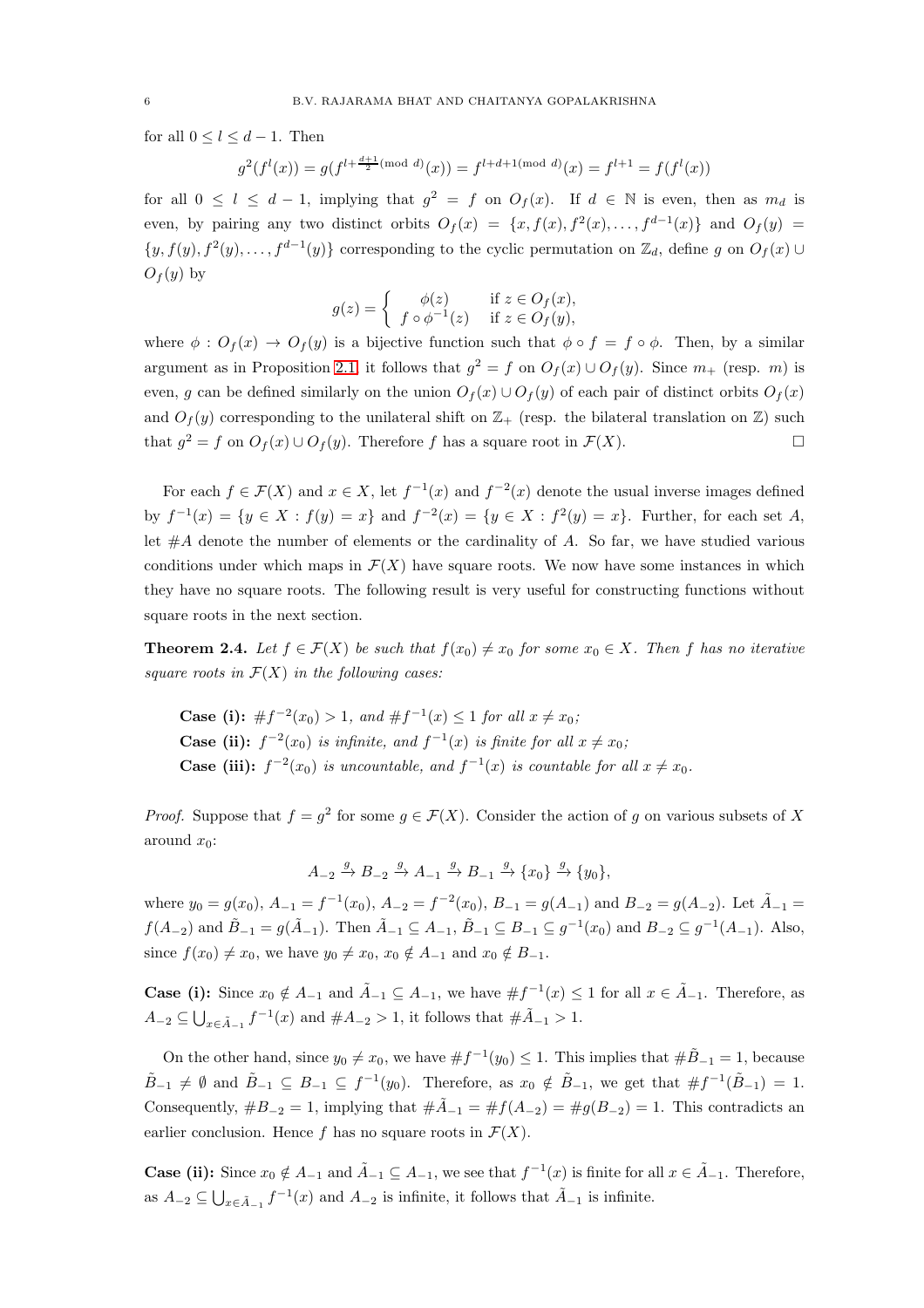for all  $0 \leq l \leq d-1$ . Then

$$
g^{2}(f^{l}(x)) = g(f^{l + \frac{d+1}{2}(\text{mod }d)}(x)) = f^{l + d + 1(\text{mod }d)}(x) = f^{l + 1} = f(f^{l}(x))
$$

for all  $0 \leq l \leq d-1$ , implying that  $g^2 = f$  on  $O_f(x)$ . If  $d \in \mathbb{N}$  is even, then as  $m_d$  is even, by pairing any two distinct orbits  $O_f(x) = \{x, f(x), f^2(x), \ldots, f^{d-1}(x)\}\$ and  $O_f(y) =$  $\{y, f(y), f^2(y), \ldots, f^{d-1}(y)\}\)$  corresponding to the cyclic permutation on  $\mathbb{Z}_d$ , define g on  $O_f(x)$  $O_f(y)$  by

$$
g(z) = \begin{cases} \phi(z) & \text{if } z \in O_f(x), \\ f \circ \phi^{-1}(z) & \text{if } z \in O_f(y), \end{cases}
$$

where  $\phi : O_f(x) \to O_f(y)$  is a bijective function such that  $\phi \circ f = f \circ \phi$ . Then, by a similar argument as in Proposition [2.1,](#page-2-1) it follows that  $g^2 = f$  on  $O_f(x) \cup O_f(y)$ . Since  $m_+$  (resp. m) is even, g can be defined similarly on the union  $O_f(x) \cup O_f(y)$  of each pair of distinct orbits  $O_f(x)$ and  $O_f(y)$  corresponding to the unilateral shift on  $\mathbb{Z}_+$  (resp. the bilateral translation on  $\mathbb{Z}$ ) such that  $g^2 = f$  on  $O_f(x) \cup O_f(y)$ . Therefore f has a square root in  $\mathcal{F}(X)$ .

For each  $f \in \mathcal{F}(X)$  and  $x \in X$ , let  $f^{-1}(x)$  and  $f^{-2}(x)$  denote the usual inverse images defined by  $f^{-1}(x) = \{y \in X : f(y) = x\}$  and  $f^{-2}(x) = \{y \in X : f^2(y) = x\}$ . Further, for each set A, let  $#A$  denote the number of elements or the cardinality of A. So far, we have studied various conditions under which maps in  $\mathcal{F}(X)$  have square roots. We now have some instances in which they have no square roots. The following result is very useful for constructing functions without square roots in the next section.

<span id="page-5-0"></span>**Theorem 2.4.** Let  $f \in \mathcal{F}(X)$  be such that  $f(x_0) \neq x_0$  for some  $x_0 \in X$ . Then f has no iterative square roots in  $\mathcal{F}(X)$  in the following cases:

**Case (i):**  $\#f^{-2}(x_0) > 1$ , and  $\#f^{-1}(x) \le 1$  for all  $x \ne x_0$ ; **Case (ii):**  $f^{-2}(x_0)$  is infinite, and  $f^{-1}(x)$  is finite for all  $x \neq x_0$ ; **Case (iii):**  $f^{-2}(x_0)$  is uncountable, and  $f^{-1}(x)$  is countable for all  $x \neq x_0$ .

*Proof.* Suppose that  $f = g^2$  for some  $g \in \mathcal{F}(X)$ . Consider the action of g on various subsets of X around  $x_0$ :

$$
A_{-2} \xrightarrow{g} B_{-2} \xrightarrow{g} A_{-1} \xrightarrow{g} B_{-1} \xrightarrow{g} \{x_0\} \xrightarrow{g} \{y_0\},
$$

where  $y_0 = g(x_0)$ ,  $A_{-1} = f^{-1}(x_0)$ ,  $A_{-2} = f^{-2}(x_0)$ ,  $B_{-1} = g(A_{-1})$  and  $B_{-2} = g(A_{-2})$ . Let  $\tilde{A}_{-1} = g(A_{-1})$  $f(A_{-2})$  and  $\tilde{B}_{-1} = g(\tilde{A}_{-1})$ . Then  $\tilde{A}_{-1} \subseteq A_{-1}$ ,  $\tilde{B}_{-1} \subseteq B_{-1} \subseteq g^{-1}(x_0)$  and  $B_{-2} \subseteq g^{-1}(A_{-1})$ . Also, since  $f(x_0) \neq x_0$ , we have  $y_0 \neq x_0$ ,  $x_0 \notin A_{-1}$  and  $x_0 \notin B_{-1}$ .

**Case (i):** Since  $x_0 \notin A_{-1}$  and  $\tilde{A}_{-1} \subseteq A_{-1}$ , we have  $\# f^{-1}(x) \leq 1$  for all  $x \in \tilde{A}_{-1}$ . Therefore, as  $A_{-2} \subseteq \bigcup_{x \in \tilde{A}_{-1}} f^{-1}(x)$  and  $\#A_{-2} > 1$ , it follows that  $\#\tilde{A}_{-1} > 1$ .

On the other hand, since  $y_0 \neq x_0$ , we have  $\#f^{-1}(y_0) \leq 1$ . This implies that  $\# \tilde{B}_{-1} = 1$ , because  $\tilde{B}_{-1} \neq \emptyset$  and  $\tilde{B}_{-1} \subseteq B_{-1} \subseteq f^{-1}(y_0)$ . Therefore, as  $x_0 \notin \tilde{B}_{-1}$ , we get that  $\#f^{-1}(\tilde{B}_{-1}) = 1$ . Consequently,  $\#B_{-2} = 1$ , implying that  $\#\tilde{A}_{-1} = \#f(A_{-2}) = \#g(B_{-2}) = 1$ . This contradicts an earlier conclusion. Hence f has no square roots in  $\mathcal{F}(X)$ .

**Case (ii):** Since  $x_0 \notin A_{-1}$  and  $\tilde{A}_{-1} \subseteq A_{-1}$ , we see that  $f^{-1}(x)$  is finite for all  $x \in \tilde{A}_{-1}$ . Therefore, as  $A_{-2} \subseteq \bigcup_{x \in \tilde{A}_{-1}} f^{-1}(x)$  and  $A_{-2}$  is infinite, it follows that  $\tilde{A}_{-1}$  is infinite.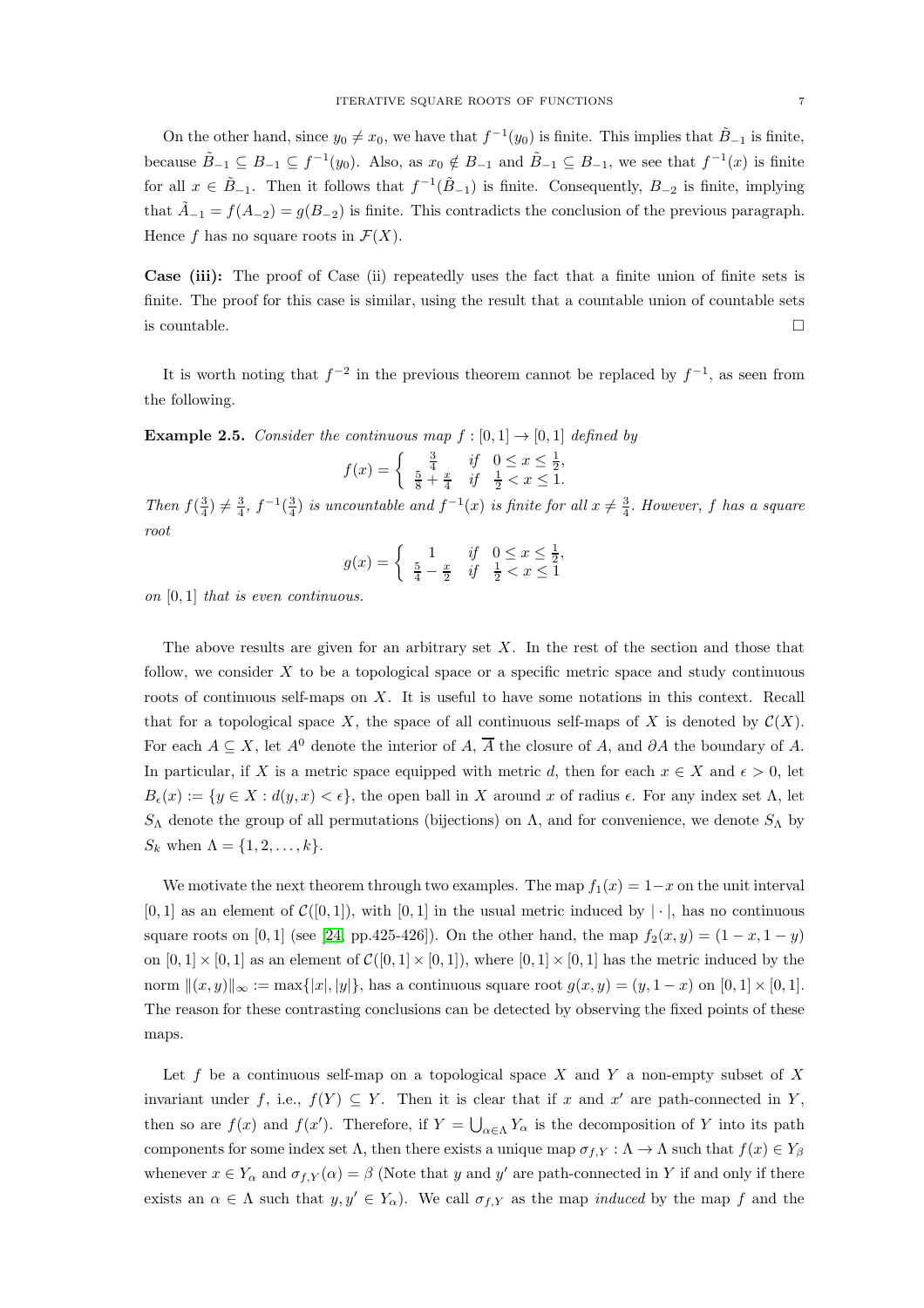On the other hand, since  $y_0 \neq x_0$ , we have that  $f^{-1}(y_0)$  is finite. This implies that  $\tilde{B}_{-1}$  is finite, because  $\tilde{B}_{-1} \subseteq B_{-1} \subseteq f^{-1}(y_0)$ . Also, as  $x_0 \notin B_{-1}$  and  $\tilde{B}_{-1} \subseteq B_{-1}$ , we see that  $f^{-1}(x)$  is finite for all  $x \in \tilde{B}_{-1}$ . Then it follows that  $f^{-1}(\tilde{B}_{-1})$  is finite. Consequently,  $B_{-2}$  is finite, implying that  $\tilde{A}_{-1} = f(A_{-2}) = g(B_{-2})$  is finite. This contradicts the conclusion of the previous paragraph. Hence f has no square roots in  $\mathcal{F}(X)$ .

Case (iii): The proof of Case (ii) repeatedly uses the fact that a finite union of finite sets is finite. The proof for this case is similar, using the result that a countable union of countable sets is countable.  $\Box$ 

It is worth noting that  $f^{-2}$  in the previous theorem cannot be replaced by  $f^{-1}$ , as seen from the following.

**Example 2.5.** Consider the continuous map  $f : [0, 1] \rightarrow [0, 1]$  defined by

$$
f(x) = \begin{cases} \frac{3}{4} & \text{if } 0 \le x \le \frac{1}{2}, \\ \frac{5}{8} + \frac{x}{4} & \text{if } \frac{1}{2} < x \le 1. \end{cases}
$$

Then  $f(\frac{3}{4}) \neq \frac{3}{4}$ ,  $f^{-1}(\frac{3}{4})$  is uncountable and  $f^{-1}(x)$  is finite for all  $x \neq \frac{3}{4}$ . However, f has a square root

$$
g(x) = \begin{cases} 1 & \text{if } 0 \le x \le \frac{1}{2}, \\ \frac{5}{4} - \frac{x}{2} & \text{if } \frac{1}{2} < x \le 1 \end{cases}
$$

on  $[0, 1]$  that is even continuous.

The above results are given for an arbitrary set  $X$ . In the rest of the section and those that follow, we consider  $X$  to be a topological space or a specific metric space and study continuous roots of continuous self-maps on X. It is useful to have some notations in this context. Recall that for a topological space X, the space of all continuous self-maps of X is denoted by  $\mathcal{C}(X)$ . For each  $A \subseteq X$ , let  $A^0$  denote the interior of A,  $\overline{A}$  the closure of A, and ∂A the boundary of A. In particular, if X is a metric space equipped with metric d, then for each  $x \in X$  and  $\epsilon > 0$ , let  $B_{\epsilon}(x) := \{y \in X : d(y, x) < \epsilon\},\$  the open ball in X around x of radius  $\epsilon$ . For any index set  $\Lambda$ , let S<sub>Λ</sub> denote the group of all permutations (bijections) on Λ, and for convenience, we denote  $S_\Lambda$  by  $S_k$  when  $\Lambda = \{1, 2, \ldots, k\}.$ 

We motivate the next theorem through two examples. The map  $f_1(x) = 1-x$  on the unit interval  $[0, 1]$  as an element of  $\mathcal{C}([0, 1])$ , with  $[0, 1]$  in the usual metric induced by  $|\cdot|$ , has no continuous square roots on [0, 1] (see [\[24,](#page-23-2) pp.425-426]). On the other hand, the map  $f_2(x, y) = (1 - x, 1 - y)$ on  $[0,1] \times [0,1]$  as an element of  $\mathcal{C}([0,1] \times [0,1])$ , where  $[0,1] \times [0,1]$  has the metric induced by the norm  $\|(x, y)\|_{\infty} := \max\{|x|, |y|\}$ , has a continuous square root  $g(x, y) = (y, 1 - x)$  on  $[0, 1] \times [0, 1]$ . The reason for these contrasting conclusions can be detected by observing the fixed points of these maps.

Let f be a continuous self-map on a topological space X and Y a non-empty subset of X invariant under f, i.e.,  $f(Y) \subseteq Y$ . Then it is clear that if x and x' are path-connected in Y, then so are  $f(x)$  and  $f(x')$ . Therefore, if  $Y = \bigcup_{\alpha \in \Lambda} Y_{\alpha}$  is the decomposition of Y into its path components for some index set  $\Lambda$ , then there exists a unique map  $\sigma_{f,Y} : \Lambda \to \Lambda$  such that  $f(x) \in Y_\beta$ whenever  $x \in Y_\alpha$  and  $\sigma_{f,Y}(\alpha) = \beta$  (Note that y and y' are path-connected in Y if and only if there exists an  $\alpha \in \Lambda$  such that  $y, y' \in Y_\alpha$ . We call  $\sigma_{f,Y}$  as the map *induced* by the map f and the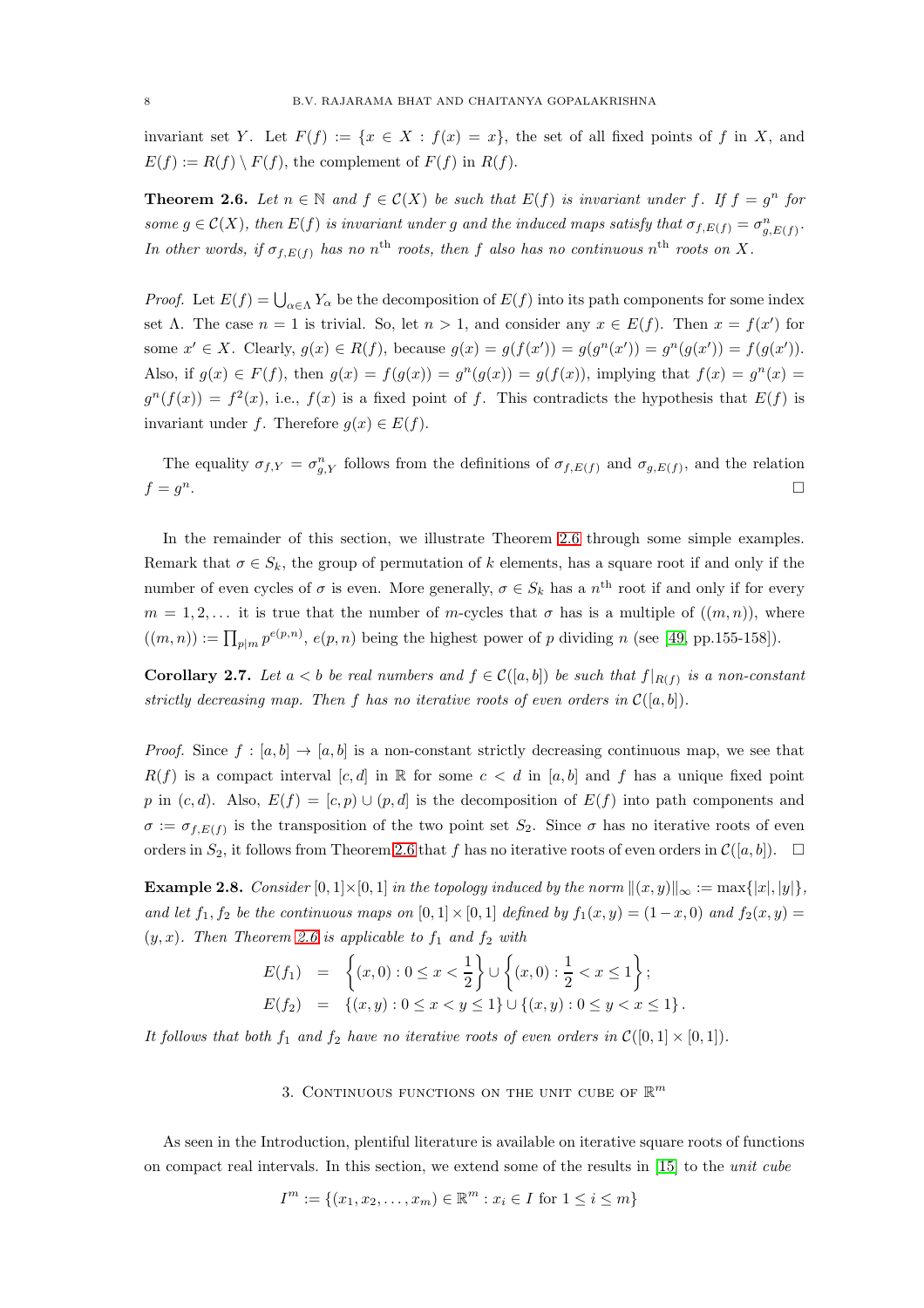invariant set Y. Let  $F(f) := \{x \in X : f(x) = x\}$ , the set of all fixed points of f in X, and  $E(f) := R(f) \setminus F(f)$ , the complement of  $F(f)$  in  $R(f)$ .

<span id="page-7-1"></span>**Theorem 2.6.** Let  $n \in \mathbb{N}$  and  $f \in \mathcal{C}(X)$  be such that  $E(f)$  is invariant under f. If  $f = g^n$  for some  $g \in \mathcal{C}(X)$ , then  $E(f)$  is invariant under g and the induced maps satisfy that  $\sigma_{f,E(f)} = \sigma_{g,E(f)}^n$ . In other words, if  $\sigma_{f,E(f)}$  has no n<sup>th</sup> roots, then f also has no continuous n<sup>th</sup> roots on X.

*Proof.* Let  $E(f) = \bigcup_{\alpha \in \Lambda} Y_{\alpha}$  be the decomposition of  $E(f)$  into its path components for some index set  $\Lambda$ . The case  $n = 1$  is trivial. So, let  $n > 1$ , and consider any  $x \in E(f)$ . Then  $x = f(x')$  for some  $x' \in X$ . Clearly,  $g(x) \in R(f)$ , because  $g(x) = g(f(x')) = g(g^{n}(x')) = g^{n}(g(x')) = f(g(x'))$ . Also, if  $g(x) \in F(f)$ , then  $g(x) = f(g(x)) = g^{n}(g(x)) = g(f(x))$ , implying that  $f(x) = g^{n}(x) = g(x)$  $g^{n}(f(x)) = f^{2}(x)$ , i.e.,  $f(x)$  is a fixed point of f. This contradicts the hypothesis that  $E(f)$  is invariant under f. Therefore  $g(x) \in E(f)$ .

The equality  $\sigma_{f,Y} = \sigma_{g,Y}^n$  follows from the definitions of  $\sigma_{f,E(f)}$  and  $\sigma_{g,E(f)}$ , and the relation  $f = q^n$ .  $n$ .

In the remainder of this section, we illustrate Theorem [2.6](#page-7-1) through some simple examples. Remark that  $\sigma \in S_k$ , the group of permutation of k elements, has a square root if and only if the number of even cycles of  $\sigma$  is even. More generally,  $\sigma \in S_k$  has a  $n^{\text{th}}$  root if and only if for every  $m = 1, 2, \ldots$  it is true that the number of m-cycles that  $\sigma$  has is a multiple of  $((m, n))$ , where  $((m, n)) := \prod_{p|m} p^{e(p,n)}, e(p, n)$  being the highest power of p dividing n (see [\[49,](#page-23-42) pp.155-158]).

<span id="page-7-2"></span>**Corollary 2.7.** Let  $a < b$  be real numbers and  $f \in \mathcal{C}([a, b])$  be such that  $f|_{R(f)}$  is a non-constant strictly decreasing map. Then f has no iterative roots of even orders in  $\mathcal{C}([a, b])$ .

*Proof.* Since  $f : [a, b] \to [a, b]$  is a non-constant strictly decreasing continuous map, we see that  $R(f)$  is a compact interval [c, d] in R for some  $c < d$  in [a, b] and f has a unique fixed point p in  $(c, d)$ . Also,  $E(f) = [c, p) \cup (p, d]$  is the decomposition of  $E(f)$  into path components and  $\sigma := \sigma_{f,E(f)}$  is the transposition of the two point set  $S_2$ . Since  $\sigma$  has no iterative roots of even orders in  $S_2$ , it follows from Theorem [2.6](#page-7-1) that f has no iterative roots of even orders in  $\mathcal{C}([a, b])$ .

**Example 2.8.** Consider [0, 1] × [0, 1] in the topology induced by the norm  $||(x, y)||_{\infty} := \max\{|x|, |y|\}$ , and let  $f_1, f_2$  be the continuous maps on  $[0, 1] \times [0, 1]$  defined by  $f_1(x, y) = (1-x, 0)$  and  $f_2(x, y) =$  $(y, x)$ . Then Theorem [2.6](#page-7-1) is applicable to  $f_1$  and  $f_2$  with

$$
E(f_1) = \left\{ (x,0) : 0 \le x < \frac{1}{2} \right\} \cup \left\{ (x,0) : \frac{1}{2} < x \le 1 \right\};
$$
  

$$
E(f_2) = \left\{ (x,y) : 0 \le x < y \le 1 \right\} \cup \left\{ (x,y) : 0 \le y < x \le 1 \right\}.
$$

<span id="page-7-0"></span>It follows that both  $f_1$  and  $f_2$  have no iterative roots of even orders in  $\mathcal{C}([0,1] \times [0,1])$ .

3. CONTINUOUS FUNCTIONS ON THE UNIT CUBE OF  $\mathbb{R}^m$ 

As seen in the Introduction, plentiful literature is available on iterative square roots of functions on compact real intervals. In this section, we extend some of the results in [\[15\]](#page-23-37) to the unit cube

$$
I^m := \{(x_1, x_2, \dots, x_m) \in \mathbb{R}^m : x_i \in I \text{ for } 1 \le i \le m\}
$$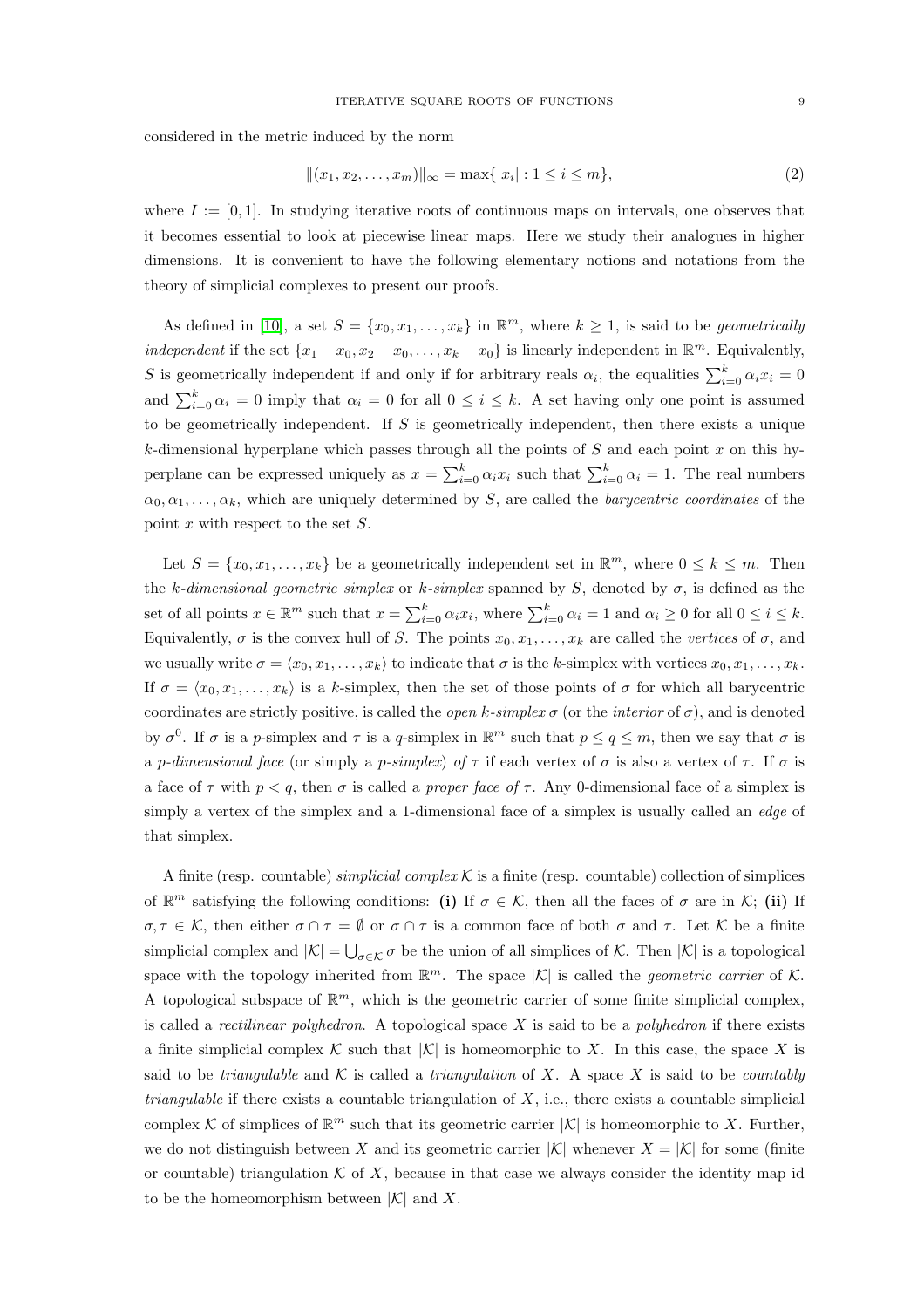considered in the metric induced by the norm

<span id="page-8-0"></span>
$$
||(x_1, x_2, \dots, x_m)||_{\infty} = \max\{|x_i| : 1 \le i \le m\},\tag{2}
$$

where  $I := [0, 1]$ . In studying iterative roots of continuous maps on intervals, one observes that it becomes essential to look at piecewise linear maps. Here we study their analogues in higher dimensions. It is convenient to have the following elementary notions and notations from the theory of simplicial complexes to present our proofs.

As defined in [\[10\]](#page-23-43), a set  $S = \{x_0, x_1, \ldots, x_k\}$  in  $\mathbb{R}^m$ , where  $k \geq 1$ , is said to be *geometrically* independent if the set  $\{x_1 - x_0, x_2 - x_0, \ldots, x_k - x_0\}$  is linearly independent in  $\mathbb{R}^m$ . Equivalently, S is geometrically independent if and only if for arbitrary reals  $\alpha_i$ , the equalities  $\sum_{i=0}^k \alpha_i x_i = 0$ and  $\sum_{i=0}^{k} \alpha_i = 0$  imply that  $\alpha_i = 0$  for all  $0 \le i \le k$ . A set having only one point is assumed to be geometrically independent. If  $S$  is geometrically independent, then there exists a unique k-dimensional hyperplane which passes through all the points of  $S$  and each point  $x$  on this hyperplane can be expressed uniquely as  $x = \sum_{i=0}^{k} \alpha_i x_i$  such that  $\sum_{i=0}^{k} \alpha_i = 1$ . The real numbers  $\alpha_0, \alpha_1, \ldots, \alpha_k$ , which are uniquely determined by S, are called the *barycentric coordinates* of the point  $x$  with respect to the set  $S$ .

Let  $S = \{x_0, x_1, \ldots, x_k\}$  be a geometrically independent set in  $\mathbb{R}^m$ , where  $0 \leq k \leq m$ . Then the k-dimensional geometric simplex or k-simplex spanned by S, denoted by  $\sigma$ , is defined as the set of all points  $x \in \mathbb{R}^m$  such that  $x = \sum_{i=0}^k \alpha_i x_i$ , where  $\sum_{i=0}^k \alpha_i = 1$  and  $\alpha_i \ge 0$  for all  $0 \le i \le k$ . Equivalently,  $\sigma$  is the convex hull of S. The points  $x_0, x_1, \ldots, x_k$  are called the vertices of  $\sigma$ , and we usually write  $\sigma = \langle x_0, x_1, \ldots, x_k \rangle$  to indicate that  $\sigma$  is the k-simplex with vertices  $x_0, x_1, \ldots, x_k$ . If  $\sigma = \langle x_0, x_1, \ldots, x_k \rangle$  is a k-simplex, then the set of those points of  $\sigma$  for which all barycentric coordinates are strictly positive, is called the *open k-simplex*  $\sigma$  (or the *interior* of  $\sigma$ ), and is denoted by  $\sigma^0$ . If  $\sigma$  is a p-simplex and  $\tau$  is a q-simplex in  $\mathbb{R}^m$  such that  $p \le q \le m$ , then we say that  $\sigma$  is a p-dimensional face (or simply a p-simplex) of  $\tau$  if each vertex of  $\sigma$  is also a vertex of  $\tau$ . If  $\sigma$  is a face of  $\tau$  with  $p < q$ , then  $\sigma$  is called a *proper face of*  $\tau$ . Any 0-dimensional face of a simplex is simply a vertex of the simplex and a 1-dimensional face of a simplex is usually called an *edge* of that simplex.

A finite (resp. countable) simplicial complex K is a finite (resp. countable) collection of simplices of  $\mathbb{R}^m$  satisfying the following conditions: (i) If  $\sigma \in \mathcal{K}$ , then all the faces of  $\sigma$  are in  $\mathcal{K}$ ; (ii) If  $\sigma, \tau \in \mathcal{K}$ , then either  $\sigma \cap \tau = \emptyset$  or  $\sigma \cap \tau$  is a common face of both  $\sigma$  and  $\tau$ . Let K be a finite simplicial complex and  $|\mathcal{K}| = \bigcup_{\sigma \in \mathcal{K}} \sigma$  be the union of all simplices of  $\mathcal{K}$ . Then  $|\mathcal{K}|$  is a topological space with the topology inherited from  $\mathbb{R}^m$ . The space  $|\mathcal{K}|$  is called the *geometric carrier* of  $\mathcal{K}$ . A topological subspace of  $\mathbb{R}^m$ , which is the geometric carrier of some finite simplicial complex, is called a *rectilinear polyhedron*. A topological space X is said to be a *polyhedron* if there exists a finite simplicial complex K such that  $|K|$  is homeomorphic to X. In this case, the space X is said to be *triangulable* and K is called a *triangulation* of X. A space X is said to be *countably triangulable* if there exists a countable triangulation of X, i.e., there exists a countable simplicial complex K of simplices of  $\mathbb{R}^m$  such that its geometric carrier  $|K|$  is homeomorphic to X. Further, we do not distinguish between X and its geometric carrier  $|\mathcal{K}|$  whenever  $X = |\mathcal{K}|$  for some (finite or countable) triangulation  $K$  of X, because in that case we always consider the identity map id to be the homeomorphism between  $|\mathcal{K}|$  and X.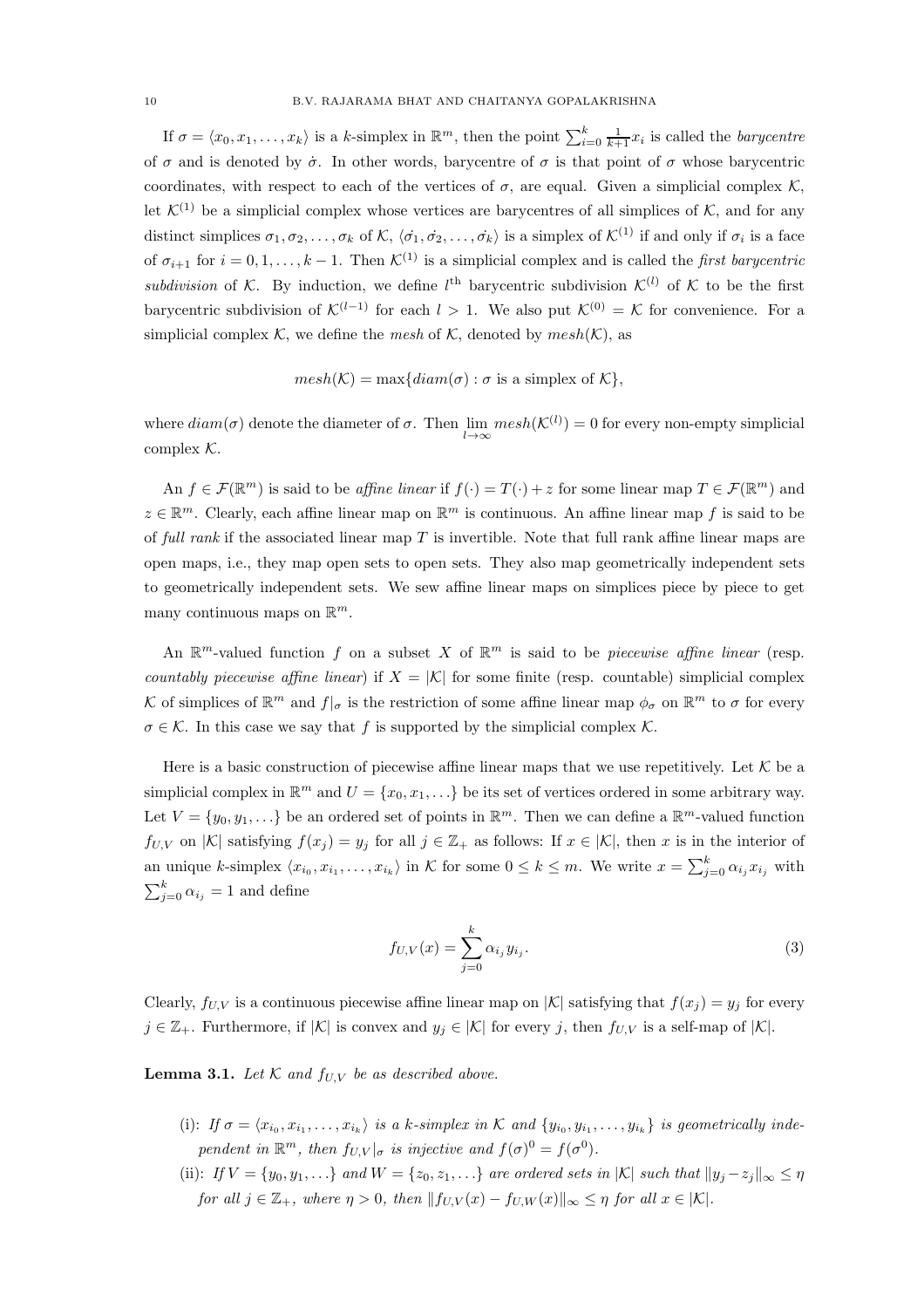If  $\sigma = \langle x_0, x_1, \ldots, x_k \rangle$  is a k-simplex in  $\mathbb{R}^m$ , then the point  $\sum_{i=0}^k \frac{1}{k+1}x_i$  is called the *barycentre* of  $\sigma$  and is denoted by  $\dot{\sigma}$ . In other words, barycentre of  $\sigma$  is that point of  $\sigma$  whose barycentric coordinates, with respect to each of the vertices of  $\sigma$ , are equal. Given a simplicial complex K, let  $\mathcal{K}^{(1)}$  be a simplicial complex whose vertices are barycentres of all simplices of  $\mathcal{K}$ , and for any distinct simplices  $\sigma_1, \sigma_2, \ldots, \sigma_k$  of  $\mathcal{K}, \langle \dot{\sigma_1}, \dot{\sigma_2}, \ldots, \dot{\sigma_k} \rangle$  is a simplex of  $\mathcal{K}^{(1)}$  if and only if  $\sigma_i$  is a face of  $\sigma_{i+1}$  for  $i = 0, 1, \ldots, k-1$ . Then  $\mathcal{K}^{(1)}$  is a simplicial complex and is called the *first barycentric* subdivision of K. By induction, we define  $l^{\text{th}}$  barycentric subdivision  $\mathcal{K}^{(l)}$  of K to be the first barycentric subdivision of  $\mathcal{K}^{(l-1)}$  for each  $l > 1$ . We also put  $\mathcal{K}^{(0)} = \mathcal{K}$  for convenience. For a simplicial complex K, we define the mesh of K, denoted by  $mesh(K)$ , as

 $mesh(K) = \max\{diam(\sigma) : \sigma \text{ is a simplex of } K\},\$ 

where  $diam(\sigma)$  denote the diameter of  $\sigma$ . Then  $\lim_{l\to\infty} mesh(\mathcal{K}^{(l)}) = 0$  for every non-empty simplicial complex  $K$ .

An  $f \in \mathcal{F}(\mathbb{R}^m)$  is said to be *affine linear* if  $f(\cdot) = T(\cdot) + z$  for some linear map  $T \in \mathcal{F}(\mathbb{R}^m)$  and  $z \in \mathbb{R}^m$ . Clearly, each affine linear map on  $\mathbb{R}^m$  is continuous. An affine linear map f is said to be of full rank if the associated linear map  $T$  is invertible. Note that full rank affine linear maps are open maps, i.e., they map open sets to open sets. They also map geometrically independent sets to geometrically independent sets. We sew affine linear maps on simplices piece by piece to get many continuous maps on  $\mathbb{R}^m$ .

An  $\mathbb{R}^m$ -valued function f on a subset X of  $\mathbb{R}^m$  is said to be *piecewise affine linear* (resp. countably piecewise affine linear) if  $X = |K|$  for some finite (resp. countable) simplicial complex K of simplices of  $\mathbb{R}^m$  and  $f|_{\sigma}$  is the restriction of some affine linear map  $\phi_{\sigma}$  on  $\mathbb{R}^m$  to  $\sigma$  for every  $\sigma \in \mathcal{K}$ . In this case we say that f is supported by the simplicial complex  $\mathcal{K}$ .

Here is a basic construction of piecewise affine linear maps that we use repetitively. Let  $K$  be a simplicial complex in  $\mathbb{R}^m$  and  $U = \{x_0, x_1, \ldots\}$  be its set of vertices ordered in some arbitrary way. Let  $V = \{y_0, y_1, \ldots\}$  be an ordered set of points in  $\mathbb{R}^m$ . Then we can define a  $\mathbb{R}^m$ -valued function  $f_{U,V}$  on  $|\mathcal{K}|$  satisfying  $f(x_j) = y_j$  for all  $j \in \mathbb{Z}_+$  as follows: If  $x \in |\mathcal{K}|$ , then x is in the interior of an unique k-simplex  $\langle x_{i_0}, x_{i_1}, \ldots, x_{i_k} \rangle$  in K for some  $0 \le k \le m$ . We write  $x = \sum_{j=0}^k \alpha_{i_j} x_{i_j}$  with  $\sum_{j=0}^{k} \alpha_{i_j} = 1$  and define

<span id="page-9-0"></span>
$$
f_{U,V}(x) = \sum_{j=0}^{k} \alpha_{i_j} y_{i_j}.
$$
 (3)

Clearly,  $f_{U,V}$  is a continuous piecewise affine linear map on  $|K|$  satisfying that  $f(x_j) = y_j$  for every  $j \in \mathbb{Z}_+$ . Furthermore, if  $|\mathcal{K}|$  is convex and  $y_j \in |\mathcal{K}|$  for every j, then  $f_{U,V}$  is a self-map of  $|\mathcal{K}|$ .

<span id="page-9-1"></span>**Lemma 3.1.** Let  $K$  and  $f_{U,V}$  be as described above.

- (i): If  $\sigma = \langle x_{i_0}, x_{i_1}, \ldots, x_{i_k} \rangle$  is a k-simplex in K and  $\{y_{i_0}, y_{i_1}, \ldots, y_{i_k}\}\$  is geometrically independent in  $\mathbb{R}^m$ , then  $f_{U,V}|_{\sigma}$  is injective and  $f(\sigma)^0 = f(\sigma^0)$ .
- (ii): If  $V = \{y_0, y_1, \ldots\}$  and  $W = \{z_0, z_1, \ldots\}$  are ordered sets in  $|K|$  such that  $||y_j z_j||_{\infty} \leq \eta$ for all  $j \in \mathbb{Z}_+$ , where  $\eta > 0$ , then  $||f_{U,V}(x) - f_{U,W}(x)||_{\infty} \leq \eta$  for all  $x \in |\mathcal{K}|$ .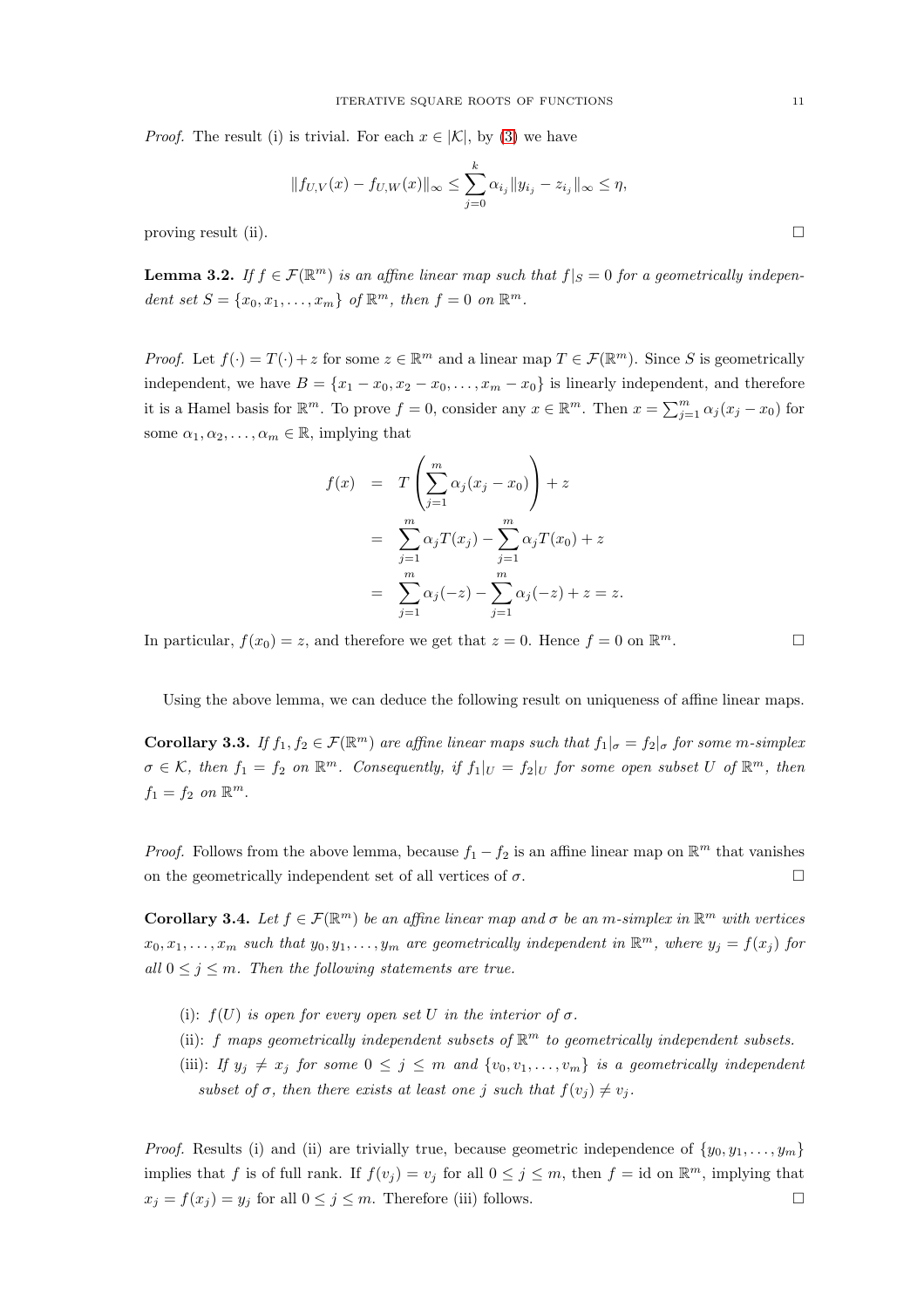*Proof.* The result (i) is trivial. For each  $x \in |\mathcal{K}|$ , by [\(3\)](#page-9-0) we have

$$
|| f_{U,V}(x) - f_{U,W}(x)||_{\infty} \leq \sum_{j=0}^{k} \alpha_{i_j} ||y_{i_j} - z_{i_j}||_{\infty} \leq \eta,
$$

proving result (ii).

**Lemma 3.2.** If  $f \in \mathcal{F}(\mathbb{R}^m)$  is an affine linear map such that  $f|_S = 0$  for a geometrically independent set  $S = \{x_0, x_1, \ldots, x_m\}$  of  $\mathbb{R}^m$ , then  $f = 0$  on  $\mathbb{R}^m$ .

*Proof.* Let  $f(\cdot) = T(\cdot) + z$  for some  $z \in \mathbb{R}^m$  and a linear map  $T \in \mathcal{F}(\mathbb{R}^m)$ . Since S is geometrically independent, we have  $B = \{x_1 - x_0, x_2 - x_0, \ldots, x_m - x_0\}$  is linearly independent, and therefore it is a Hamel basis for  $\mathbb{R}^m$ . To prove  $f = 0$ , consider any  $x \in \mathbb{R}^m$ . Then  $x = \sum_{j=1}^m \alpha_j (x_j - x_0)$  for some  $\alpha_1, \alpha_2, \ldots, \alpha_m \in \mathbb{R}$ , implying that

$$
f(x) = T\left(\sum_{j=1}^{m} \alpha_j (x_j - x_0)\right) + z
$$
  
= 
$$
\sum_{j=1}^{m} \alpha_j T(x_j) - \sum_{j=1}^{m} \alpha_j T(x_0) + z
$$
  
= 
$$
\sum_{j=1}^{m} \alpha_j (-z) - \sum_{j=1}^{m} \alpha_j (-z) + z = z.
$$

In particular,  $f(x_0) = z$ , and therefore we get that  $z = 0$ . Hence  $f = 0$  on  $\mathbb{R}^m$ .  $m$ .

Using the above lemma, we can deduce the following result on uniqueness of affine linear maps.

**Corollary 3.3.** If  $f_1, f_2 \in \mathcal{F}(\mathbb{R}^m)$  are affine linear maps such that  $f_1|_{\sigma} = f_2|_{\sigma}$  for some m-simplex  $\sigma \in \mathcal{K}$ , then  $f_1 = f_2$  on  $\mathbb{R}^m$ . Consequently, if  $f_1|_U = f_2|_U$  for some open subset U of  $\mathbb{R}^m$ , then  $f_1 = f_2$  on  $\mathbb{R}^m$ .

*Proof.* Follows from the above lemma, because  $f_1 - f_2$  is an affine linear map on  $\mathbb{R}^m$  that vanishes on the geometrically independent set of all vertices of  $\sigma$ .

<span id="page-10-0"></span>**Corollary 3.4.** Let  $f \in \mathcal{F}(\mathbb{R}^m)$  be an affine linear map and  $\sigma$  be an m-simplex in  $\mathbb{R}^m$  with vertices  $x_0, x_1, \ldots, x_m$  such that  $y_0, y_1, \ldots, y_m$  are geometrically independent in  $\mathbb{R}^m$ , where  $y_j = f(x_j)$  for all  $0 \leq j \leq m$ . Then the following statements are true.

- (i):  $f(U)$  is open for every open set U in the interior of  $\sigma$ .
- (ii): f maps geometrically independent subsets of  $\mathbb{R}^m$  to geometrically independent subsets.
- (iii): If  $y_j \neq x_j$  for some  $0 \leq j \leq m$  and  $\{v_0, v_1, \ldots, v_m\}$  is a geometrically independent subset of  $\sigma$ , then there exists at least one j such that  $f(v_i) \neq v_j$ .

*Proof.* Results (i) and (ii) are trivially true, because geometric independence of  $\{y_0, y_1, \ldots, y_m\}$ implies that f is of full rank. If  $f(v_j) = v_j$  for all  $0 \le j \le m$ , then  $f = id$  on  $\mathbb{R}^m$ , implying that  $x_j = f(x_j) = y_j$  for all  $0 \le j \le m$ . Therefore (iii) follows.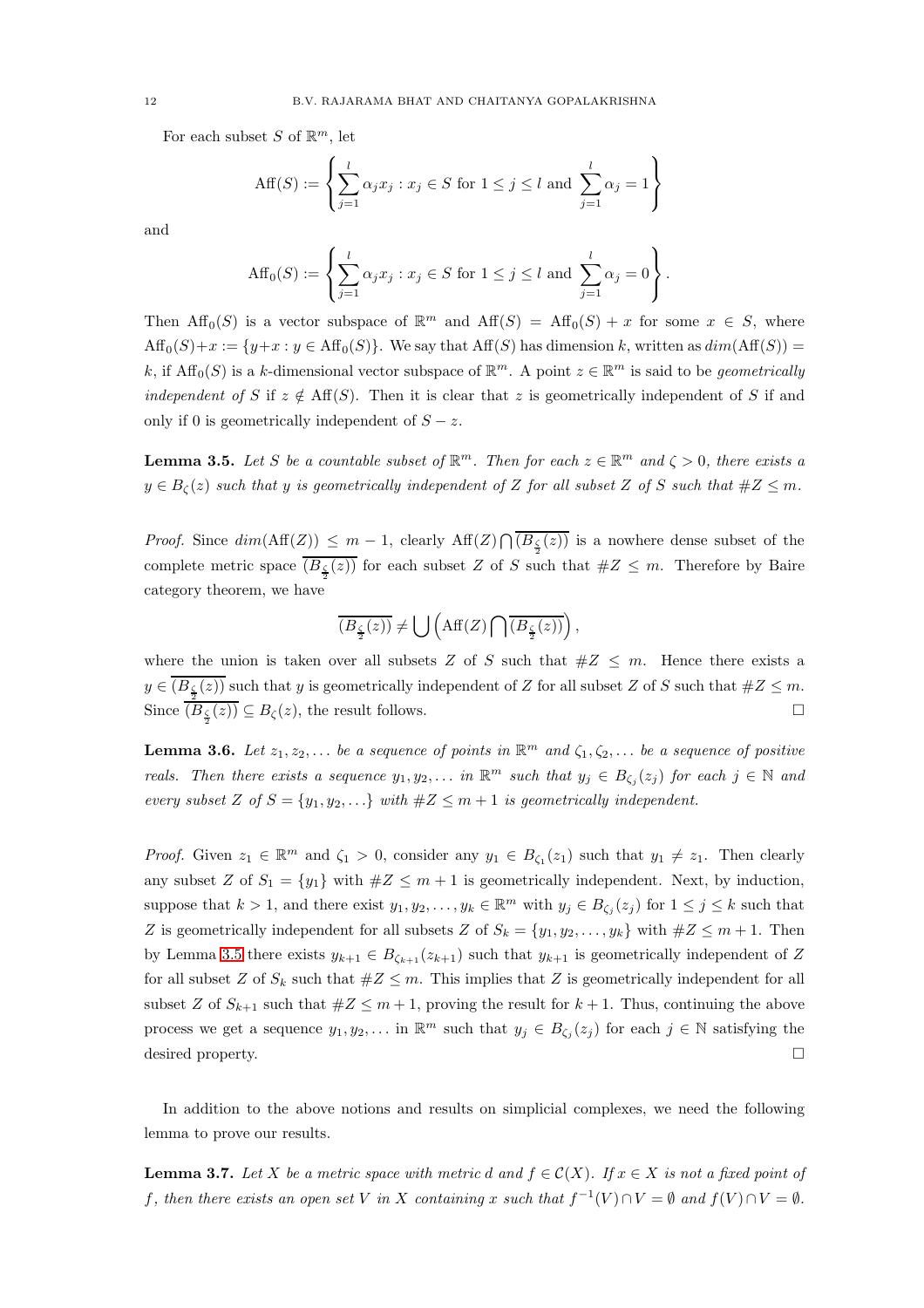For each subset S of  $\mathbb{R}^m$ , let

$$
\text{Aff}(S) := \left\{ \sum_{j=1}^{l} \alpha_j x_j : x_j \in S \text{ for } 1 \leq j \leq l \text{ and } \sum_{j=1}^{l} \alpha_j = 1 \right\}
$$

and

$$
\text{Aff}_0(S) := \left\{ \sum_{j=1}^l \alpha_j x_j : x_j \in S \text{ for } 1 \le j \le l \text{ and } \sum_{j=1}^l \alpha_j = 0 \right\}.
$$

Then  $\text{Aff}_0(S)$  is a vector subspace of  $\mathbb{R}^m$  and  $\text{Aff}(S) = \text{Aff}_0(S) + x$  for some  $x \in S$ , where  $Aff_0(S)+x := \{y+x : y \in Aff_0(S)\}.$  We say that  $Aff(S)$  has dimension k, written as  $dim(Aff(S)) =$ k, if  $\text{Aff}_0(S)$  is a k-dimensional vector subspace of  $\mathbb{R}^m$ . A point  $z \in \mathbb{R}^m$  is said to be *geometrically* independent of S if  $z \notin Aff(S)$ . Then it is clear that z is geometrically independent of S if and only if 0 is geometrically independent of  $S - z$ .

<span id="page-11-0"></span>**Lemma 3.5.** Let S be a countable subset of  $\mathbb{R}^m$ . Then for each  $z \in \mathbb{R}^m$  and  $\zeta > 0$ , there exists a  $y \in B_{\zeta}(z)$  such that y is geometrically independent of Z for all subset Z of S such that  $\#Z \leq m$ .

*Proof.* Since  $dim(\text{Aff}(Z)) \leq m-1$ , clearly  $\text{Aff}(Z) \bigcap (B_{\frac{\zeta}{2}}(z))$  is a nowhere dense subset of the complete metric space  $(B_{\frac{\zeta}{2}}(z))$  for each subset Z of S such that  $\#Z \leq m$ . Therefore by Baire category theorem, we have

$$
\overline{(B_{\frac{\zeta}{2}}(z))} \neq \bigcup \left( \text{Aff}(Z) \bigcap \overline{(B_{\frac{\zeta}{2}}(z))} \right),
$$

where the union is taken over all subsets Z of S such that  $#Z \n\t\leq m$ . Hence there exists a  $y \in (B_{\frac{\zeta}{2}}(z))$  such that y is geometrically independent of Z for all subset Z of S such that  $\#Z \leq m$ . Since  $\overline{(B_{\frac{\zeta}{2}}(z))} \subseteq B_{\zeta}(z)$ , the result follows.

<span id="page-11-1"></span>**Lemma 3.6.** Let  $z_1, z_2, \ldots$  be a sequence of points in  $\mathbb{R}^m$  and  $\zeta_1, \zeta_2, \ldots$  be a sequence of positive reals. Then there exists a sequence  $y_1, y_2, \ldots$  in  $\mathbb{R}^m$  such that  $y_j \in B_{\zeta_j}(z_j)$  for each  $j \in \mathbb{N}$  and every subset Z of  $S = \{y_1, y_2, ...\}$  with  $#Z \leq m+1$  is geometrically independent.

*Proof.* Given  $z_1 \in \mathbb{R}^m$  and  $\zeta_1 > 0$ , consider any  $y_1 \in B_{\zeta_1}(z_1)$  such that  $y_1 \neq z_1$ . Then clearly any subset Z of  $S_1 = \{y_1\}$  with  $\#Z \leq m+1$  is geometrically independent. Next, by induction, suppose that  $k > 1$ , and there exist  $y_1, y_2, \ldots, y_k \in \mathbb{R}^m$  with  $y_j \in B_{\zeta_j}(z_j)$  for  $1 \leq j \leq k$  such that Z is geometrically independent for all subsets Z of  $S_k = \{y_1, y_2, \ldots, y_k\}$  with  $\#Z \leq m+1$ . Then by Lemma [3.5](#page-11-0) there exists  $y_{k+1} \in B_{\zeta_{k+1}}(z_{k+1})$  such that  $y_{k+1}$  is geometrically independent of Z for all subset Z of  $S_k$  such that  $\#Z \leq m$ . This implies that Z is geometrically independent for all subset Z of  $S_{k+1}$  such that  $\#Z \leq m+1$ , proving the result for  $k+1$ . Thus, continuing the above process we get a sequence  $y_1, y_2, \ldots$  in  $\mathbb{R}^m$  such that  $y_j \in B_{\zeta_j}(z_j)$  for each  $j \in \mathbb{N}$  satisfying the desired property.

In addition to the above notions and results on simplicial complexes, we need the following lemma to prove our results.

<span id="page-11-2"></span>**Lemma 3.7.** Let X be a metric space with metric d and  $f \in \mathcal{C}(X)$ . If  $x \in X$  is not a fixed point of f, then there exists an open set V in X containing x such that  $f^{-1}(V) \cap V = \emptyset$  and  $f(V) \cap V = \emptyset$ .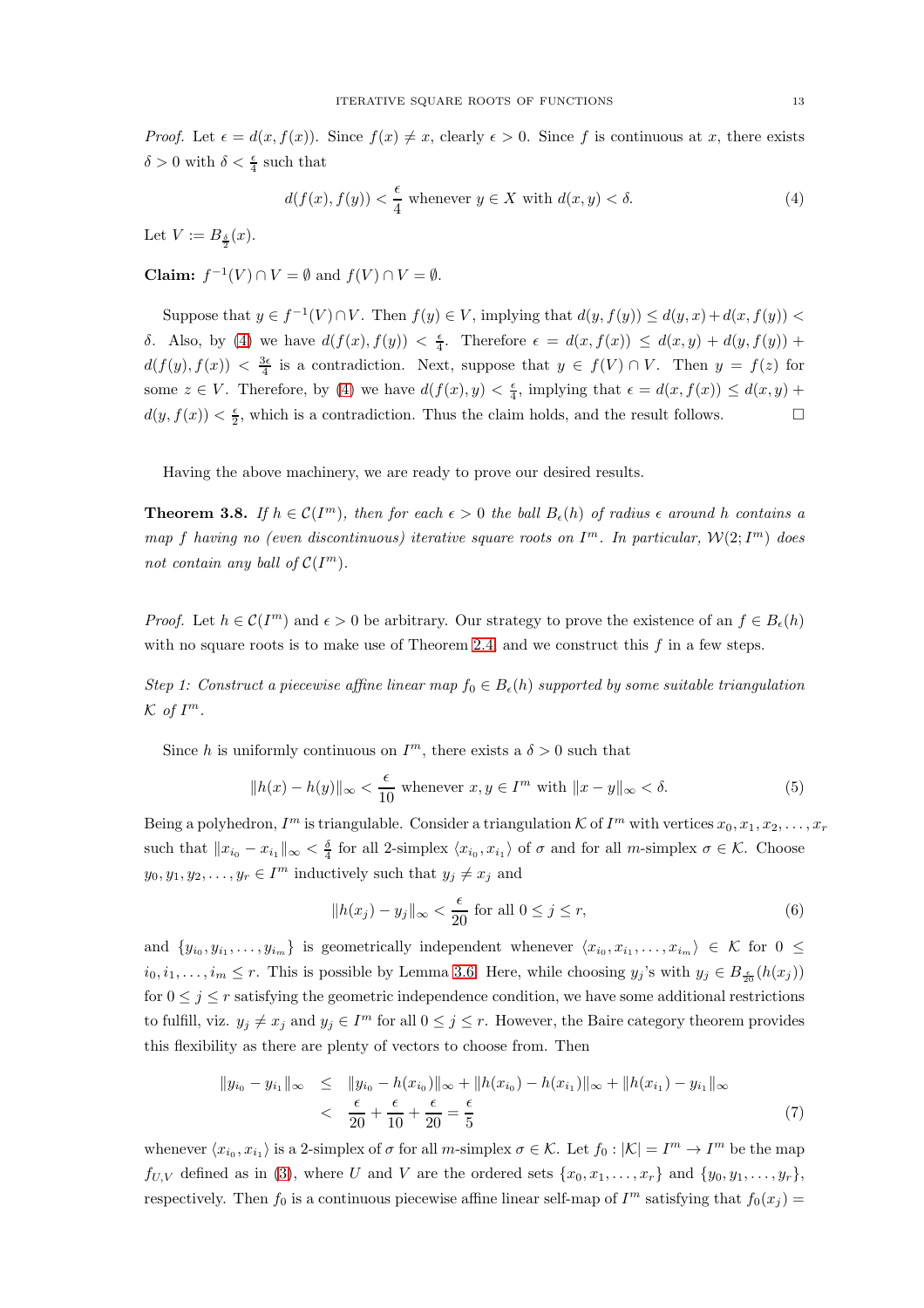*Proof.* Let  $\epsilon = d(x, f(x))$ . Since  $f(x) \neq x$ , clearly  $\epsilon > 0$ . Since f is continuous at x, there exists  $\delta > 0$  with  $\delta < \frac{\epsilon}{4}$  such that

<span id="page-12-1"></span>
$$
d(f(x), f(y)) < \frac{\epsilon}{4} \text{ whenever } y \in X \text{ with } d(x, y) < \delta. \tag{4}
$$

Let  $V := B_{\frac{\delta}{2}}(x)$ .

**Claim:**  $f^{-1}(V) \cap V = \emptyset$  and  $f(V) \cap V = \emptyset$ .

Suppose that  $y \in f^{-1}(V) \cap V$ . Then  $f(y) \in V$ , implying that  $d(y, f(y)) \leq d(y, x) + d(x, f(y))$ δ. Also, by [\(4\)](#page-12-1) we have  $d(f(x), f(y)) < \frac{\epsilon}{4}$ . Therefore  $\epsilon = d(x, f(x)) \leq d(x, y) + d(y, f(y)) +$  $d(f(y), f(x)) < \frac{3\epsilon}{4}$  is a contradiction. Next, suppose that  $y \in f(V) \cap V$ . Then  $y = f(z)$  for some  $z \in V$ . Therefore, by [\(4\)](#page-12-1) we have  $d(f(x), y) < \frac{\epsilon}{4}$ , implying that  $\epsilon = d(x, f(x)) \leq d(x, y) +$  $d(y, f(x)) < \frac{\epsilon}{2}$ , which is a contradiction. Thus the claim holds, and the result follows.

Having the above machinery, we are ready to prove our desired results.

<span id="page-12-0"></span>**Theorem 3.8.** If  $h \in \mathcal{C}(I^m)$ , then for each  $\epsilon > 0$  the ball  $B_{\epsilon}(h)$  of radius  $\epsilon$  around h contains a map f having no (even discontinuous) iterative square roots on  $I^m$ . In particular,  $\mathcal{W}(2;I^m)$  does not contain any ball of  $\mathcal{C}(I^m)$ .

*Proof.* Let  $h \in \mathcal{C}(I^m)$  and  $\epsilon > 0$  be arbitrary. Our strategy to prove the existence of an  $f \in B_{\epsilon}(h)$ with no square roots is to make use of Theorem [2.4,](#page-5-0) and we construct this  $f$  in a few steps.

Step 1: Construct a piecewise affine linear map  $f_0 \in B_{\epsilon}(h)$  supported by some suitable triangulation  $\mathcal{K}$  of  $I^m$ .

Since h is uniformly continuous on  $I^m$ , there exists a  $\delta > 0$  such that

<span id="page-12-2"></span>
$$
||h(x) - h(y)||_{\infty} < \frac{\epsilon}{10} \text{ whenever } x, y \in I^m \text{ with } ||x - y||_{\infty} < \delta.
$$
 (5)

Being a polyhedron,  $I^m$  is triangulable. Consider a triangulation K of  $I^m$  with vertices  $x_0, x_1, x_2, \ldots, x_r$ such that  $||x_{i_0} - x_{i_1}||_{\infty} < \frac{\delta}{4}$  for all 2-simplex  $\langle x_{i_0}, x_{i_1} \rangle$  of  $\sigma$  and for all m-simplex  $\sigma \in \mathcal{K}$ . Choose  $y_0, y_1, y_2, \ldots, y_r \in I^m$  inductively such that  $y_j \neq x_j$  and

<span id="page-12-3"></span>
$$
||h(x_j) - y_j||_{\infty} < \frac{\epsilon}{20} \text{ for all } 0 \le j \le r,
$$
\n<sup>(6)</sup>

and  $\{y_{i_0}, y_{i_1}, \ldots, y_{i_m}\}\$ is geometrically independent whenever  $\langle x_{i_0}, x_{i_1}, \ldots, x_{i_m}\rangle \in \mathcal{K}$  for  $0 \leq$  $i_0, i_1, \ldots, i_m \leq r$ . This is possible by Lemma [3.6.](#page-11-1) Here, while choosing  $y_j$ 's with  $y_j \in B_{\frac{\epsilon}{20}}(h(x_j))$ for  $0 \leq j \leq r$  satisfying the geometric independence condition, we have some additional restrictions to fulfill, viz.  $y_j \neq x_j$  and  $y_j \in I^m$  for all  $0 \leq j \leq r$ . However, the Baire category theorem provides this flexibility as there are plenty of vectors to choose from. Then

$$
||y_{i_0} - y_{i_1}||_{\infty} \le ||y_{i_0} - h(x_{i_0})||_{\infty} + ||h(x_{i_0}) - h(x_{i_1})||_{\infty} + ||h(x_{i_1}) - y_{i_1}||_{\infty}
$$
  

$$
< \frac{\epsilon}{20} + \frac{\epsilon}{10} + \frac{\epsilon}{20} = \frac{\epsilon}{5}
$$
 (7)

whenever  $\langle x_{i_0}, x_{i_1} \rangle$  is a 2-simplex of  $\sigma$  for all m-simplex  $\sigma \in \mathcal{K}$ . Let  $f_0 : |\mathcal{K}| = I^m \to I^m$  be the map  $f_{U,V}$  defined as in [\(3\)](#page-9-0), where U and V are the ordered sets  $\{x_0, x_1, \ldots, x_r\}$  and  $\{y_0, y_1, \ldots, y_r\}$ , respectively. Then  $f_0$  is a continuous piecewise affine linear self-map of  $I^m$  satisfying that  $f_0(x_j)$  =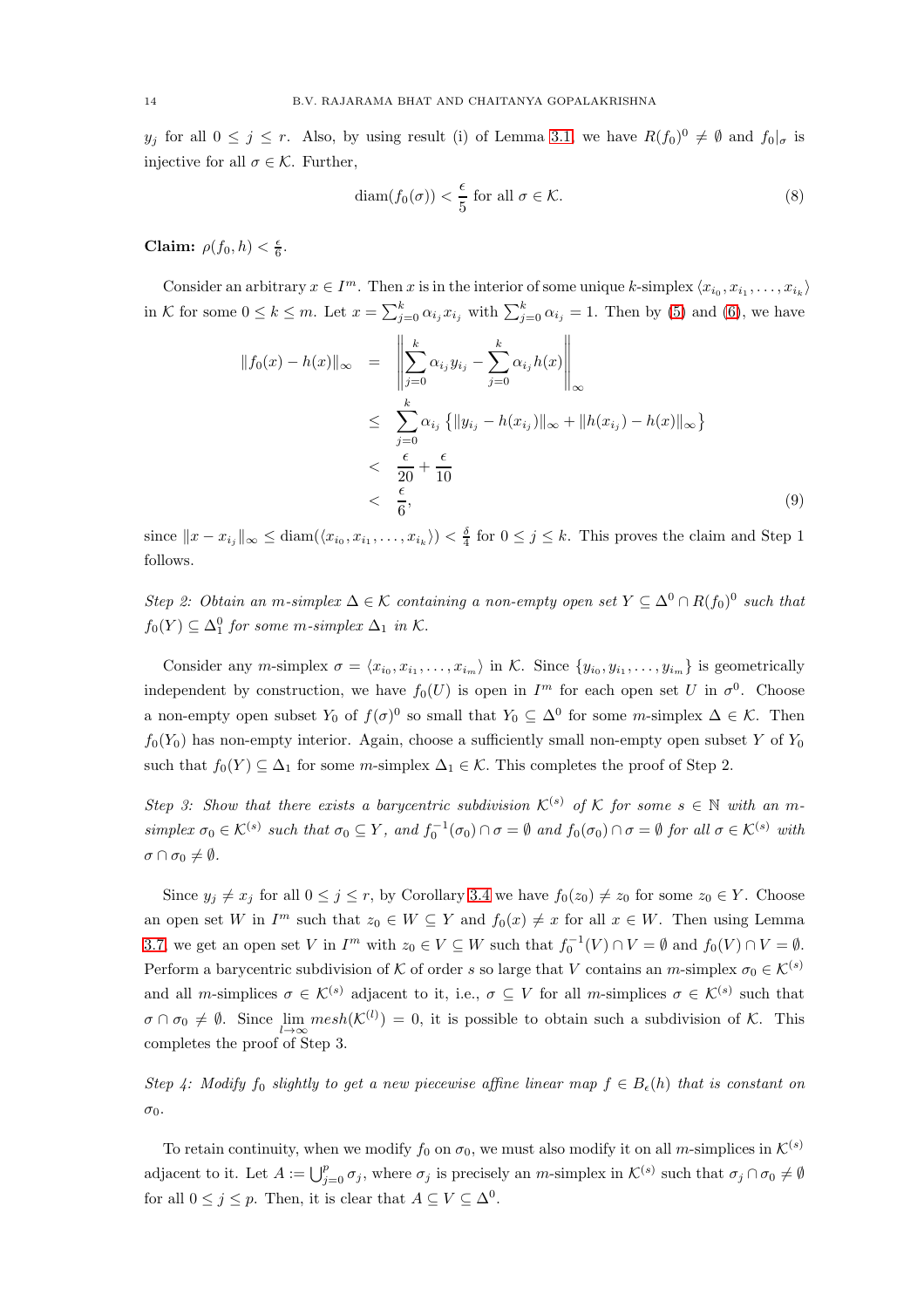y<sub>j</sub> for all  $0 \le j \le r$ . Also, by using result (i) of Lemma [3.1,](#page-9-1) we have  $R(f_0)^0 \neq \emptyset$  and  $f_0|_{\sigma}$  is injective for all  $\sigma \in \mathcal{K}$ . Further,

<span id="page-13-0"></span>
$$
diam(f_0(\sigma)) < \frac{\epsilon}{5} \text{ for all } \sigma \in \mathcal{K}.
$$
 (8)

Claim:  $\rho(f_0, h) < \frac{\epsilon}{6}$ .

Consider an arbitrary  $x \in I^m$ . Then x is in the interior of some unique k-simplex  $\langle x_{i_0}, x_{i_1}, \ldots, x_{i_k} \rangle$ in K for some  $0 \le k \le m$ . Let  $x = \sum_{j=0}^k \alpha_{i_j} x_{i_j}$  with  $\sum_{j=0}^k \alpha_{i_j} = 1$ . Then by [\(5\)](#page-12-2) and [\(6\)](#page-12-3), we have

<span id="page-13-1"></span>
$$
||f_0(x) - h(x)||_{\infty} = \left\| \sum_{j=0}^{k} \alpha_{i_j} y_{i_j} - \sum_{j=0}^{k} \alpha_{i_j} h(x) \right\|_{\infty}
$$
  
\n
$$
\leq \sum_{j=0}^{k} \alpha_{i_j} \left\{ ||y_{i_j} - h(x_{i_j})||_{\infty} + ||h(x_{i_j}) - h(x)||_{\infty} \right\}
$$
  
\n
$$
< \frac{\epsilon}{20} + \frac{\epsilon}{10}
$$
  
\n
$$
< \frac{\epsilon}{6}, \tag{9}
$$

since  $||x - x_{i_j}||_{\infty} \leq \text{diam}(\langle x_{i_0}, x_{i_1}, \ldots, x_{i_k} \rangle) < \frac{\delta}{4}$  for  $0 \leq j \leq k$ . This proves the claim and Step 1 follows.

Step 2: Obtain an m-simplex  $\Delta \in \mathcal{K}$  containing a non-empty open set  $Y \subseteq \Delta^0 \cap R(f_0)^0$  such that  $f_0(Y) \subseteq \Delta_1^0$  for some m-simplex  $\Delta_1$  in K.

Consider any m-simplex  $\sigma = \langle x_{i_0}, x_{i_1}, \ldots, x_{i_m} \rangle$  in K. Since  $\{y_{i_0}, y_{i_1}, \ldots, y_{i_m}\}\$ is geometrically independent by construction, we have  $f_0(U)$  is open in  $I^m$  for each open set U in  $\sigma^0$ . Choose a non-empty open subset  $Y_0$  of  $f(\sigma)^0$  so small that  $Y_0 \subseteq \Delta^0$  for some *m*-simplex  $\Delta \in \mathcal{K}$ . Then  $f_0(Y_0)$  has non-empty interior. Again, choose a sufficiently small non-empty open subset Y of  $Y_0$ such that  $f_0(Y) \subseteq \Delta_1$  for some m-simplex  $\Delta_1 \in \mathcal{K}$ . This completes the proof of Step 2.

Step 3: Show that there exists a barycentric subdivision  $\mathcal{K}^{(s)}$  of K for some  $s \in \mathbb{N}$  with an msimplex  $\sigma_0 \in \mathcal{K}^{(s)}$  such that  $\sigma_0 \subseteq Y$ , and  $f_0^{-1}(\sigma_0) \cap \sigma = \emptyset$  and  $f_0(\sigma_0) \cap \sigma = \emptyset$  for all  $\sigma \in \mathcal{K}^{(s)}$  with  $\sigma \cap \sigma_0 \neq \emptyset$ .

Since  $y_j \neq x_j$  for all  $0 \leq j \leq r$ , by Corollary [3.4](#page-10-0) we have  $f_0(z_0) \neq z_0$  for some  $z_0 \in Y$ . Choose an open set W in  $I^m$  such that  $z_0 \in W \subseteq Y$  and  $f_0(x) \neq x$  for all  $x \in W$ . Then using Lemma [3.7,](#page-11-2) we get an open set V in  $I^m$  with  $z_0 \in V \subseteq W$  such that  $f_0^{-1}(V) \cap V = \emptyset$  and  $f_0(V) \cap V = \emptyset$ . Perform a barycentric subdivision of K of order s so large that V contains an  $m$ -simplex  $\sigma_0 \in \mathcal{K}^{(s)}$ and all m-simplices  $\sigma \in \mathcal{K}^{(s)}$  adjacent to it, i.e.,  $\sigma \subseteq V$  for all m-simplices  $\sigma \in \mathcal{K}^{(s)}$  such that  $\sigma \cap \sigma_0 \neq \emptyset$ . Since  $\lim_{l \to \infty} mesh(\mathcal{K}^{(l)}) = 0$ , it is possible to obtain such a subdivision of K. This completes the proof of Step 3.

Step 4: Modify  $f_0$  slightly to get a new piecewise affine linear map  $f \in B_\epsilon(h)$  that is constant on σ0.

To retain continuity, when we modify  $f_0$  on  $\sigma_0$ , we must also modify it on all m-simplices in  $\mathcal{K}^{(s)}$ adjacent to it. Let  $A := \bigcup_{j=0}^p \sigma_j$ , where  $\sigma_j$  is precisely an m-simplex in  $\mathcal{K}^{(s)}$  such that  $\sigma_j \cap \sigma_0 \neq \emptyset$ for all  $0 \leq j \leq p$ . Then, it is clear that  $A \subseteq V \subseteq \Delta^0$ .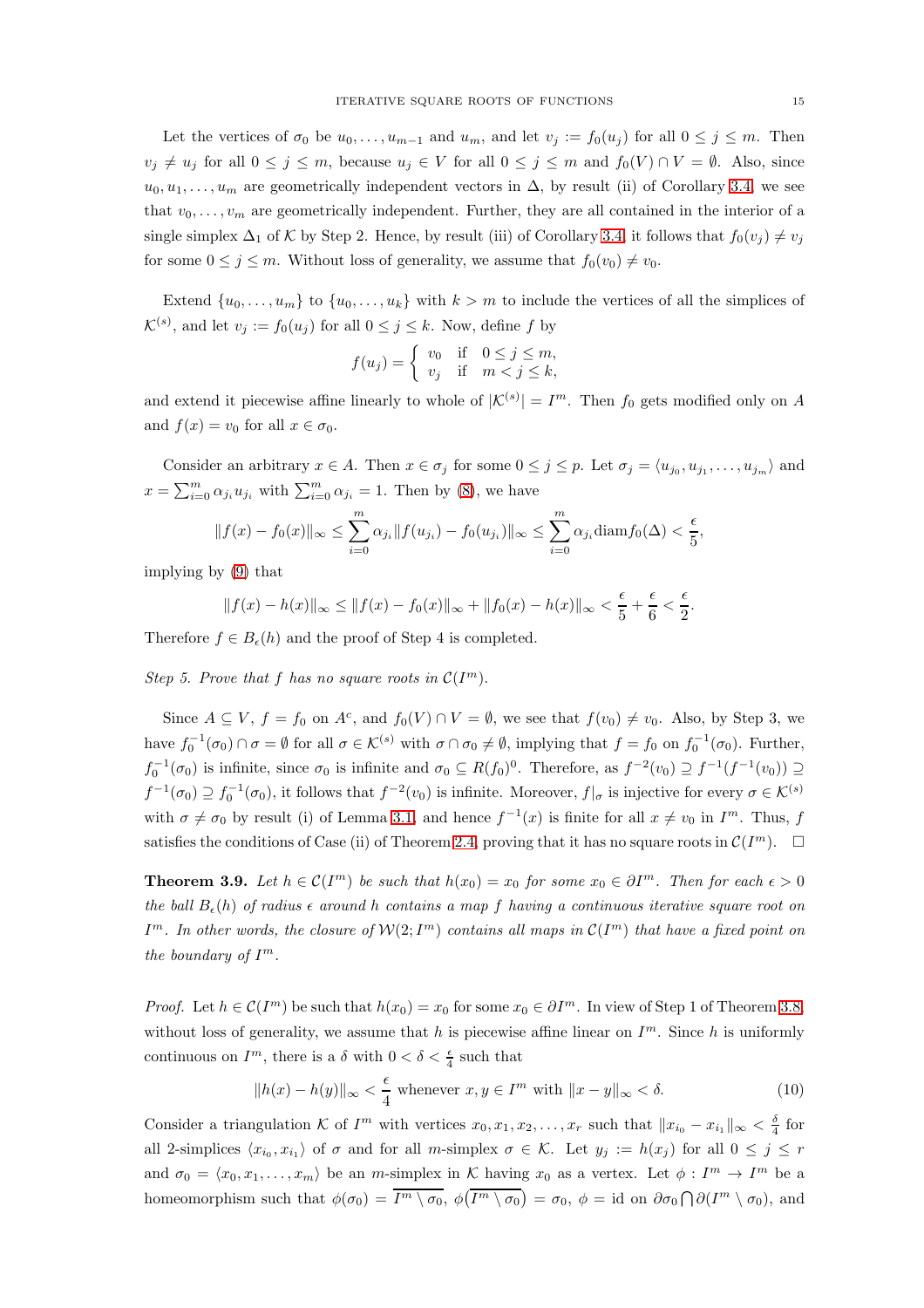Let the vertices of  $\sigma_0$  be  $u_0, \ldots, u_{m-1}$  and  $u_m$ , and let  $v_j := f_0(u_j)$  for all  $0 \le j \le m$ . Then  $v_j \neq u_j$  for all  $0 \leq j \leq m$ , because  $u_j \in V$  for all  $0 \leq j \leq m$  and  $f_0(V) \cap V = \emptyset$ . Also, since  $u_0, u_1, \ldots, u_m$  are geometrically independent vectors in  $\Delta$ , by result (ii) of Corollary [3.4,](#page-10-0) we see that  $v_0, \ldots, v_m$  are geometrically independent. Further, they are all contained in the interior of a single simplex  $\Delta_1$  of K by Step 2. Hence, by result (iii) of Corollary [3.4,](#page-10-0) it follows that  $f_0(v_j) \neq v_j$ for some  $0 \leq j \leq m$ . Without loss of generality, we assume that  $f_0(v_0) \neq v_0$ .

Extend  $\{u_0, \ldots, u_m\}$  to  $\{u_0, \ldots, u_k\}$  with  $k > m$  to include the vertices of all the simplices of  $\mathcal{K}^{(s)}$ , and let  $v_j := f_0(u_j)$  for all  $0 \leq j \leq k$ . Now, define f by

$$
f(u_j) = \begin{cases} v_0 & \text{if } 0 \le j \le m, \\ v_j & \text{if } m < j \le k, \end{cases}
$$

and extend it piecewise affine linearly to whole of  $|\mathcal{K}^{(s)}| = I^m$ . Then  $f_0$  gets modified only on A and  $f(x) = v_0$  for all  $x \in \sigma_0$ .

Consider an arbitrary  $x \in A$ . Then  $x \in \sigma_j$  for some  $0 \leq j \leq p$ . Let  $\sigma_j = \langle u_{j_0}, u_{j_1}, \ldots, u_{j_m} \rangle$  and  $x = \sum_{i=0}^{m} \alpha_{j_i} u_{j_i}$  with  $\sum_{i=0}^{m} \alpha_{j_i} = 1$ . Then by [\(8\)](#page-13-0), we have

$$
||f(x) - f_0(x)||_{\infty} \le \sum_{i=0}^{m} \alpha_{j_i} ||f(u_{j_i}) - f_0(u_{j_i})||_{\infty} \le \sum_{i=0}^{m} \alpha_{j_i} \text{diam} f_0(\Delta) < \frac{\epsilon}{5}
$$

implying by [\(9\)](#page-13-1) that

$$
||f(x) - h(x)||_{\infty} \le ||f(x) - f_0(x)||_{\infty} + ||f_0(x) - h(x)||_{\infty} < \frac{\epsilon}{5} + \frac{\epsilon}{6} < \frac{\epsilon}{2}.
$$

Therefore  $f \in B_{\epsilon}(h)$  and the proof of Step 4 is completed.

Step 5. Prove that f has no square roots in  $\mathcal{C}(I^m)$ .

Since  $A \subseteq V$ ,  $f = f_0$  on  $A^c$ , and  $f_0(V) \cap V = \emptyset$ , we see that  $f(v_0) \neq v_0$ . Also, by Step 3, we have  $f_0^{-1}(\sigma_0) \cap \sigma = \emptyset$  for all  $\sigma \in \mathcal{K}^{(s)}$  with  $\sigma \cap \sigma_0 \neq \emptyset$ , implying that  $f = f_0$  on  $f_0^{-1}(\sigma_0)$ . Further,  $f_0^{-1}(\sigma_0)$  is infinite, since  $\sigma_0$  is infinite and  $\sigma_0 \subseteq R(f_0)^0$ . Therefore, as  $f^{-2}(v_0) \supseteq f^{-1}(f^{-1}(v_0)) \supseteq$  $f^{-1}(\sigma_0) \supseteq f_0^{-1}(\sigma_0)$ , it follows that  $f^{-2}(v_0)$  is infinite. Moreover,  $f|_{\sigma}$  is injective for every  $\sigma \in \mathcal{K}^{(s)}$ with  $\sigma \neq \sigma_0$  by result (i) of Lemma [3.1,](#page-9-1) and hence  $f^{-1}(x)$  is finite for all  $x \neq v_0$  in  $I^m$ . Thus, f satisfies the conditions of Case (ii) of Theorem [2.4,](#page-5-0) proving that it has no square roots in  $\mathcal{C}(I^m)$ .  $\Box$ 

<span id="page-14-0"></span>**Theorem 3.9.** Let  $h \in \mathcal{C}(I^m)$  be such that  $h(x_0) = x_0$  for some  $x_0 \in \partial I^m$ . Then for each  $\epsilon > 0$ the ball  $B_{\epsilon}(h)$  of radius  $\epsilon$  around h contains a map f having a continuous iterative square root on  $I^m$ . In other words, the closure of  $\mathcal{W}(2;I^m)$  contains all maps in  $\mathcal{C}(I^m)$  that have a fixed point on the boundary of  $I^m$ .

*Proof.* Let  $h \in \mathcal{C}(I^m)$  be such that  $h(x_0) = x_0$  for some  $x_0 \in \partial I^m$ . In view of Step 1 of Theorem [3.8,](#page-12-0) without loss of generality, we assume that h is piecewise affine linear on  $I<sup>m</sup>$ . Since h is uniformly continuous on  $I^m$ , there is a  $\delta$  with  $0 < \delta < \frac{\epsilon}{4}$  such that

<span id="page-14-1"></span>
$$
||h(x) - h(y)||_{\infty} < \frac{\epsilon}{4} \text{ whenever } x, y \in I^m \text{ with } ||x - y||_{\infty} < \delta. \tag{10}
$$

Consider a triangulation K of  $I^m$  with vertices  $x_0, x_1, x_2, \ldots, x_r$  such that  $||x_{i_0} - x_{i_1}||_{\infty} < \frac{\delta}{4}$  for all 2-simplices  $\langle x_{i_0}, x_{i_1} \rangle$  of  $\sigma$  and for all m-simplex  $\sigma \in \mathcal{K}$ . Let  $y_j := h(x_j)$  for all  $0 \leq j \leq r$ and  $\sigma_0 = \langle x_0, x_1, \ldots, x_m \rangle$  be an m-simplex in K having  $x_0$  as a vertex. Let  $\phi : I^m \to I^m$  be a homeomorphism such that  $\phi(\sigma_0) = \overline{I^m \setminus \sigma_0}$ ,  $\phi(\overline{I^m \setminus \sigma_0}) = \sigma_0$ ,  $\phi = id$  on  $\partial \sigma_0 \cap \partial (I^m \setminus \sigma_0)$ , and

,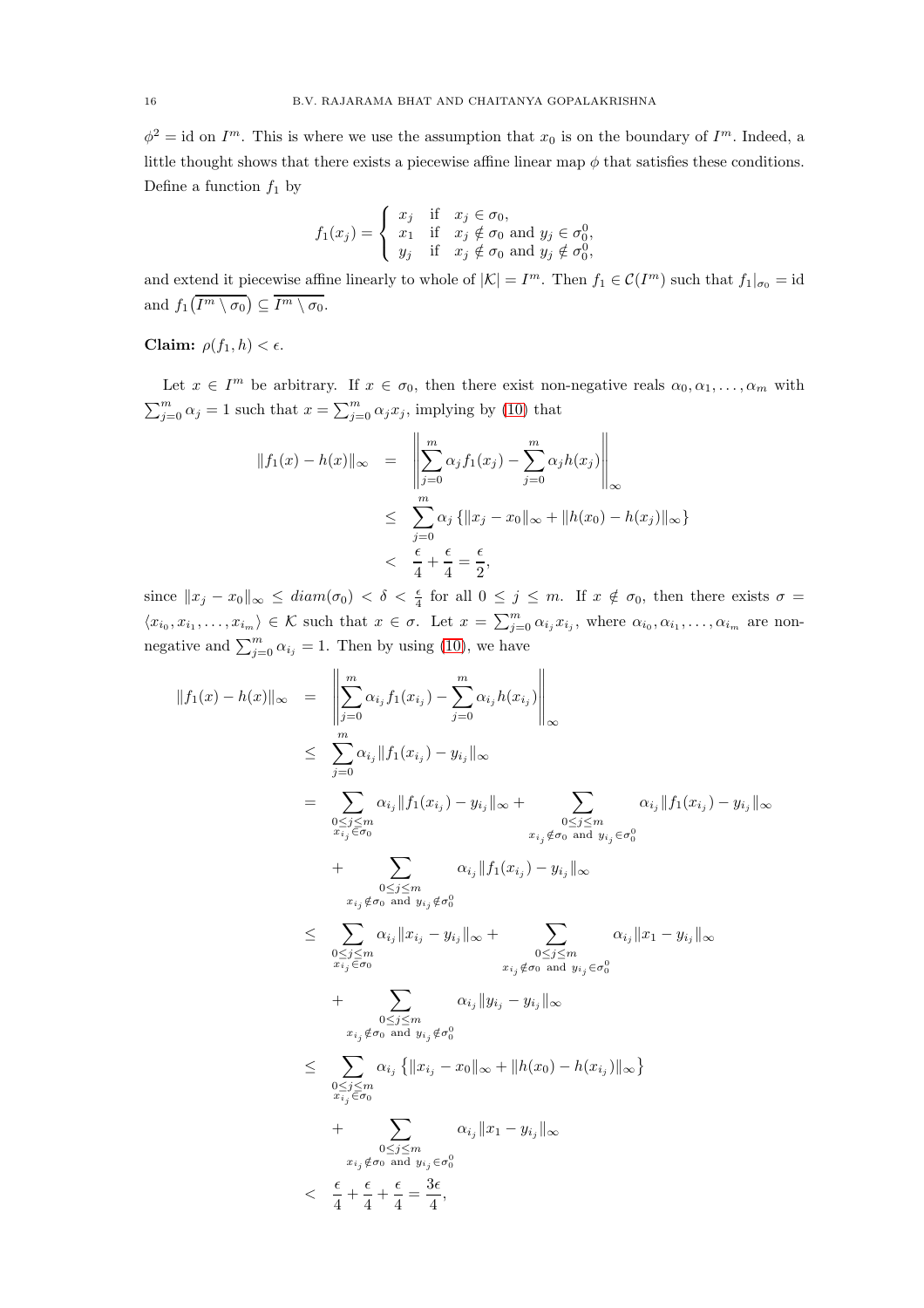$\phi^2 = id$  on  $I^m$ . This is where we use the assumption that  $x_0$  is on the boundary of  $I^m$ . Indeed, a little thought shows that there exists a piecewise affine linear map  $\phi$  that satisfies these conditions. Define a function  $f_1$  by

$$
f_1(x_j) = \begin{cases} x_j & \text{if } x_j \in \sigma_0, \\ x_1 & \text{if } x_j \notin \sigma_0 \text{ and } y_j \in \sigma_0^0, \\ y_j & \text{if } x_j \notin \sigma_0 \text{ and } y_j \notin \sigma_0^0, \end{cases}
$$

and extend it piecewise affine linearly to whole of  $|\mathcal{K}| = I^m$ . Then  $f_1 \in \mathcal{C}(I^m)$  such that  $f_1|_{\sigma_0} = id$ and  $f_1(I^m \setminus \sigma_0) \subseteq I^m \setminus \sigma_0$ .

Claim:  $\rho(f_1, h) < \epsilon$ .

Let  $x \in I^m$  be arbitrary. If  $x \in \sigma_0$ , then there exist non-negative reals  $\alpha_0, \alpha_1, \ldots, \alpha_m$  with  $\sum_{j=0}^{m} \alpha_j = 1$  such that  $x = \sum_{j=0}^{m} \alpha_j x_j$ , implying by [\(10\)](#page-14-1) that

$$
||f_1(x) - h(x)||_{\infty} = \left\| \sum_{j=0}^{m} \alpha_j f_1(x_j) - \sum_{j=0}^{m} \alpha_j h(x_j) \right\|_{\infty}
$$
  

$$
\leq \sum_{j=0}^{m} \alpha_j \{ ||x_j - x_0||_{\infty} + ||h(x_0) - h(x_j)||_{\infty} \}
$$
  

$$
< \frac{\epsilon}{4} + \frac{\epsilon}{4} = \frac{\epsilon}{2},
$$

since  $||x_j - x_0||_{\infty} \leq diam(\sigma_0) < \delta < \frac{\epsilon}{4}$  for all  $0 \leq j \leq m$ . If  $x \notin \sigma_0$ , then there exists  $\sigma =$  $\langle x_{i_0}, x_{i_1}, \ldots, x_{i_m} \rangle \in \mathcal{K}$  such that  $x \in \sigma$ . Let  $x = \sum_{j=0}^m \alpha_{i_j} x_{i_j}$ , where  $\alpha_{i_0}, \alpha_{i_1}, \ldots, \alpha_{i_m}$  are nonnegative and  $\sum_{j=0}^{m} \alpha_{i_j} = 1$ . Then by using [\(10\)](#page-14-1), we have

$$
||f_1(x) - h(x)||_{\infty} = \left\| \sum_{j=0}^{m} \alpha_{i_j} f_1(x_{i_j}) - \sum_{j=0}^{m} \alpha_{i_j} h(x_{i_j}) \right\|_{\infty}
$$
  
\n
$$
\leq \sum_{j=0}^{m} \alpha_{i_j} ||f_1(x_{i_j}) - y_{i_j}||_{\infty}
$$
  
\n
$$
= \sum_{\substack{0 \leq j \leq m \\ x_{i_j} \in \sigma_0}} \alpha_{i_j} ||f_1(x_{i_j}) - y_{i_j}||_{\infty} + \sum_{\substack{0 \leq j \leq m \\ x_{i_j} \notin \sigma_0 \text{ and } y_{i_j} \notin \sigma_0^0}} \alpha_{i_j} ||f_1(x_{i_j}) - y_{i_j}||_{\infty}
$$
  
\n
$$
+ \sum_{\substack{0 \leq j \leq m \\ x_{i_j} \notin \sigma_0 \text{ and } y_{i_j} \notin \sigma_0^0}} \alpha_{i_j} ||f_1(x_{i_j}) - y_{i_j}||_{\infty}
$$
  
\n
$$
\leq \sum_{\substack{0 \leq j \leq m \\ x_{i_j} \in \sigma_0}} \alpha_{i_j} ||x_{i_j} - y_{i_j}||_{\infty} + \sum_{\substack{0 \leq j \leq m \\ x_{i_j} \notin \sigma_0 \text{ and } y_{i_j} \notin \sigma_0^0}} \alpha_{i_j} ||y_{i_j} - y_{i_j}||_{\infty}
$$
  
\n
$$
\leq \sum_{\substack{0 \leq j \leq m \\ x_{i_j} \notin \sigma_0 \text{ and } y_{i_j} \notin \sigma_0^0}} \alpha_{i_j} ||x_1 - y_{i_j}||_{\infty}
$$
  
\n
$$
+ \sum_{\substack{0 \leq j \leq m \\ x_{i_j} \notin \sigma_0 \text{ and } y_{i_j} \in \sigma_0^0}} \alpha_{i_j} ||x_1 - y_{i_j}||_{\infty}
$$
  
\n
$$
+ \sum_{\substack{x_{i_j} \notin \sigma_0 \text{ and } y_{i_j} \in \sigma_0^0}} \alpha_{i_j} ||x_1 - y_{i_j}||_{\infty}
$$
  
\n
$$
< \frac{\epsilon}{4} + \frac{\epsilon}{4} + \frac{\epsilon}{4
$$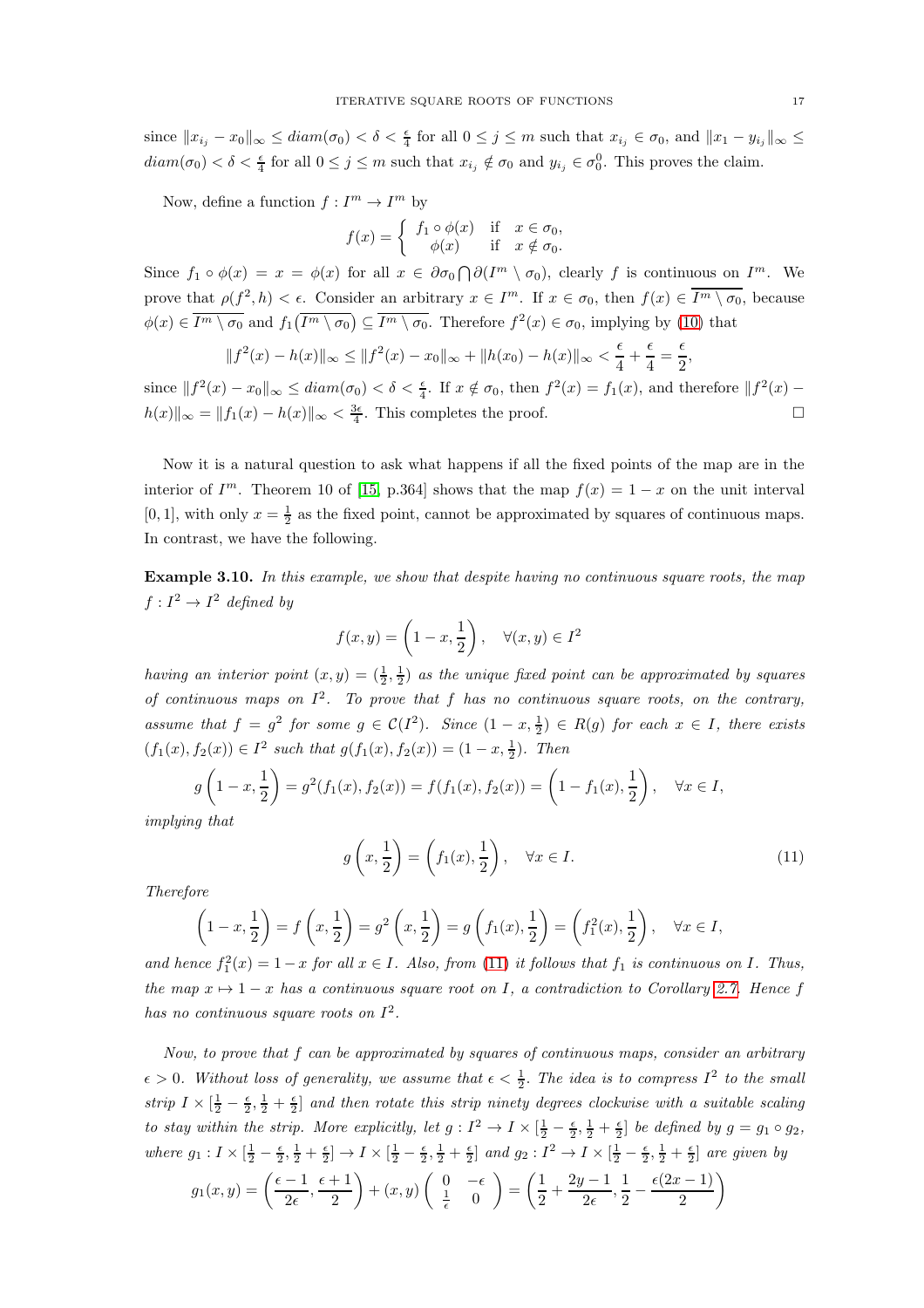since  $||x_{i_j} - x_0||_{\infty} \leq diam(\sigma_0) < \delta < \frac{\epsilon}{4}$  for all  $0 \leq j \leq m$  such that  $x_{i_j} \in \sigma_0$ , and  $||x_1 - y_{i_j}||_{\infty} \leq$  $diam(\sigma_0) < \delta < \frac{\epsilon}{4}$  for all  $0 \le j \le m$  such that  $x_{i_j} \notin \sigma_0$  and  $y_{i_j} \in \sigma_0^0$ . This proves the claim.

Now, define a function  $f: I^m \to I^m$  by

$$
f(x) = \begin{cases} f_1 \circ \phi(x) & \text{if } x \in \sigma_0, \\ \phi(x) & \text{if } x \notin \sigma_0. \end{cases}
$$

Since  $f_1 \circ \phi(x) = x = \phi(x)$  for all  $x \in \partial \sigma_0 \cap \partial (I^m \setminus \sigma_0)$ , clearly f is continuous on  $I^m$ . We prove that  $\rho(f^2, h) < \epsilon$ . Consider an arbitrary  $x \in I^m$ . If  $x \in \sigma_0$ , then  $f(x) \in \overline{I^m \setminus \sigma_0}$ , because  $\phi(x) \in \overline{I^m \setminus \sigma_0}$  and  $f_1(\overline{I^m \setminus \sigma_0}) \subseteq \overline{I^m \setminus \sigma_0}$ . Therefore  $f^2(x) \in \sigma_0$ , implying by [\(10\)](#page-14-1) that

$$
||f^{2}(x) - h(x)||_{\infty} \le ||f^{2}(x) - x_{0}||_{\infty} + ||h(x_{0}) - h(x)||_{\infty} < \frac{\epsilon}{4} + \frac{\epsilon}{4} = \frac{\epsilon}{2}
$$

since  $||f^2(x) - x_0||_{\infty} \leq diam(\sigma_0) < \delta < \frac{\epsilon}{4}$ . If  $x \notin \sigma_0$ , then  $f^2(x) = f_1(x)$ , and therefore  $||f^2(x) - x_0||_{\infty}$  $h(x)\Vert_{\infty} = \Vert f_1(x) - h(x)\Vert_{\infty} < \frac{3\epsilon}{4}$ . This completes the proof.

Now it is a natural question to ask what happens if all the fixed points of the map are in the interior of  $I^m$ . Theorem 10 of [\[15,](#page-23-37) p.364] shows that the map  $f(x) = 1 - x$  on the unit interval [0, 1], with only  $x = \frac{1}{2}$  as the fixed point, cannot be approximated by squares of continuous maps. In contrast, we have the following.

Example 3.10. In this example, we show that despite having no continuous square roots, the map  $f: I^2 \to I^2$  defined by

$$
f(x,y) = \left(1 - x, \frac{1}{2}\right), \quad \forall (x,y) \in I^2
$$

having an interior point  $(x, y) = (\frac{1}{2}, \frac{1}{2})$  as the unique fixed point can be approximated by squares of continuous maps on  $I^2$ . To prove that f has no continuous square roots, on the contrary, assume that  $f = g^2$  for some  $g \in C(I^2)$ . Since  $(1 - x, \frac{1}{2}) \in R(g)$  for each  $x \in I$ , there exists  $(f_1(x), f_2(x)) \in I^2$  such that  $g(f_1(x), f_2(x)) = (1 - x, \frac{1}{2})$ . Then

$$
g\left(1-x, \frac{1}{2}\right) = g^2(f_1(x), f_2(x)) = f(f_1(x), f_2(x)) = \left(1 - f_1(x), \frac{1}{2}\right), \quad \forall x \in I,
$$

implying that

<span id="page-16-0"></span>
$$
g\left(x, \frac{1}{2}\right) = \left(f_1(x), \frac{1}{2}\right), \quad \forall x \in I.
$$
\n
$$
(11)
$$

Therefore

$$
\left(1-x,\frac{1}{2}\right) = f\left(x,\frac{1}{2}\right) = g^2\left(x,\frac{1}{2}\right) = g\left(f_1(x),\frac{1}{2}\right) = \left(f_1^2(x),\frac{1}{2}\right), \quad \forall x \in I,
$$

and hence  $f_1^2(x) = 1 - x$  for all  $x \in I$ . Also, from [\(11\)](#page-16-0) it follows that  $f_1$  is continuous on I. Thus, the map  $x \mapsto 1 - x$  has a continuous square root on I, a contradiction to Corollary [2.7.](#page-7-2) Hence f has no continuous square roots on  $I^2$ .

Now, to prove that f can be approximated by squares of continuous maps, consider an arbitrary  $\epsilon > 0$ . Without loss of generality, we assume that  $\epsilon < \frac{1}{2}$ . The idea is to compress  $I^2$  to the small strip  $I \times [\frac{1}{2} - \frac{\epsilon}{2}, \frac{1}{2} + \frac{\epsilon}{2}]$  and then rotate this strip ninety degrees clockwise with a suitable scaling to stay within the strip. More explicitly, let  $g: I^2 \to I \times [\frac{1}{2} - \frac{\epsilon}{2}, \frac{1}{2} + \frac{\epsilon}{2}]$  be defined by  $g = g_1 \circ g_2$ , where  $g_1: I \times [\frac{1}{2} - \frac{\epsilon}{2}, \frac{1}{2} + \frac{\epsilon}{2}] \rightarrow I \times [\frac{1}{2} - \frac{\epsilon}{2}, \frac{1}{2} + \frac{\epsilon}{2}]$  and  $g_2: I^2 \rightarrow I \times [\frac{1}{2} - \frac{\epsilon}{2}, \frac{1}{2} + \frac{\epsilon}{2}]$  are given by

$$
g_1(x,y) = \left(\frac{\epsilon - 1}{2\epsilon}, \frac{\epsilon + 1}{2}\right) + (x,y)\left(\begin{array}{cc} 0 & -\epsilon \\ \frac{1}{\epsilon} & 0 \end{array}\right) = \left(\frac{1}{2} + \frac{2y - 1}{2\epsilon}, \frac{1}{2} - \frac{\epsilon(2x - 1)}{2}\right)
$$

,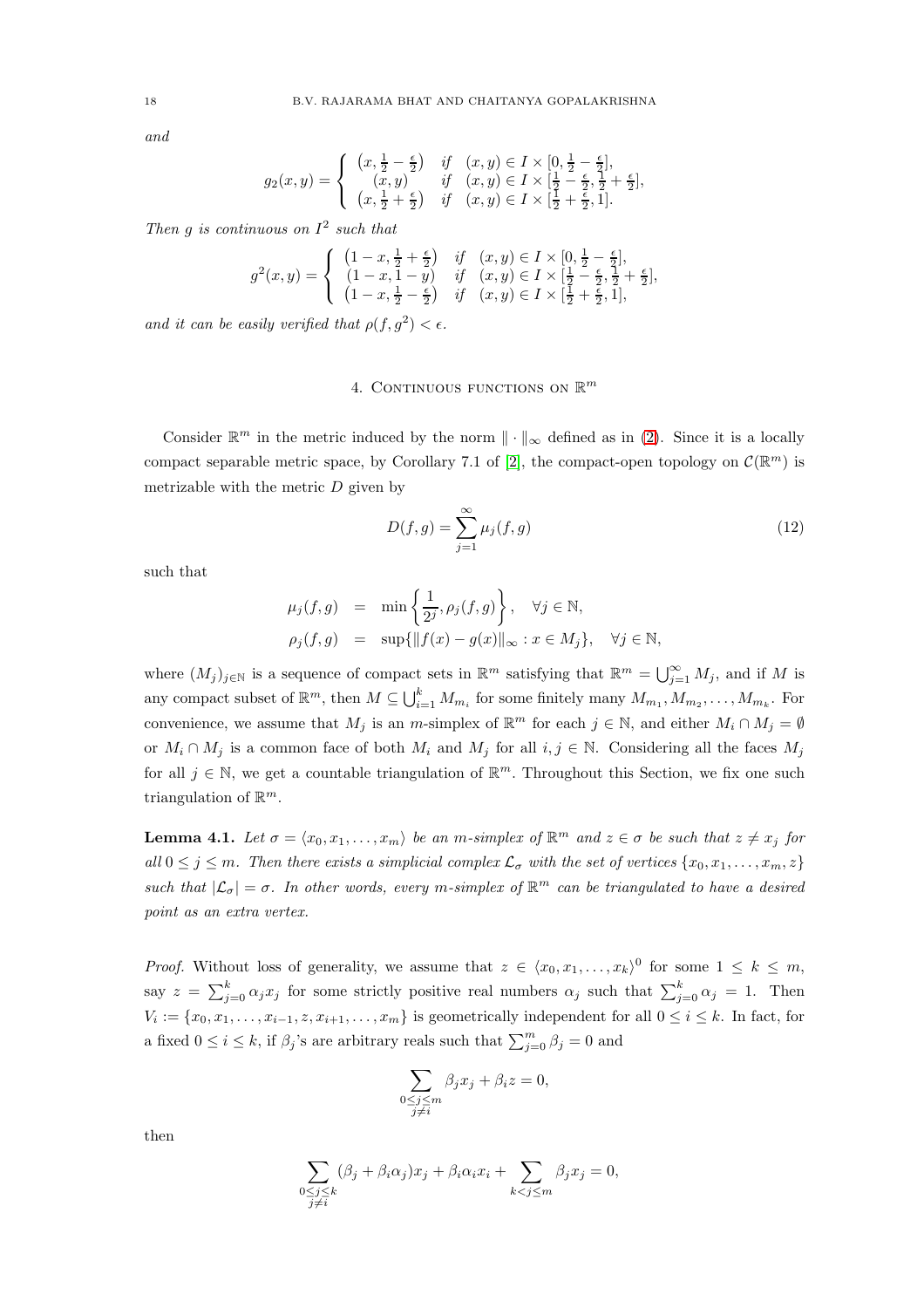and

$$
g_2(x,y) = \begin{cases} (x, \frac{1}{2} - \frac{\epsilon}{2}) & \text{if } (x,y) \in I \times [0, \frac{1}{2} - \frac{\epsilon}{2}], \\ (x,y) & \text{if } (x,y) \in I \times [\frac{1}{2} - \frac{\epsilon}{2}, \frac{1}{2} + \frac{\epsilon}{2}], \\ (x, \frac{1}{2} + \frac{\epsilon}{2}) & \text{if } (x,y) \in I \times [\frac{1}{2} + \frac{\epsilon}{2}, 1]. \end{cases}
$$

Then g is continuous on  $I^2$  such that

$$
g^{2}(x, y) = \begin{cases} (1 - x, \frac{1}{2} + \frac{\epsilon}{2}) & \text{if } (x, y) \in I \times [0, \frac{1}{2} - \frac{\epsilon}{2}], \\ (1 - x, 1 - y) & \text{if } (x, y) \in I \times [\frac{1}{2} - \frac{\epsilon}{2}, \frac{1}{2} + \frac{\epsilon}{2}], \\ (1 - x, \frac{1}{2} - \frac{\epsilon}{2}) & \text{if } (x, y) \in I \times [\frac{1}{2} + \frac{\epsilon}{2}, 1], \end{cases}
$$

<span id="page-17-0"></span>and it can be easily verified that  $\rho(f, g^2) < \epsilon$ .

# 4. CONTINUOUS FUNCTIONS ON  $\mathbb{R}^m$

Consider  $\mathbb{R}^m$  in the metric induced by the norm  $\|\cdot\|_{\infty}$  defined as in [\(2\)](#page-8-0). Since it is a locally compact separable metric space, by Corollary 7.1 of [\[2\]](#page-22-4), the compact-open topology on  $\mathcal{C}(\mathbb{R}^m)$  is metrizable with the metric  $D$  given by

$$
D(f,g) = \sum_{j=1}^{\infty} \mu_j(f,g)
$$
\n(12)

such that

$$
\mu_j(f,g) = \min\left\{\frac{1}{2^j}, \rho_j(f,g)\right\}, \quad \forall j \in \mathbb{N},
$$
  

$$
\rho_j(f,g) = \sup\{\|f(x) - g(x)\|_{\infty} : x \in M_j\}, \quad \forall j \in \mathbb{N},
$$

where  $(M_j)_{j\in\mathbb{N}}$  is a sequence of compact sets in  $\mathbb{R}^m$  satisfying that  $\mathbb{R}^m = \bigcup_{j=1}^{\infty} M_j$ , and if M is any compact subset of  $\mathbb{R}^m$ , then  $M \subseteq \bigcup_{i=1}^k M_{m_i}$  for some finitely many  $M_{m_1}, M_{m_2}, \ldots, M_{m_k}$ . For convenience, we assume that  $M_j$  is an m-simplex of  $\mathbb{R}^m$  for each  $j \in \mathbb{N}$ , and either  $M_i \cap M_j = \emptyset$ or  $M_i \cap M_j$  is a common face of both  $M_i$  and  $M_j$  for all  $i, j \in \mathbb{N}$ . Considering all the faces  $M_j$ for all  $j \in \mathbb{N}$ , we get a countable triangulation of  $\mathbb{R}^m$ . Throughout this Section, we fix one such triangulation of  $\mathbb{R}^m$ .

<span id="page-17-1"></span>**Lemma 4.1.** Let  $\sigma = \langle x_0, x_1, \ldots, x_m \rangle$  be an m-simplex of  $\mathbb{R}^m$  and  $z \in \sigma$  be such that  $z \neq x_j$  for all  $0 \leq j \leq m$ . Then there exists a simplicial complex  $\mathcal{L}_{\sigma}$  with the set of vertices  $\{x_0, x_1, \ldots, x_m, z\}$ such that  $|\mathcal{L}_{\sigma}| = \sigma$ . In other words, every m-simplex of  $\mathbb{R}^m$  can be triangulated to have a desired point as an extra vertex.

*Proof.* Without loss of generality, we assume that  $z \in \langle x_0, x_1, \ldots, x_k \rangle^0$  for some  $1 \leq k \leq m$ , say  $z = \sum_{j=0}^{k} \alpha_j x_j$  for some strictly positive real numbers  $\alpha_j$  such that  $\sum_{j=0}^{k} \alpha_j = 1$ . Then  $V_i := \{x_0, x_1, \ldots, x_{i-1}, z, x_{i+1}, \ldots, x_m\}$  is geometrically independent for all  $0 \le i \le k$ . In fact, for a fixed  $0 \le i \le k$ , if  $\beta_j$ 's are arbitrary reals such that  $\sum_{j=0}^m \beta_j = 0$  and

$$
\sum_{\substack{0 \le j \le m \\ j \ne i}} \beta_j x_j + \beta_i z = 0,
$$

then

$$
\sum_{\substack{0 \le j \le k \\ j \ne i}} (\beta_j + \beta_i \alpha_j) x_j + \beta_i \alpha_i x_i + \sum_{k < j \le m} \beta_j x_j = 0,
$$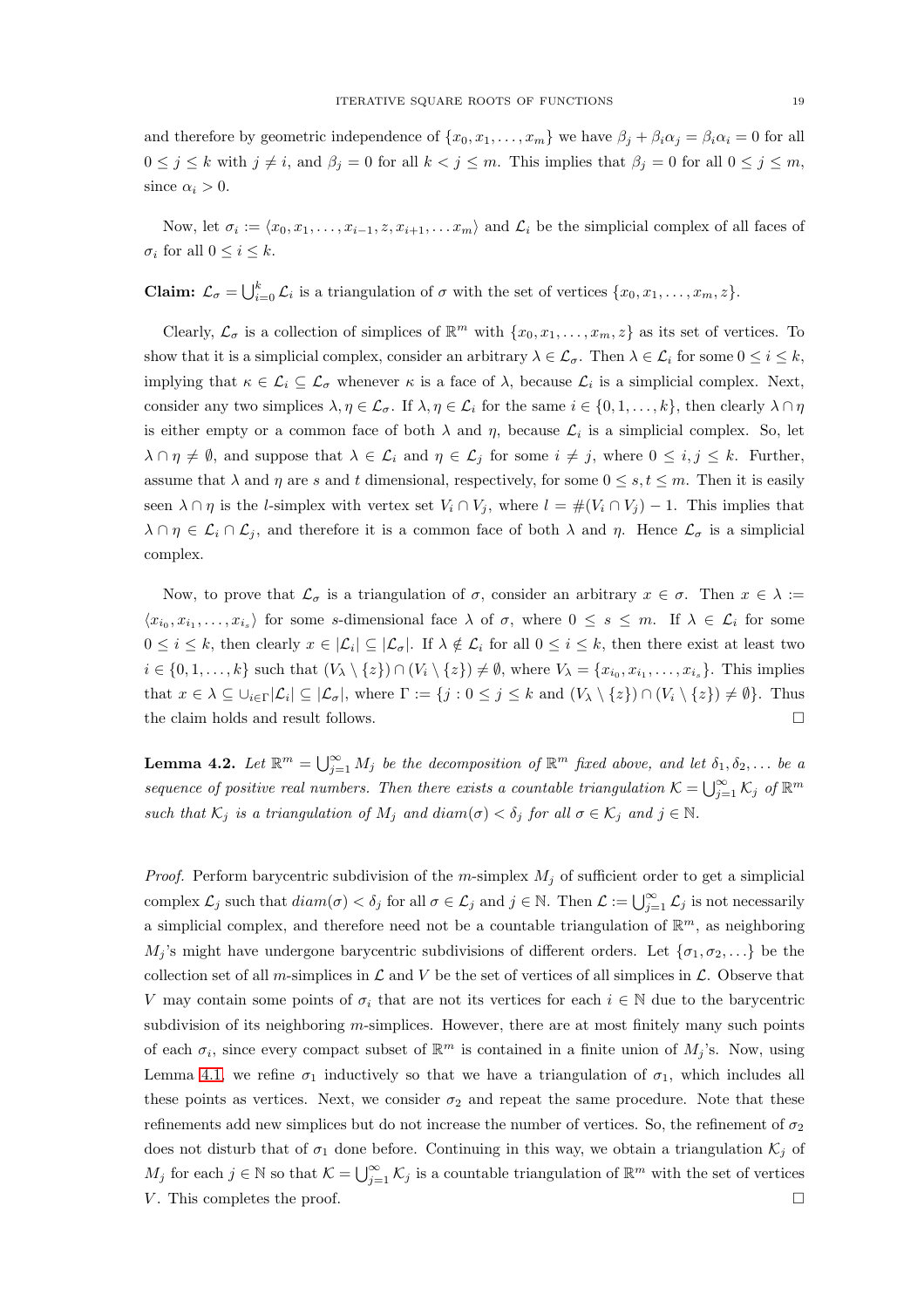and therefore by geometric independence of  $\{x_0, x_1, \ldots, x_m\}$  we have  $\beta_j + \beta_i \alpha_j = \beta_i \alpha_i = 0$  for all  $0 \leq j \leq k$  with  $j \neq i$ , and  $\beta_j = 0$  for all  $k < j \leq m$ . This implies that  $\beta_j = 0$  for all  $0 \leq j \leq m$ , since  $\alpha_i > 0$ .

Now, let  $\sigma_i := \langle x_0, x_1, \ldots, x_{i-1}, z, x_{i+1}, \ldots, x_m \rangle$  and  $\mathcal{L}_i$  be the simplicial complex of all faces of  $\sigma_i$  for all  $0 \leq i \leq k$ .

**Claim:**  $\mathcal{L}_{\sigma} = \bigcup_{i=0}^{k} \mathcal{L}_i$  is a triangulation of  $\sigma$  with the set of vertices  $\{x_0, x_1, \ldots, x_m, z\}$ .

Clearly,  $\mathcal{L}_{\sigma}$  is a collection of simplices of  $\mathbb{R}^m$  with  $\{x_0, x_1, \ldots, x_m, z\}$  as its set of vertices. To show that it is a simplicial complex, consider an arbitrary  $\lambda \in \mathcal{L}_{\sigma}$ . Then  $\lambda \in \mathcal{L}_i$  for some  $0 \leq i \leq k$ , implying that  $\kappa \in \mathcal{L}_i \subseteq \mathcal{L}_{\sigma}$  whenever  $\kappa$  is a face of  $\lambda$ , because  $\mathcal{L}_i$  is a simplicial complex. Next, consider any two simplices  $\lambda, \eta \in \mathcal{L}_{\sigma}$ . If  $\lambda, \eta \in \mathcal{L}_i$  for the same  $i \in \{0, 1, ..., k\}$ , then clearly  $\lambda \cap \eta$ is either empty or a common face of both  $\lambda$  and  $\eta$ , because  $\mathcal{L}_i$  is a simplicial complex. So, let  $\lambda \cap \eta \neq \emptyset$ , and suppose that  $\lambda \in \mathcal{L}_i$  and  $\eta \in \mathcal{L}_j$  for some  $i \neq j$ , where  $0 \leq i, j \leq k$ . Further, assume that  $\lambda$  and  $\eta$  are s and t dimensional, respectively, for some  $0 \leq s, t \leq m$ . Then it is easily seen  $\lambda \cap \eta$  is the *l*-simplex with vertex set  $V_i \cap V_j$ , where  $l = #(V_i \cap V_j) - 1$ . This implies that  $\lambda \cap \eta \in \mathcal{L}_i \cap \mathcal{L}_j$ , and therefore it is a common face of both  $\lambda$  and  $\eta$ . Hence  $\mathcal{L}_{\sigma}$  is a simplicial complex.

Now, to prove that  $\mathcal{L}_{\sigma}$  is a triangulation of  $\sigma$ , consider an arbitrary  $x \in \sigma$ . Then  $x \in \lambda :=$  $\langle x_{i_0}, x_{i_1}, \ldots, x_{i_s} \rangle$  for some s-dimensional face  $\lambda$  of  $\sigma$ , where  $0 \leq s \leq m$ . If  $\lambda \in \mathcal{L}_i$  for some  $0 \leq i \leq k$ , then clearly  $x \in |{\mathcal{L}}_i| \subseteq |{\mathcal{L}}_{\sigma}|$ . If  $\lambda \notin {\mathcal{L}}_i$  for all  $0 \leq i \leq k$ , then there exist at least two  $i \in \{0, 1, \ldots, k\}$  such that  $(V_{\lambda} \setminus \{z\}) \cap (V_i \setminus \{z\}) \neq \emptyset$ , where  $V_{\lambda} = \{x_{i_0}, x_{i_1}, \ldots, x_{i_s}\}$ . This implies that  $x \in \lambda \subseteq \bigcup_{i \in \Gamma} |\mathcal{L}_i| \subseteq |\mathcal{L}_{\sigma}|$ , where  $\Gamma := \{j : 0 \le j \le k \text{ and } (V_{\lambda} \setminus \{z\}) \cap (V_i \setminus \{z\}) \neq \emptyset\}$ . Thus the claim holds and result follows.  $\Box$ 

<span id="page-18-0"></span>**Lemma 4.2.** Let  $\mathbb{R}^m = \bigcup_{j=1}^{\infty} M_j$  be the decomposition of  $\mathbb{R}^m$  fixed above, and let  $\delta_1, \delta_2, \ldots$  be a sequence of positive real numbers. Then there exists a countable triangulation  $\mathcal{K} = \bigcup_{j=1}^{\infty} \mathcal{K}_j$  of  $\mathbb{R}^m$ such that  $\mathcal{K}_j$  is a triangulation of  $M_j$  and  $diam(\sigma) < \delta_j$  for all  $\sigma \in \mathcal{K}_j$  and  $j \in \mathbb{N}$ .

*Proof.* Perform barycentric subdivision of the m-simplex  $M_i$  of sufficient order to get a simplicial complex  $\mathcal{L}_j$  such that  $diam(\sigma) < \delta_j$  for all  $\sigma \in \mathcal{L}_j$  and  $j \in \mathbb{N}$ . Then  $\mathcal{L} := \bigcup_{j=1}^{\infty} \mathcal{L}_j$  is not necessarily a simplicial complex, and therefore need not be a countable triangulation of  $\mathbb{R}^m$ , as neighboring  $M_j$ 's might have undergone barycentric subdivisions of different orders. Let  $\{\sigma_1, \sigma_2, \ldots\}$  be the collection set of all m-simplices in  $\mathcal L$  and V be the set of vertices of all simplices in  $\mathcal L$ . Observe that V may contain some points of  $\sigma_i$  that are not its vertices for each  $i \in \mathbb{N}$  due to the barycentric subdivision of its neighboring  $m$ -simplices. However, there are at most finitely many such points of each  $\sigma_i$ , since every compact subset of  $\mathbb{R}^m$  is contained in a finite union of  $M_j$ 's. Now, using Lemma [4.1,](#page-17-1) we refine  $\sigma_1$  inductively so that we have a triangulation of  $\sigma_1$ , which includes all these points as vertices. Next, we consider  $\sigma_2$  and repeat the same procedure. Note that these refinements add new simplices but do not increase the number of vertices. So, the refinement of  $\sigma_2$ does not disturb that of  $\sigma_1$  done before. Continuing in this way, we obtain a triangulation  $\mathcal{K}_i$  of  $M_j$  for each  $j \in \mathbb{N}$  so that  $\mathcal{K} = \bigcup_{j=1}^{\infty} \mathcal{K}_j$  is a countable triangulation of  $\mathbb{R}^m$  with the set of vertices V. This completes the proof.  $\Box$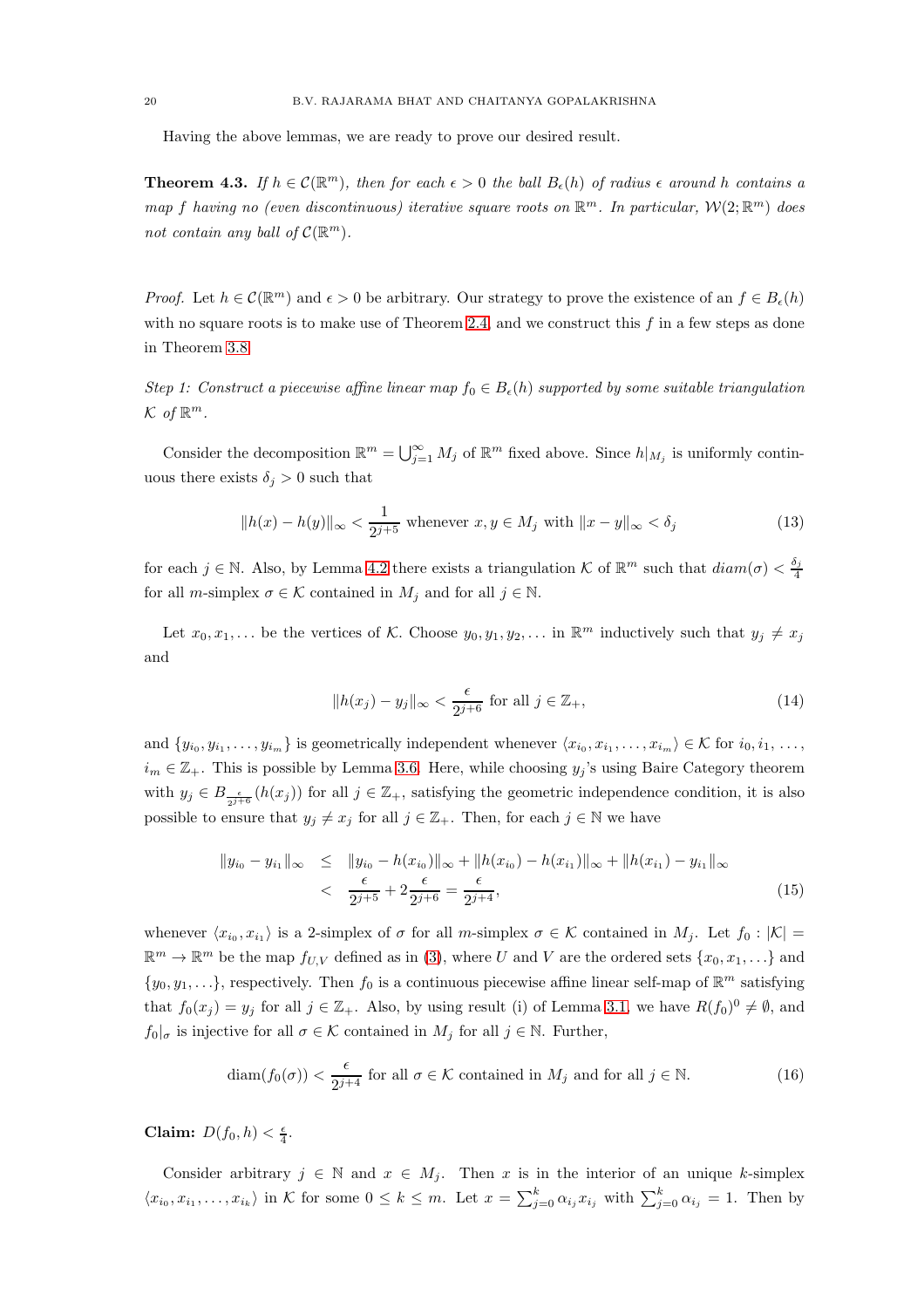Having the above lemmas, we are ready to prove our desired result.

<span id="page-19-0"></span>**Theorem 4.3.** If  $h \in \mathcal{C}(\mathbb{R}^m)$ , then for each  $\epsilon > 0$  the ball  $B_{\epsilon}(h)$  of radius  $\epsilon$  around h contains a map f having no (even discontinuous) iterative square roots on  $\mathbb{R}^m$ . In particular,  $\mathcal{W}(2;\mathbb{R}^m)$  does not contain any ball of  $C(\mathbb{R}^m)$ .

*Proof.* Let  $h \in \mathcal{C}(\mathbb{R}^m)$  and  $\epsilon > 0$  be arbitrary. Our strategy to prove the existence of an  $f \in B_{\epsilon}(h)$ with no square roots is to make use of Theorem [2.4,](#page-5-0) and we construct this  $f$  in a few steps as done in Theorem [3.8.](#page-12-0)

Step 1: Construct a piecewise affine linear map  $f_0 \in B_{\epsilon}(h)$  supported by some suitable triangulation  $\mathcal{K}$  of  $\mathbb{R}^m$ .

Consider the decomposition  $\mathbb{R}^m = \bigcup_{j=1}^{\infty} M_j$  of  $\mathbb{R}^m$  fixed above. Since  $h|_{M_j}$  is uniformly continuous there exists  $\delta_i > 0$  such that

<span id="page-19-1"></span>
$$
||h(x) - h(y)||_{\infty} < \frac{1}{2^{j+5}} \text{ whenever } x, y \in M_j \text{ with } ||x - y||_{\infty} < \delta_j \tag{13}
$$

for each  $j \in \mathbb{N}$ . Also, by Lemma [4.2](#page-18-0) there exists a triangulation K of  $\mathbb{R}^m$  such that  $diam(\sigma) < \frac{\delta_j}{4}$ 4 for all *m*-simplex  $\sigma \in \mathcal{K}$  contained in  $M_i$  and for all  $j \in \mathbb{N}$ .

Let  $x_0, x_1, \ldots$  be the vertices of K. Choose  $y_0, y_1, y_2, \ldots$  in  $\mathbb{R}^m$  inductively such that  $y_j \neq x_j$ and

<span id="page-19-2"></span>
$$
||h(x_j) - y_j||_{\infty} < \frac{\epsilon}{2^{j+6}} \text{ for all } j \in \mathbb{Z}_+, \tag{14}
$$

and  $\{y_{i_0}, y_{i_1}, \ldots, y_{i_m}\}\$ is geometrically independent whenever  $\langle x_{i_0}, x_{i_1}, \ldots, x_{i_m}\rangle \in \mathcal{K}$  for  $i_0, i_1, \ldots, i_m\}$  $i_m \in \mathbb{Z}_+$ . This is possible by Lemma [3.6.](#page-11-1) Here, while choosing  $y_j$ 's using Baire Category theorem with  $y_j \in B_{\frac{\epsilon}{2^{j+6}}}(h(x_j))$  for all  $j \in \mathbb{Z}_+$ , satisfying the geometric independence condition, it is also possible to ensure that  $y_j \neq x_j$  for all  $j \in \mathbb{Z}_+$ . Then, for each  $j \in \mathbb{N}$  we have

$$
||y_{i_0} - y_{i_1}||_{\infty} \le ||y_{i_0} - h(x_{i_0})||_{\infty} + ||h(x_{i_0}) - h(x_{i_1})||_{\infty} + ||h(x_{i_1}) - y_{i_1}||_{\infty}
$$
  

$$
< \frac{\epsilon}{2^{j+5}} + 2\frac{\epsilon}{2^{j+6}} = \frac{\epsilon}{2^{j+4}},
$$
 (15)

whenever  $\langle x_{i_0}, x_{i_1} \rangle$  is a 2-simplex of  $\sigma$  for all m-simplex  $\sigma \in \mathcal{K}$  contained in  $M_j$ . Let  $f_0 : |\mathcal{K}| =$  $\mathbb{R}^m \to \mathbb{R}^m$  be the map  $f_{U,V}$  defined as in [\(3\)](#page-9-0), where U and V are the ordered sets  $\{x_0, x_1, \ldots\}$  and  $\{y_0, y_1, \ldots\}$ , respectively. Then  $f_0$  is a continuous piecewise affine linear self-map of  $\mathbb{R}^m$  satisfying that  $f_0(x_j) = y_j$  for all  $j \in \mathbb{Z}_+$ . Also, by using result (i) of Lemma [3.1,](#page-9-1) we have  $R(f_0)^0 \neq \emptyset$ , and  $f_0|_{\sigma}$  is injective for all  $\sigma \in \mathcal{K}$  contained in  $M_j$  for all  $j \in \mathbb{N}$ . Further,

<span id="page-19-3"></span>
$$
\text{diam}(f_0(\sigma)) < \frac{\epsilon}{2^{j+4}} \text{ for all } \sigma \in \mathcal{K} \text{ contained in } M_j \text{ and for all } j \in \mathbb{N}. \tag{16}
$$

Claim:  $D(f_0, h) < \frac{\epsilon}{4}$ .

Consider arbitrary  $j \in \mathbb{N}$  and  $x \in M_j$ . Then x is in the interior of an unique k-simplex  $\langle x_{i_0}, x_{i_1}, \ldots, x_{i_k} \rangle$  in K for some  $0 \leq k \leq m$ . Let  $x = \sum_{j=0}^k \alpha_{i_j} x_{i_j}$  with  $\sum_{j=0}^k \alpha_{i_j} = 1$ . Then by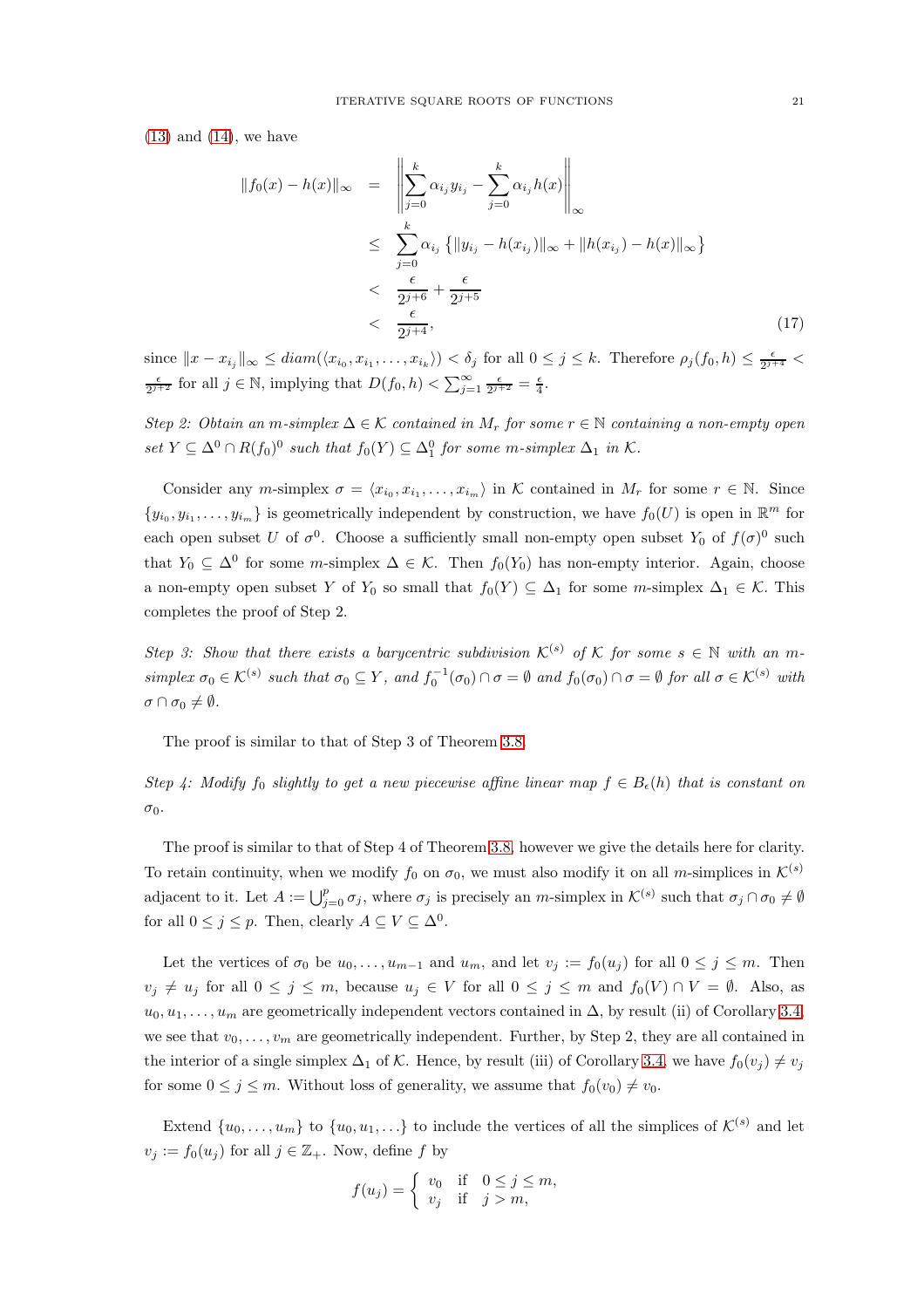$(13)$  and  $(14)$ , we have

<span id="page-20-0"></span>
$$
||f_0(x) - h(x)||_{\infty} = \left\| \sum_{j=0}^{k} \alpha_{i_j} y_{i_j} - \sum_{j=0}^{k} \alpha_{i_j} h(x) \right\|_{\infty}
$$
  
\n
$$
\leq \sum_{j=0}^{k} \alpha_{i_j} \left\{ ||y_{i_j} - h(x_{i_j})||_{\infty} + ||h(x_{i_j}) - h(x)||_{\infty} \right\}
$$
  
\n
$$
< \frac{\epsilon}{2^{j+6}} + \frac{\epsilon}{2^{j+5}}
$$
  
\n
$$
< \frac{\epsilon}{2^{j+4}}, \qquad (17)
$$

since  $||x - x_{i_j}||_{\infty} \leq diam(\langle x_{i_0}, x_{i_1}, \ldots, x_{i_k} \rangle) < \delta_j$  for all  $0 \leq j \leq k$ . Therefore  $\rho_j(f_0, h) \leq \frac{\epsilon}{2^{j+4}}$  $\frac{\epsilon}{2^{j+2}}$  for all  $j \in \mathbb{N}$ , implying that  $D(f_0, h) < \sum_{j=1}^{\infty} \frac{\epsilon}{2^{j+2}} = \frac{\epsilon}{4}$ .

Step 2: Obtain an m-simplex  $\Delta \in \mathcal{K}$  contained in  $M_r$  for some  $r \in \mathbb{N}$  containing a non-empty open set  $Y \subseteq \Delta^0 \cap R(f_0)^0$  such that  $f_0(Y) \subseteq \Delta_1^0$  for some m-simplex  $\Delta_1$  in K.

Consider any m-simplex  $\sigma = \langle x_{i_0}, x_{i_1}, \ldots, x_{i_m} \rangle$  in K contained in  $M_r$  for some  $r \in \mathbb{N}$ . Since  $\{y_{i_0}, y_{i_1}, \ldots, y_{i_m}\}\$ is geometrically independent by construction, we have  $f_0(U)$  is open in  $\mathbb{R}^m$  for each open subset U of  $\sigma^0$ . Choose a sufficiently small non-empty open subset  $Y_0$  of  $f(\sigma)^0$  such that  $Y_0 \subseteq \Delta^0$  for some *m*-simplex  $\Delta \in \mathcal{K}$ . Then  $f_0(Y_0)$  has non-empty interior. Again, choose a non-empty open subset Y of Y<sub>0</sub> so small that  $f_0(Y) \subseteq \Delta_1$  for some m-simplex  $\Delta_1 \in \mathcal{K}$ . This completes the proof of Step 2.

Step 3: Show that there exists a barycentric subdivision  $\mathcal{K}^{(s)}$  of K for some  $s \in \mathbb{N}$  with an msimplex  $\sigma_0 \in \mathcal{K}^{(s)}$  such that  $\sigma_0 \subseteq Y$ , and  $f_0^{-1}(\sigma_0) \cap \sigma = \emptyset$  and  $f_0(\sigma_0) \cap \sigma = \emptyset$  for all  $\sigma \in \mathcal{K}^{(s)}$  with  $\sigma \cap \sigma_0 \neq \emptyset$ .

The proof is similar to that of Step 3 of Theorem [3.8.](#page-12-0)

Step 4: Modify f<sub>0</sub> slightly to get a new piecewise affine linear map  $f \in B_{\epsilon}(h)$  that is constant on  $\sigma_0$ .

The proof is similar to that of Step 4 of Theorem [3.8,](#page-12-0) however we give the details here for clarity. To retain continuity, when we modify  $f_0$  on  $\sigma_0$ , we must also modify it on all m-simplices in  $\mathcal{K}^{(s)}$ adjacent to it. Let  $A := \bigcup_{j=0}^p \sigma_j$ , where  $\sigma_j$  is precisely an m-simplex in  $\mathcal{K}^{(s)}$  such that  $\sigma_j \cap \sigma_0 \neq \emptyset$ for all  $0 \leq j \leq p$ . Then, clearly  $A \subseteq V \subseteq \Delta^0$ .

Let the vertices of  $\sigma_0$  be  $u_0, \ldots, u_{m-1}$  and  $u_m$ , and let  $v_j := f_0(u_j)$  for all  $0 \le j \le m$ . Then  $v_j \neq u_j$  for all  $0 \leq j \leq m$ , because  $u_j \in V$  for all  $0 \leq j \leq m$  and  $f_0(V) \cap V = \emptyset$ . Also, as  $u_0, u_1, \ldots, u_m$  are geometrically independent vectors contained in  $\Delta$ , by result (ii) of Corollary [3.4,](#page-10-0) we see that  $v_0, \ldots, v_m$  are geometrically independent. Further, by Step 2, they are all contained in the interior of a single simplex  $\Delta_1$  of K. Hence, by result (iii) of Corollary [3.4,](#page-10-0) we have  $f_0(v_i) \neq v_j$ for some  $0 \leq j \leq m$ . Without loss of generality, we assume that  $f_0(v_0) \neq v_0$ .

Extend  $\{u_0, \ldots, u_m\}$  to  $\{u_0, u_1, \ldots\}$  to include the vertices of all the simplices of  $\mathcal{K}^{(s)}$  and let  $v_j := f_0(u_j)$  for all  $j \in \mathbb{Z}_+$ . Now, define f by

$$
f(u_j) = \begin{cases} v_0 & \text{if } 0 \le j \le m, \\ v_j & \text{if } j > m, \end{cases}
$$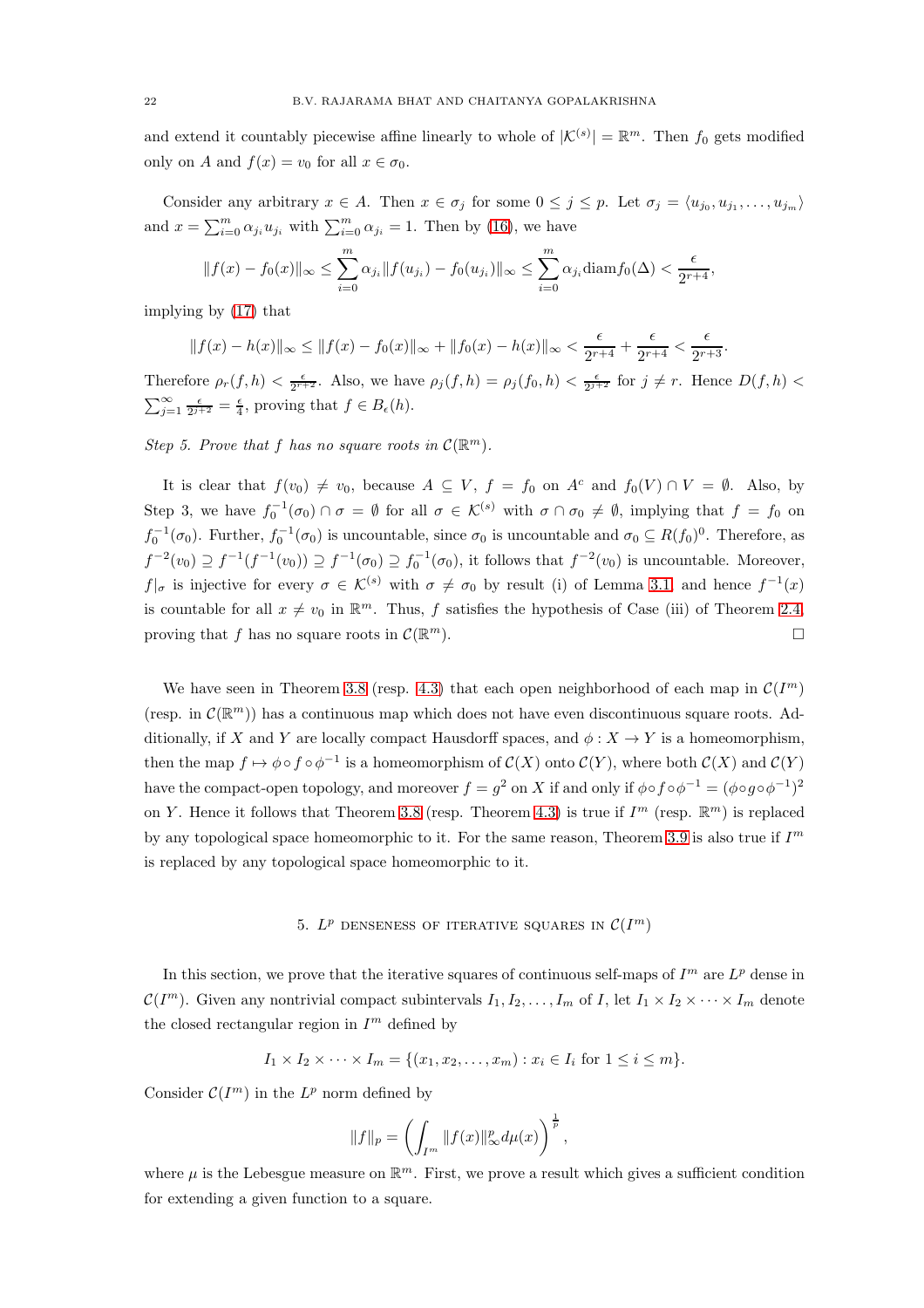and extend it countably piecewise affine linearly to whole of  $|\mathcal{K}^{(s)}| = \mathbb{R}^m$ . Then  $f_0$  gets modified only on A and  $f(x) = v_0$  for all  $x \in \sigma_0$ .

Consider any arbitrary  $x \in A$ . Then  $x \in \sigma_j$  for some  $0 \leq j \leq p$ . Let  $\sigma_j = \langle u_{j_0}, u_{j_1}, \ldots, u_{j_m} \rangle$ and  $x = \sum_{i=0}^{m} \alpha_{j_i} u_{j_i}$  with  $\sum_{i=0}^{m} \alpha_{j_i} = 1$ . Then by [\(16\)](#page-19-3), we have

$$
||f(x) - f_0(x)||_{\infty} \le \sum_{i=0}^{m} \alpha_{j_i} ||f(u_{j_i}) - f_0(u_{j_i})||_{\infty} \le \sum_{i=0}^{m} \alpha_{j_i} \text{diam} f_0(\Delta) < \frac{\epsilon}{2^{r+4}},
$$

implying by [\(17\)](#page-20-0) that

$$
||f(x) - h(x)||_{\infty} \le ||f(x) - f_0(x)||_{\infty} + ||f_0(x) - h(x)||_{\infty} < \frac{\epsilon}{2^{r+4}} + \frac{\epsilon}{2^{r+4}} < \frac{\epsilon}{2^{r+3}}.
$$

Therefore  $\rho_r(f,h) < \frac{\epsilon}{2^{r+2}}$ . Also, we have  $\rho_j(f,h) = \rho_j(f_0,h) < \frac{\epsilon}{2^{j+2}}$  for  $j \neq r$ . Hence  $D(f,h) <$  $\sum_{j=1}^{\infty} \frac{\epsilon}{2^{j+2}} = \frac{\epsilon}{4}$ , proving that  $f \in B_{\epsilon}(h)$ .

Step 5. Prove that f has no square roots in  $\mathcal{C}(\mathbb{R}^m)$ .

It is clear that  $f(v_0) \neq v_0$ , because  $A \subseteq V$ ,  $f = f_0$  on  $A^c$  and  $f_0(V) \cap V = \emptyset$ . Also, by Step 3, we have  $f_0^{-1}(\sigma_0) \cap \sigma = \emptyset$  for all  $\sigma \in \mathcal{K}^{(s)}$  with  $\sigma \cap \sigma_0 \neq \emptyset$ , implying that  $f = f_0$  on  $f_0^{-1}(\sigma_0)$ . Further,  $f_0^{-1}(\sigma_0)$  is uncountable, since  $\sigma_0$  is uncountable and  $\sigma_0 \subseteq R(f_0)^0$ . Therefore, as  $f^{-2}(v_0) \supseteq f^{-1}(f^{-1}(v_0)) \supseteq f^{-1}(\sigma_0) \supseteq f_0^{-1}(\sigma_0)$ , it follows that  $f^{-2}(v_0)$  is uncountable. Moreover,  $f|_{\sigma}$  is injective for every  $\sigma \in \mathcal{K}^{(s)}$  with  $\sigma \neq \sigma_0$  by result (i) of Lemma [3.1,](#page-9-1) and hence  $f^{-1}(x)$ is countable for all  $x \neq v_0$  in  $\mathbb{R}^m$ . Thus, f satisfies the hypothesis of Case (iii) of Theorem [2.4,](#page-5-0) proving that f has no square roots in  $\mathcal{C}(\mathbb{R}^m)$ .  $\Box$ 

We have seen in Theorem [3.8](#page-12-0) (resp. [4.3\)](#page-19-0) that each open neighborhood of each map in  $\mathcal{C}(I^m)$ (resp. in  $\mathcal{C}(\mathbb{R}^m)$ ) has a continuous map which does not have even discontinuous square roots. Additionally, if X and Y are locally compact Hausdorff spaces, and  $\phi: X \to Y$  is a homeomorphism, then the map  $f \mapsto \phi \circ f \circ \phi^{-1}$  is a homeomorphism of  $C(X)$  onto  $C(Y)$ , where both  $C(X)$  and  $C(Y)$ have the compact-open topology, and moreover  $f = g^2$  on X if and only if  $\phi \circ f \circ \phi^{-1} = (\phi \circ g \circ \phi^{-1})^2$ on Y. Hence it follows that Theorem [3.8](#page-12-0) (resp. Theorem [4.3\)](#page-19-0) is true if  $I^m$  (resp.  $\mathbb{R}^m$ ) is replaced by any topological space homeomorphic to it. For the same reason, Theorem [3.9](#page-14-0) is also true if  $I<sup>m</sup>$ is replaced by any topological space homeomorphic to it.

## 5.  $L^p$  denseness of iterative squares in  $\mathcal{C}(I^m)$

<span id="page-21-0"></span>In this section, we prove that the iterative squares of continuous self-maps of  $I<sup>m</sup>$  are  $L<sup>p</sup>$  dense in  $\mathcal{C}(I^m)$ . Given any nontrivial compact subintervals  $I_1, I_2, \ldots, I_m$  of I, let  $I_1 \times I_2 \times \cdots \times I_m$  denote the closed rectangular region in  $I<sup>m</sup>$  defined by

$$
I_1 \times I_2 \times \cdots \times I_m = \{(x_1, x_2, \ldots, x_m) : x_i \in I_i \text{ for } 1 \le i \le m\}.
$$

Consider  $\mathcal{C}(I^m)$  in the  $L^p$  norm defined by

$$
||f||_p = \left(\int_{I^m} ||f(x)||_{\infty}^p d\mu(x)\right)^{\frac{1}{p}},
$$

where  $\mu$  is the Lebesgue measure on  $\mathbb{R}^m$ . First, we prove a result which gives a sufficient condition for extending a given function to a square.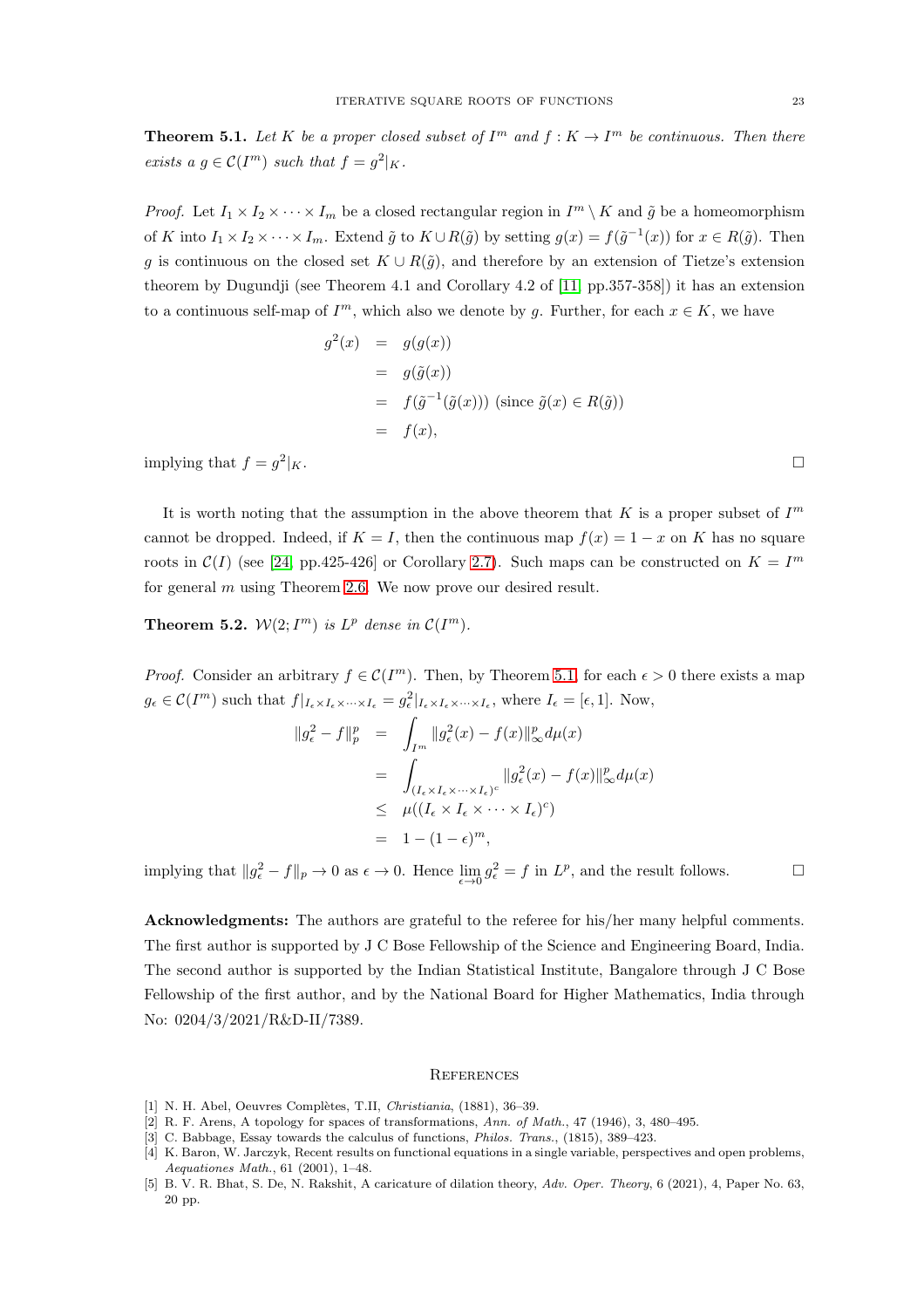<span id="page-22-5"></span>**Theorem 5.1.** Let K be a proper closed subset of  $I^m$  and  $f: K \to I^m$  be continuous. Then there exists a  $g \in \mathcal{C}(I^m)$  such that  $f = g^2|_K$ .

*Proof.* Let  $I_1 \times I_2 \times \cdots \times I_m$  be a closed rectangular region in  $I^m \setminus K$  and  $\tilde{g}$  be a homeomorphism of K into  $I_1 \times I_2 \times \cdots \times I_m$ . Extend  $\tilde{g}$  to  $K \cup R(\tilde{g})$  by setting  $g(x) = f(\tilde{g}^{-1}(x))$  for  $x \in R(\tilde{g})$ . Then g is continuous on the closed set  $K \cup R(\tilde{g})$ , and therefore by an extension of Tietze's extension theorem by Dugundji (see Theorem 4.1 and Corollary 4.2 of [\[11,](#page-23-44) pp.357-358]) it has an extension to a continuous self-map of  $I^m$ , which also we denote by g. Further, for each  $x \in K$ , we have

$$
g^{2}(x) = g(g(x))
$$
  
=  $g(\tilde{g}(x))$   
=  $f(\tilde{g}^{-1}(\tilde{g}(x)))$  (since  $\tilde{g}(x) \in R(\tilde{g})$ )  
=  $f(x)$ ,

implying that  $f = g^2$  $|K$ .

It is worth noting that the assumption in the above theorem that K is a proper subset of  $I<sup>m</sup>$ cannot be dropped. Indeed, if  $K = I$ , then the continuous map  $f(x) = 1 - x$  on K has no square roots in  $\mathcal{C}(I)$  (see [\[24,](#page-23-2) pp.425-426] or Corollary [2.7\)](#page-7-2). Such maps can be constructed on  $K = I<sup>m</sup>$ for general m using Theorem [2.6.](#page-7-1) We now prove our desired result.

**Theorem 5.2.**  $W(2; I^m)$  is  $L^p$  dense in  $C(I^m)$ .

*Proof.* Consider an arbitrary  $f \in \mathcal{C}(I^m)$ . Then, by Theorem [5.1,](#page-22-5) for each  $\epsilon > 0$  there exists a map  $g_{\epsilon} \in \mathcal{C}(I^m)$  such that  $f|_{I_{\epsilon} \times I_{\epsilon} \times \cdots \times I_{\epsilon}} = g_{\epsilon}^2|_{I_{\epsilon} \times I_{\epsilon} \times \cdots \times I_{\epsilon}}$ , where  $I_{\epsilon} = [\epsilon, 1]$ . Now,

$$
\|g_{\epsilon}^{2} - f\|_{p}^{p} = \int_{I^{m}} \|g_{\epsilon}^{2}(x) - f(x)\|_{\infty}^{p} d\mu(x)
$$
  

$$
= \int_{(I_{\epsilon} \times I_{\epsilon} \times \cdots \times I_{\epsilon})^{c}} \|g_{\epsilon}^{2}(x) - f(x)\|_{\infty}^{p} d\mu(x)
$$
  

$$
\leq \mu((I_{\epsilon} \times I_{\epsilon} \times \cdots \times I_{\epsilon})^{c})
$$
  

$$
= 1 - (1 - \epsilon)^{m},
$$

implying that  $||g_{\epsilon}^2 - f||_p \to 0$  as  $\epsilon \to 0$ . Hence  $\lim_{\epsilon \to 0} g_{\epsilon}^2 = f$  in  $L^p$ , and the result follows.

Acknowledgments: The authors are grateful to the referee for his/her many helpful comments. The first author is supported by J C Bose Fellowship of the Science and Engineering Board, India. The second author is supported by the Indian Statistical Institute, Bangalore through J C Bose Fellowship of the first author, and by the National Board for Higher Mathematics, India through No: 0204/3/2021/R&D-II/7389.

#### **REFERENCES**

- <span id="page-22-4"></span><span id="page-22-2"></span>[1] N. H. Abel, Oeuvres Complètes, T.II, Christiania, (1881), 36-39.
- <span id="page-22-1"></span>[2] R. F. Arens, A topology for spaces of transformations, Ann. of Math., 47 (1946), 3, 480–495.
- <span id="page-22-0"></span>[3] C. Babbage, Essay towards the calculus of functions, Philos. Trans., (1815), 389–423.
- [4] K. Baron, W. Jarczyk, Recent results on functional equations in a single variable, perspectives and open problems, Aequationes Math., 61 (2001), 1–48.
- <span id="page-22-3"></span>[5] B. V. R. Bhat, S. De, N. Rakshit, A caricature of dilation theory, Adv. Oper. Theory, 6 (2021), 4, Paper No. 63, 20 pp.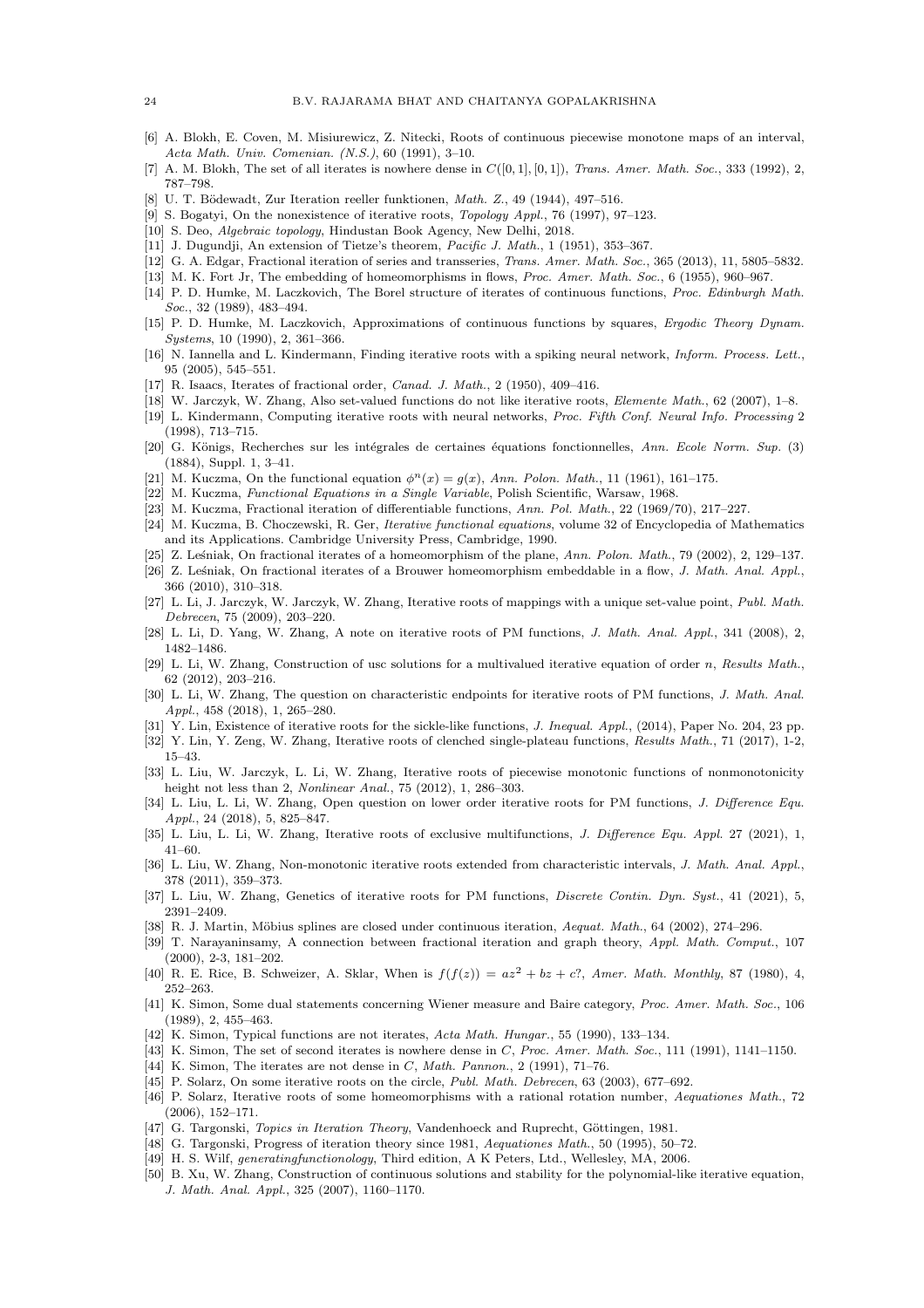- <span id="page-23-34"></span><span id="page-23-11"></span>[6] A. Blokh, E. Coven, M. Misiurewicz, Z. Nitecki, Roots of continuous piecewise monotone maps of an interval, Acta Math. Univ. Comenian. (N.S.), 60 (1991), 3–10.
- <span id="page-23-4"></span>[7] A. M. Blokh, The set of all iterates is nowhere dense in  $C([0, 1], [0, 1])$ , Trans. Amer. Math. Soc., 333 (1992), 2, 787–798.
- <span id="page-23-3"></span>[8] U. T. Bödewadt, Zur Iteration reeller funktionen, *Math. Z.*, 49 (1944), 497–516.
- <span id="page-23-43"></span>[9] S. Bogatyi, On the nonexistence of iterative roots, Topology Appl., 76 (1997), 97–123.
- <span id="page-23-44"></span>[10] S. Deo, Algebraic topology, Hindustan Book Agency, New Delhi, 2018.
- <span id="page-23-24"></span>[11] J. Dugundji, An extension of Tietze's theorem, Pacific J. Math., 1 (1951), 353–367.
- <span id="page-23-0"></span>[12] G. A. Edgar, Fractional iteration of series and transseries, Trans. Amer. Math. Soc., 365 (2013), 11, 5805-5832.
- <span id="page-23-36"></span>[13] M. K. Fort Jr, The embedding of homeomorphisms in flows, Proc. Amer. Math. Soc., 6 (1955), 960–967.
- [14] P. D. Humke, M. Laczkovich, The Borel structure of iterates of continuous functions, Proc. Edinburgh Math. Soc., 32 (1989), 483-494.
- <span id="page-23-37"></span>[15] P. D. Humke, M. Laczkovich, Approximations of continuous functions by squares, Ergodic Theory Dynam. Systems, 10 (1990), 2, 361–366.
- <span id="page-23-7"></span>[16] N. Iannella and L. Kindermann, Finding iterative roots with a spiking neural network, *Inform. Process. Lett.*, 95 (2005), 545–551.
- <span id="page-23-41"></span><span id="page-23-28"></span>[17] R. Isaacs, Iterates of fractional order, *Canad. J. Math.*, 2 (1950), 409-416.
- <span id="page-23-8"></span>[18] W. Jarczyk, W. Zhang, Also set-valued functions do not like iterative roots, Elemente Math., 62 (2007), 1–8.
- [19] L. Kindermann, Computing iterative roots with neural networks, Proc. Fifth Conf. Neural Info. Processing 2 (1998), 713–715.
- <span id="page-23-10"></span>[20] G. Königs, Recherches sur les intégrales de certaines équations fonctionnelles, Ann. Ecole Norm. Sup. (3) (1884), Suppl. 1, 3–41.
- <span id="page-23-12"></span><span id="page-23-1"></span>[21] M. Kuczma, On the functional equation  $\phi^{n}(x) = g(x)$ , Ann. Polon. Math., 11 (1961), 161-175.
- <span id="page-23-33"></span>[22] M. Kuczma, Functional Equations in a Single Variable, Polish Scientific, Warsaw, 1968.
- <span id="page-23-2"></span>[23] M. Kuczma, Fractional iteration of differentiable functions, Ann. Pol. Math., 22 (1969/70), 217–227.
- [24] M. Kuczma, B. Choczewski, R. Ger, Iterative functional equations, volume 32 of Encyclopedia of Mathematics and its Applications. Cambridge University Press, Cambridge, 1990.
- <span id="page-23-26"></span><span id="page-23-25"></span>[25] Z. Lesniak, On fractional iterates of a homeomorphism of the plane, Ann. Polon. Math., 79 (2002), 2, 129–137.
- [26] Z. Leśniak, On fractional iterates of a Brouwer homeomorphism embeddable in a flow, J. Math. Anal. Appl., 366 (2010), 310–318.
- <span id="page-23-29"></span>[27] L. Li, J. Jarczyk, W. Jarczyk, W. Zhang, Iterative roots of mappings with a unique set-value point, Publ. Math. Debrecen, 75 (2009), 203–220.
- <span id="page-23-30"></span><span id="page-23-13"></span>[28] L. Li, D. Yang, W. Zhang, A note on iterative roots of PM functions, J. Math. Anal. Appl., 341 (2008), 2, 1482–1486.
- [29] L. Li, W. Zhang, Construction of usc solutions for a multivalued iterative equation of order n, Results Math., 62 (2012), 203–216.
- <span id="page-23-14"></span>[30] L. Li, W. Zhang, The question on characteristic endpoints for iterative roots of PM functions, J. Math. Anal. Appl., 458 (2018), 1, 265–280.
- <span id="page-23-16"></span><span id="page-23-15"></span>[31] Y. Lin, Existence of iterative roots for the sickle-like functions, J. Inequal. Appl., (2014), Paper No. 204, 23 pp.
- <span id="page-23-17"></span>[32] Y. Lin, Y. Zeng, W. Zhang, Iterative roots of clenched single-plateau functions, Results Math., 71 (2017), 1-2, 15–43.
- [33] L. Liu, W. Jarczyk, L. Li, W. Zhang, Iterative roots of piecewise monotonic functions of nonmonotonicity height not less than 2, Nonlinear Anal., 75 (2012), 1, 286–303.
- <span id="page-23-18"></span>[34] L. Liu, L. Li, W. Zhang, Open question on lower order iterative roots for PM functions, J. Difference Equ. Appl., 24 (2018), 5, 825–847.
- <span id="page-23-31"></span><span id="page-23-19"></span>[35] L. Liu, L. Li, W. Zhang, Iterative roots of exclusive multifunctions, J. Difference Equ. Appl. 27 (2021), 1, 41–60.
- [36] L. Liu, W. Zhang, Non-monotonic iterative roots extended from characteristic intervals, J. Math. Anal. Appl., 378 (2011), 359–373.
- <span id="page-23-20"></span><span id="page-23-9"></span>[37] L. Liu, W. Zhang, Genetics of iterative roots for PM functions, *Discrete Contin. Dyn. Syst.*, 41 (2021), 5, 2391–2409.
- <span id="page-23-27"></span>[38] R. J. Martin, Möbius splines are closed under continuous iteration, Aequat. Math., 64 (2002), 274–296.
- [39] T. Narayaninsamy, A connection between fractional iteration and graph theory, Appl. Math. Comput., 107 (2000), 2-3, 181–202.
- <span id="page-23-21"></span>[40] R. E. Rice, B. Schweizer, A. Sklar, When is  $f(f(z)) = az^2 + bz + c$ ?, Amer. Math. Monthly, 87 (1980), 4, 252–263.
- <span id="page-23-35"></span>[41] K. Simon, Some dual statements concerning Wiener measure and Baire category, Proc. Amer. Math. Soc., 106 (1989), 2, 455–463.
- <span id="page-23-39"></span><span id="page-23-38"></span>[42] K. Simon, Typical functions are not iterates, Acta Math. Hungar., 55 (1990), 133–134.
- <span id="page-23-40"></span>[43] K. Simon, The set of second iterates is nowhere dense in C, Proc. Amer. Math. Soc., 111 (1991), 1141–1150.
- <span id="page-23-22"></span>[44] K. Simon, The iterates are not dense in  $C$ , Math. Pannon., 2 (1991), 71–76.
- <span id="page-23-23"></span>[45] P. Solarz, On some iterative roots on the circle, Publ. Math. Debrecen, 63 (2003), 677–692.
- [46] P. Solarz, Iterative roots of some homeomorphisms with a rational rotation number, Aequationes Math., 72 (2006), 152–171.
- <span id="page-23-6"></span><span id="page-23-5"></span>[47] G. Targonski, Topics in Iteration Theory, Vandenhoeck and Ruprecht, Göttingen, 1981.
- <span id="page-23-42"></span>[48] G. Targonski, Progress of iteration theory since 1981, Aequationes Math., 50 (1995), 50–72.
- <span id="page-23-32"></span>[49] H. S. Wilf, generatingfunctionology, Third edition, A K Peters, Ltd., Wellesley, MA, 2006.
- [50] B. Xu, W. Zhang, Construction of continuous solutions and stability for the polynomial-like iterative equation, J. Math. Anal. Appl., 325 (2007), 1160–1170.